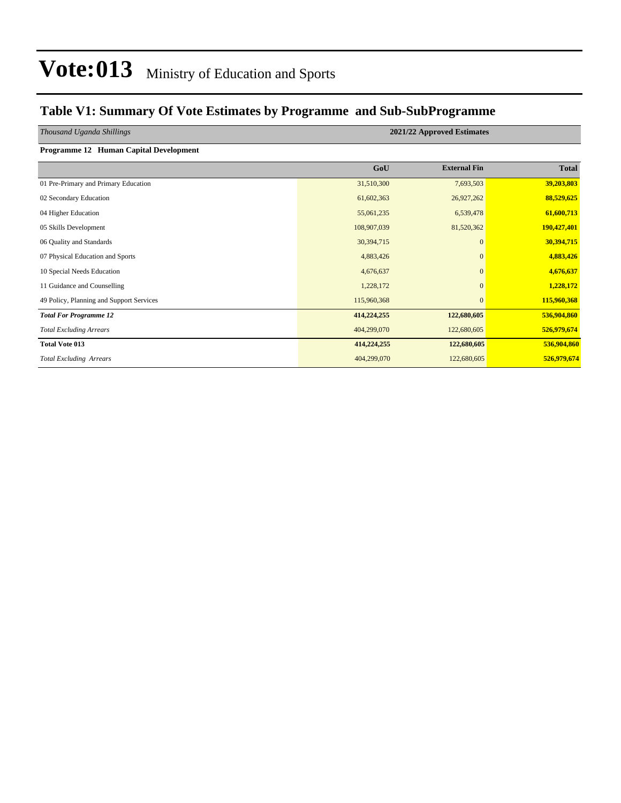### **Table V1: Summary Of Vote Estimates by Programme and Sub-SubProgramme**

| Thousand Uganda Shillings                | 2021/22 Approved Estimates |                     |              |  |  |  |  |  |  |
|------------------------------------------|----------------------------|---------------------|--------------|--|--|--|--|--|--|
| Programme 12 Human Capital Development   |                            |                     |              |  |  |  |  |  |  |
|                                          | GoU                        | <b>External Fin</b> | <b>Total</b> |  |  |  |  |  |  |
| 01 Pre-Primary and Primary Education     | 31,510,300                 | 7,693,503           | 39,203,803   |  |  |  |  |  |  |
| 02 Secondary Education                   | 61,602,363                 | 26,927,262          | 88,529,625   |  |  |  |  |  |  |
| 04 Higher Education                      | 55,061,235                 | 6,539,478           | 61,600,713   |  |  |  |  |  |  |
| 05 Skills Development                    | 108,907,039                | 81,520,362          | 190,427,401  |  |  |  |  |  |  |
| 06 Quality and Standards                 | 30,394,715                 | $\mathbf{0}$        | 30,394,715   |  |  |  |  |  |  |
| 07 Physical Education and Sports         | 4,883,426                  | $\overline{0}$      | 4,883,426    |  |  |  |  |  |  |
| 10 Special Needs Education               | 4,676,637                  | $\Omega$            | 4,676,637    |  |  |  |  |  |  |
| 11 Guidance and Counselling              | 1,228,172                  | $\mathbf{0}$        | 1,228,172    |  |  |  |  |  |  |
| 49 Policy, Planning and Support Services | 115,960,368                | $\mathbf{0}$        | 115,960,368  |  |  |  |  |  |  |
| <b>Total For Programme 12</b>            | 414,224,255                | 122,680,605         | 536,904,860  |  |  |  |  |  |  |
| <b>Total Excluding Arrears</b>           | 404,299,070                | 122,680,605         | 526,979,674  |  |  |  |  |  |  |
| <b>Total Vote 013</b>                    | 414,224,255                | 122,680,605         | 536,904,860  |  |  |  |  |  |  |
| <b>Total Excluding Arrears</b>           | 404,299,070                | 122,680,605         | 526,979,674  |  |  |  |  |  |  |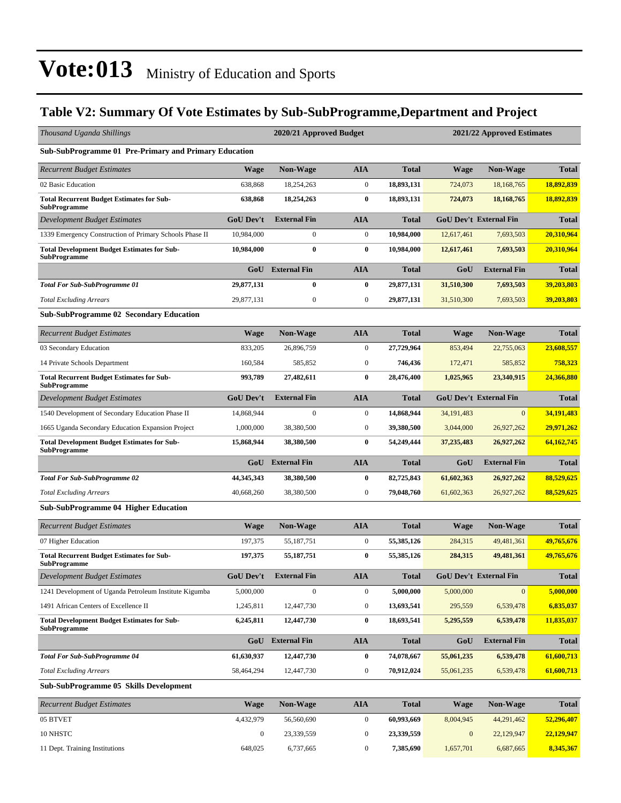### **Table V2: Summary Of Vote Estimates by Sub-SubProgramme,Department and Project**

| Thousand Uganda Shillings                                                 |                  | 2020/21 Approved Budget |                  |              | 2021/22 Approved Estimates |                               |              |  |  |
|---------------------------------------------------------------------------|------------------|-------------------------|------------------|--------------|----------------------------|-------------------------------|--------------|--|--|
| Sub-SubProgramme 01 Pre-Primary and Primary Education                     |                  |                         |                  |              |                            |                               |              |  |  |
| <b>Recurrent Budget Estimates</b>                                         | Wage             | Non-Wage                | <b>AIA</b>       | <b>Total</b> | <b>Wage</b>                | Non-Wage                      | <b>Total</b> |  |  |
| 02 Basic Education                                                        | 638,868          | 18,254,263              | $\boldsymbol{0}$ | 18,893,131   | 724,073                    | 18,168,765                    | 18,892,839   |  |  |
| <b>Total Recurrent Budget Estimates for Sub-</b><br><b>SubProgramme</b>   | 638,868          | 18,254,263              | $\bf{0}$         | 18,893,131   | 724,073                    | 18,168,765                    | 18,892,839   |  |  |
| Development Budget Estimates                                              | <b>GoU Dev't</b> | <b>External Fin</b>     | <b>AIA</b>       | <b>Total</b> |                            | <b>GoU Dev't External Fin</b> | <b>Total</b> |  |  |
| 1339 Emergency Construction of Primary Schools Phase II                   | 10,984,000       | $\boldsymbol{0}$        | $\boldsymbol{0}$ | 10,984,000   | 12,617,461                 | 7,693,503                     | 20,310,964   |  |  |
| <b>Total Development Budget Estimates for Sub-</b><br><b>SubProgramme</b> | 10,984,000       | $\bf{0}$                | $\bf{0}$         | 10,984,000   | 12,617,461                 | 7,693,503                     | 20.310.964   |  |  |
|                                                                           | GoU              | <b>External Fin</b>     | <b>AIA</b>       | <b>Total</b> | GoU                        | <b>External Fin</b>           | <b>Total</b> |  |  |
| <b>Total For Sub-SubProgramme 01</b>                                      | 29,877,131       | $\bf{0}$                | $\bf{0}$         | 29,877,131   | 31,510,300                 | 7,693,503                     | 39,203,803   |  |  |
| <b>Total Excluding Arrears</b>                                            | 29,877,131       | $\boldsymbol{0}$        | $\boldsymbol{0}$ | 29,877,131   | 31,510,300                 | 7,693,503                     | 39,203,803   |  |  |
| <b>Sub-SubProgramme 02 Secondary Education</b>                            |                  |                         |                  |              |                            |                               |              |  |  |
| <b>Recurrent Budget Estimates</b>                                         | <b>Wage</b>      | <b>Non-Wage</b>         | <b>AIA</b>       | <b>Total</b> | <b>Wage</b>                | Non-Wage                      | <b>Total</b> |  |  |
| 03 Secondary Education                                                    | 833,205          | 26,896,759              | $\boldsymbol{0}$ | 27,729,964   | 853,494                    | 22,755,063                    | 23,608,557   |  |  |
| 14 Private Schools Department                                             | 160,584          | 585,852                 | $\boldsymbol{0}$ | 746,436      | 172,471                    | 585,852                       | 758,323      |  |  |
| <b>Total Recurrent Budget Estimates for Sub-</b><br><b>SubProgramme</b>   | 993,789          | 27,482,611              | $\bf{0}$         | 28,476,400   | 1,025,965                  | 23,340,915                    | 24,366,880   |  |  |
| Development Budget Estimates                                              | <b>GoU Dev't</b> | <b>External Fin</b>     | <b>AIA</b>       | <b>Total</b> |                            | <b>GoU Dev't External Fin</b> | <b>Total</b> |  |  |
| 1540 Development of Secondary Education Phase II                          | 14,868,944       | $\mathbf{0}$            | $\boldsymbol{0}$ | 14,868,944   | 34, 191, 483               | $\mathbf{0}$                  | 34,191,483   |  |  |
| 1665 Uganda Secondary Education Expansion Project                         | 1,000,000        | 38,380,500              | $\boldsymbol{0}$ | 39,380,500   | 3,044,000                  | 26,927,262                    | 29,971,262   |  |  |
| <b>Total Development Budget Estimates for Sub-</b><br><b>SubProgramme</b> | 15,868,944       | 38,380,500              | $\bf{0}$         | 54,249,444   | 37,235,483                 | 26,927,262                    | 64,162,745   |  |  |
|                                                                           | GoU              | <b>External Fin</b>     | <b>AIA</b>       | <b>Total</b> | GoU                        | <b>External Fin</b>           | <b>Total</b> |  |  |
| <b>Total For Sub-SubProgramme 02</b>                                      | 44,345,343       | 38,380,500              | $\bf{0}$         | 82,725,843   | 61,602,363                 | 26,927,262                    | 88,529,625   |  |  |
| <b>Total Excluding Arrears</b>                                            | 40,668,260       | 38,380,500              | $\boldsymbol{0}$ | 79,048,760   | 61,602,363                 | 26,927,262                    | 88,529,625   |  |  |
| <b>Sub-SubProgramme 04 Higher Education</b>                               |                  |                         |                  |              |                            |                               |              |  |  |
| <b>Recurrent Budget Estimates</b>                                         | <b>Wage</b>      | <b>Non-Wage</b>         | <b>AIA</b>       | <b>Total</b> | <b>Wage</b>                | <b>Non-Wage</b>               | <b>Total</b> |  |  |
| 07 Higher Education                                                       | 197,375          | 55,187,751              | $\boldsymbol{0}$ | 55,385,126   | 284,315                    | 49,481,361                    | 49,765,676   |  |  |
| <b>Total Recurrent Budget Estimates for Sub-</b><br><b>SubProgramme</b>   | 197,375          | 55,187,751              | $\bf{0}$         | 55,385,126   | 284,315                    | 49,481,361                    | 49,765,676   |  |  |
| Development Budget Estimates                                              | <b>GoU Dev't</b> | <b>External Fin</b>     | AIA              | <b>Total</b> |                            | GoU Dev't External Fin        | <b>Total</b> |  |  |
| 1241 Development of Uganda Petroleum Institute Kigumba                    | 5,000,000        | $\boldsymbol{0}$        | $\boldsymbol{0}$ | 5,000,000    | 5,000,000                  | $\mathbf{0}$                  | 5,000,000    |  |  |
| 1491 African Centers of Excellence II                                     | 1,245,811        | 12,447,730              | $\boldsymbol{0}$ | 13,693,541   | 295,559                    | 6,539,478                     | 6,835,037    |  |  |
| <b>Total Development Budget Estimates for Sub-</b><br><b>SubProgramme</b> | 6,245,811        | 12,447,730              | $\bf{0}$         | 18,693,541   | 5,295,559                  | 6,539,478                     | 11,835,037   |  |  |
|                                                                           |                  | GoU External Fin        | <b>AIA</b>       | <b>Total</b> | GoU                        | <b>External Fin</b>           | <b>Total</b> |  |  |
| <b>Total For Sub-SubProgramme 04</b>                                      | 61,630,937       | 12,447,730              | $\bf{0}$         | 74,078,667   | 55,061,235                 | 6,539,478                     | 61,600,713   |  |  |
| <b>Total Excluding Arrears</b>                                            | 58,464,294       | 12,447,730              | $\boldsymbol{0}$ | 70,912,024   | 55,061,235                 | 6,539,478                     | 61,600,713   |  |  |
| Sub-SubProgramme 05 Skills Development                                    |                  |                         |                  |              |                            |                               |              |  |  |

| <b>Recurrent Budget Estimates</b> | Wage      | <b>Non-Wage</b> | AIA | <b>Total</b> | Wage      | <b>Non-Wage</b> | <b>Total</b> |
|-----------------------------------|-----------|-----------------|-----|--------------|-----------|-----------------|--------------|
| 05 BTVET                          | 4.432.979 | 56,560,690      |     | 60.993.669   | 8,004,945 | 44,291,462      | 52,296,407   |
| 10 NHSTC                          |           | 23.339.559      |     | 23.339.559   |           | 22,129,947      | 22,129,947   |
| 11 Dept. Training Institutions    | 648,025   | 6.737.665       |     | 7.385.690    | 1,657,701 | 6.687.665       | 8,345,367    |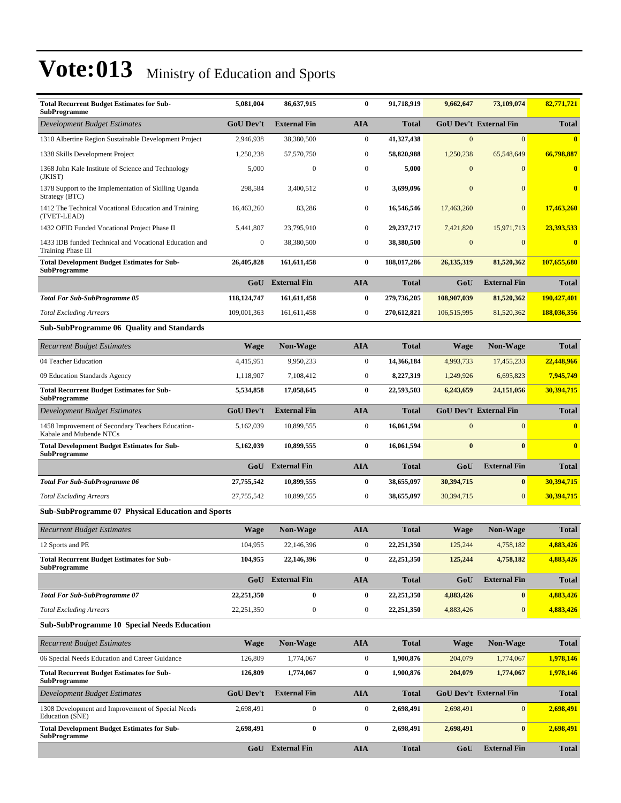| <b>Total Recurrent Budget Estimates for Sub-</b><br><b>SubProgramme</b>      | 5,081,004        | 86,637,915          | $\bf{0}$         | 91,718,919   | 9,662,647    | 73,109,074                    | 82,771,721   |
|------------------------------------------------------------------------------|------------------|---------------------|------------------|--------------|--------------|-------------------------------|--------------|
| Development Budget Estimates                                                 | <b>GoU Dev't</b> | <b>External Fin</b> | <b>AIA</b>       | Total        |              | <b>GoU Dev't External Fin</b> | <b>Total</b> |
| 1310 Albertine Region Sustainable Development Project                        | 2,946,938        | 38,380,500          | $\boldsymbol{0}$ | 41,327,438   | $\mathbf{0}$ | $\overline{0}$                | $\bf{0}$     |
| 1338 Skills Development Project                                              | 1,250,238        | 57,570,750          | $\boldsymbol{0}$ | 58,820,988   | 1,250,238    | 65,548,649                    | 66,798,887   |
| 1368 John Kale Institute of Science and Technology<br>(JKIST)                | 5,000            | $\boldsymbol{0}$    | $\boldsymbol{0}$ | 5,000        | $\mathbf{0}$ | 0                             | $\bf{0}$     |
| 1378 Support to the Implementation of Skilling Uganda<br>Strategy (BTC)      | 298,584          | 3,400,512           | $\boldsymbol{0}$ | 3,699,096    | $\mathbf{0}$ | $\mathbf{0}$                  | $\bf{0}$     |
| 1412 The Technical Vocational Education and Training<br>(TVET-LEAD)          | 16,463,260       | 83,286              | $\boldsymbol{0}$ | 16,546,546   | 17,463,260   | $\mathbf{0}$                  | 17,463,260   |
| 1432 OFID Funded Vocational Project Phase II                                 | 5,441,807        | 23,795,910          | $\boldsymbol{0}$ | 29, 237, 717 | 7,421,820    | 15,971,713                    | 23,393,533   |
| 1433 IDB funded Technical and Vocational Education and<br>Training Phase III | $\boldsymbol{0}$ | 38,380,500          | $\boldsymbol{0}$ | 38,380,500   | $\mathbf{0}$ | $\mathbf{0}$                  | $\bf{0}$     |
| <b>Total Development Budget Estimates for Sub-</b><br><b>SubProgramme</b>    | 26,405,828       | 161,611,458         | $\bf{0}$         | 188,017,286  | 26, 135, 319 | 81,520,362                    | 107,655,680  |
|                                                                              | GoU              | <b>External Fin</b> | <b>AIA</b>       | <b>Total</b> | GoU          | <b>External Fin</b>           | <b>Total</b> |
| <b>Total For Sub-SubProgramme 05</b>                                         | 118, 124, 747    | 161,611,458         | $\bf{0}$         | 279,736,205  | 108,907,039  | 81,520,362                    | 190,427,401  |
| <b>Total Excluding Arrears</b>                                               | 109,001,363      | 161,611,458         | $\mathbf{0}$     | 270,612,821  | 106,515,995  | 81,520,362                    | 188,036,356  |
| <b>Sub-SubProgramme 06 Quality and Standards</b>                             |                  |                     |                  |              |              |                               |              |
| <b>Recurrent Budget Estimates</b>                                            | <b>Wage</b>      | <b>Non-Wage</b>     | <b>AIA</b>       | <b>Total</b> | Wage         | <b>Non-Wage</b>               | <b>Total</b> |
| 04 Teacher Education                                                         | 4,415,951        | 9,950,233           | $\overline{0}$   | 14,366,184   | 4,993,733    | 17,455,233                    | 22,448,966   |
| 09 Education Standards Agency                                                | 1,118,907        | 7,108,412           | $\boldsymbol{0}$ | 8,227,319    | 1,249,926    | 6,695,823                     | 7,945,749    |
| <b>Total Recurrent Budget Estimates for Sub-</b><br><b>SubProgramme</b>      | 5,534,858        | 17,058,645          | $\bf{0}$         | 22,593,503   | 6,243,659    | 24,151,056                    | 30,394,715   |
| Development Budget Estimates                                                 | <b>GoU Dev't</b> | <b>External Fin</b> | <b>AIA</b>       | <b>Total</b> |              | <b>GoU Dev't External Fin</b> | <b>Total</b> |
| 1458 Improvement of Secondary Teachers Education-<br>Kabale and Mubende NTCs | 5,162,039        | 10,899,555          | $\boldsymbol{0}$ | 16,061,594   | $\mathbf{0}$ | $\overline{0}$                | $\bf{0}$     |
| <b>Total Development Budget Estimates for Sub-</b><br><b>SubProgramme</b>    | 5,162,039        | 10,899,555          | $\bf{0}$         | 16,061,594   | $\bf{0}$     | $\bf{0}$                      | $\bf{0}$     |
|                                                                              | GoU              | <b>External Fin</b> | <b>AIA</b>       | <b>Total</b> | GoU          | <b>External Fin</b>           | <b>Total</b> |
| <b>Total For Sub-SubProgramme 06</b>                                         | 27,755,542       | 10,899,555          | $\bf{0}$         | 38,655,097   | 30,394,715   | $\bf{0}$                      | 30,394,715   |
| <b>Total Excluding Arrears</b>                                               | 27,755,542       | 10,899,555          | $\boldsymbol{0}$ | 38,655,097   | 30,394,715   | $\mathbf{0}$                  | 30,394,715   |
| <b>Sub-SubProgramme 07 Physical Education and Sports</b>                     |                  |                     |                  |              |              |                               |              |
| <b>Recurrent Budget Estimates</b>                                            | <b>Wage</b>      | <b>Non-Wage</b>     | <b>AIA</b>       | <b>Total</b> | Wage         | <b>Non-Wage</b>               | <b>Total</b> |
| 12 Sports and PE                                                             | 104,955          | 22,146,396          | $\theta$         | 22,251,350   | 125,244      | 4,758,182                     | 4,883,426    |
| <b>Total Recurrent Budget Estimates for Sub-</b><br><b>SubProgramme</b>      | 104,955          | 22,146,396          | $\bf{0}$         | 22,251,350   | 125,244      | 4,758,182                     | 4,883,426    |
|                                                                              | GoU              | <b>External Fin</b> | <b>AIA</b>       | Total        | GoU          | <b>External Fin</b>           | <b>Total</b> |
| <b>Total For Sub-SubProgramme 07</b>                                         | 22,251,350       | $\bf{0}$            | $\bf{0}$         | 22,251,350   | 4,883,426    | $\bf{0}$                      | 4,883,426    |
| <b>Total Excluding Arrears</b>                                               | 22,251,350       | $\boldsymbol{0}$    | $\boldsymbol{0}$ | 22,251,350   | 4,883,426    | $\mathbf{0}$                  | 4,883,426    |
| <b>Sub-SubProgramme 10 Special Needs Education</b>                           |                  |                     |                  |              |              |                               |              |
| <b>Recurrent Budget Estimates</b>                                            | Wage             | <b>Non-Wage</b>     | <b>AIA</b>       | <b>Total</b> | <b>Wage</b>  | Non-Wage                      | <b>Total</b> |
| 06 Special Needs Education and Career Guidance                               | 126,809          | 1,774,067           | $\boldsymbol{0}$ | 1,900,876    | 204,079      | 1,774,067                     | 1,978,146    |
| <b>Total Recurrent Budget Estimates for Sub-</b><br><b>SubProgramme</b>      | 126,809          | 1,774,067           | $\bf{0}$         | 1,900,876    | 204,079      | 1,774,067                     | 1,978,146    |
| <b>Development Budget Estimates</b>                                          | <b>GoU Dev't</b> | <b>External Fin</b> | <b>AIA</b>       | Total        |              | <b>GoU Dev't External Fin</b> | <b>Total</b> |
| 1308 Development and Improvement of Special Needs<br>Education (SNE)         | 2,698,491        | $\boldsymbol{0}$    | $\boldsymbol{0}$ | 2,698,491    | 2,698,491    | $\mathbf{0}$                  | 2,698,491    |
| <b>Total Development Budget Estimates for Sub-</b><br><b>SubProgramme</b>    | 2,698,491        | $\bf{0}$            | $\bf{0}$         | 2,698,491    | 2,698,491    | $\bf{0}$                      | 2,698,491    |
|                                                                              |                  | GoU External Fin    | <b>AIA</b>       | <b>Total</b> | GoU          | <b>External Fin</b>           | <b>Total</b> |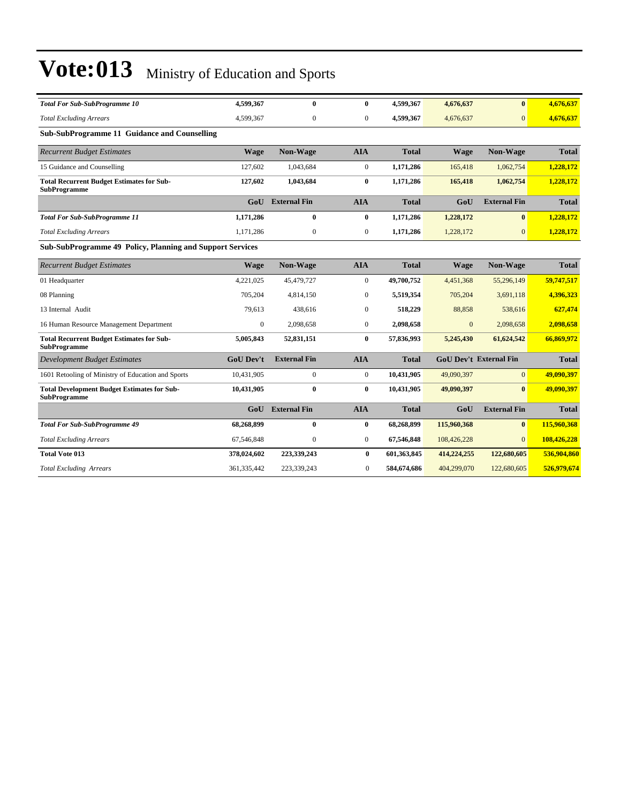| <b>Total For Sub-SubProgramme 10</b>                                      | 4.599.367        | $\bf{0}$            | $\bf{0}$         | 4.599.367    | 4,676,637    | $\bf{0}$                      | 4,676,637    |
|---------------------------------------------------------------------------|------------------|---------------------|------------------|--------------|--------------|-------------------------------|--------------|
| <b>Total Excluding Arrears</b>                                            | 4,599,367        | 0                   | $\mathbf{0}$     | 4,599,367    | 4,676,637    | $\Omega$                      | 4,676,637    |
| Sub-SubProgramme 11 Guidance and Counselling                              |                  |                     |                  |              |              |                               |              |
| <b>Recurrent Budget Estimates</b>                                         | <b>Wage</b>      | <b>Non-Wage</b>     | <b>AIA</b>       | <b>Total</b> | Wage         | Non-Wage                      | <b>Total</b> |
| 15 Guidance and Counselling                                               | 127,602          | 1,043,684           | $\boldsymbol{0}$ | 1,171,286    | 165,418      | 1,062,754                     | 1,228,172    |
| <b>Total Recurrent Budget Estimates for Sub-</b><br><b>SubProgramme</b>   | 127,602          | 1,043,684           | $\bf{0}$         | 1,171,286    | 165,418      | 1,062,754                     | 1,228,172    |
|                                                                           | GoU              | <b>External Fin</b> | <b>AIA</b>       | <b>Total</b> | GoU          | <b>External Fin</b>           | <b>Total</b> |
| <b>Total For Sub-SubProgramme 11</b>                                      | 1,171,286        | $\bf{0}$            | $\bf{0}$         | 1,171,286    | 1,228,172    | $\bf{0}$                      | 1,228,172    |
| <b>Total Excluding Arrears</b>                                            | 1,171,286        | $\boldsymbol{0}$    | $\boldsymbol{0}$ | 1,171,286    | 1,228,172    | $\overline{0}$                | 1,228,172    |
| Sub-SubProgramme 49 Policy, Planning and Support Services                 |                  |                     |                  |              |              |                               |              |
| <b>Recurrent Budget Estimates</b>                                         | <b>Wage</b>      | Non-Wage            | <b>AIA</b>       | <b>Total</b> | <b>Wage</b>  | Non-Wage                      | <b>Total</b> |
| 01 Headquarter                                                            | 4.221.025        | 45,479,727          | $\mathbf{0}$     | 49,700,752   | 4,451,368    | 55,296,149                    | 59,747,517   |
| 08 Planning                                                               | 705,204          | 4,814,150           | $\mathbf{0}$     | 5,519,354    | 705,204      | 3,691,118                     | 4,396,323    |
| 13 Internal Audit                                                         | 79,613           | 438,616             | $\mathbf{0}$     | 518,229      | 88,858       | 538,616                       | 627,474      |
| 16 Human Resource Management Department                                   | $\mathbf{0}$     | 2,098,658           | $\boldsymbol{0}$ | 2,098,658    | $\mathbf{0}$ | 2,098,658                     | 2,098,658    |
| <b>Total Recurrent Budget Estimates for Sub-</b><br><b>SubProgramme</b>   | 5,005,843        | 52,831,151          | $\bf{0}$         | 57,836,993   | 5,245,430    | 61,624,542                    | 66,869,972   |
| <b>Development Budget Estimates</b>                                       | <b>GoU Dev't</b> | <b>External Fin</b> | <b>AIA</b>       | <b>Total</b> |              | <b>GoU Dev't External Fin</b> | <b>Total</b> |
| 1601 Retooling of Ministry of Education and Sports                        | 10,431,905       | $\mathbf{0}$        | $\overline{0}$   | 10,431,905   | 49,090,397   | $\vert 0 \vert$               | 49,090,397   |
| <b>Total Development Budget Estimates for Sub-</b><br><b>SubProgramme</b> | 10,431,905       | $\bf{0}$            | $\bf{0}$         | 10,431,905   | 49,090,397   | $\bf{0}$                      | 49,090,397   |
|                                                                           | GoU              | <b>External Fin</b> | <b>AIA</b>       | <b>Total</b> | GoU          | <b>External Fin</b>           | <b>Total</b> |
| <b>Total For Sub-SubProgramme 49</b>                                      | 68,268,899       | $\bf{0}$            | $\bf{0}$         | 68,268,899   | 115,960,368  | $\bf{0}$                      | 115,960,368  |
| <b>Total Excluding Arrears</b>                                            | 67,546,848       | $\mathbf{0}$        | $\overline{0}$   | 67,546,848   | 108,426,228  | $\overline{0}$                | 108,426,228  |
| <b>Total Vote 013</b>                                                     | 378,024,602      | 223,339,243         | $\bf{0}$         | 601,363,845  | 414,224,255  | 122,680,605                   | 536,904,860  |
| <b>Total Excluding Arrears</b>                                            | 361, 335, 442    | 223,339,243         | $\mathbf{0}$     | 584,674,686  | 404,299,070  | 122,680,605                   | 526,979,674  |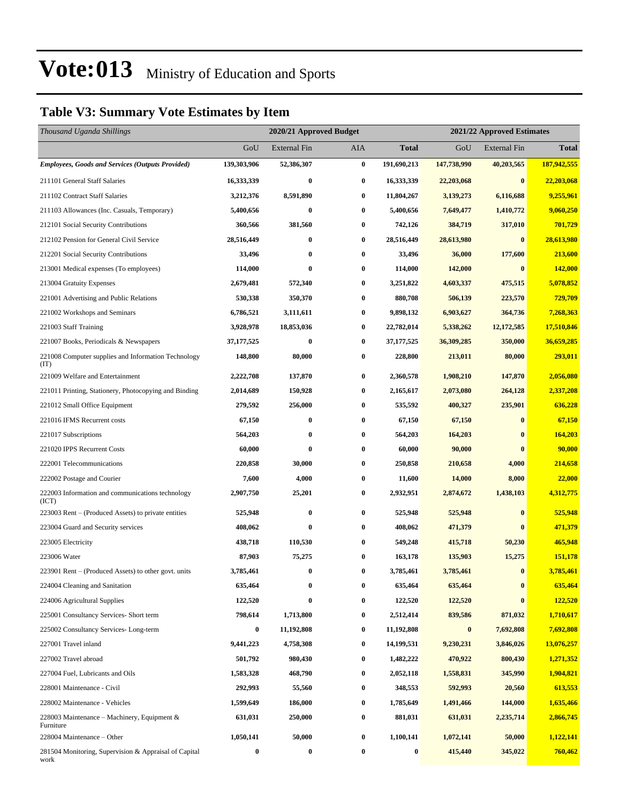### **Table V3: Summary Vote Estimates by Item**

| Thousand Uganda Shillings                                     |              | 2020/21 Approved Budget |                  |                  | 2021/22 Approved Estimates |                     |              |
|---------------------------------------------------------------|--------------|-------------------------|------------------|------------------|----------------------------|---------------------|--------------|
|                                                               | GoU          | <b>External Fin</b>     | AIA              | <b>Total</b>     | GoU                        | <b>External Fin</b> | <b>Total</b> |
| <b>Employees, Goods and Services (Outputs Provided)</b>       | 139,303,906  | 52,386,307              | $\pmb{0}$        | 191,690,213      | 147,738,990                | 40,203,565          | 187,942,555  |
| 211101 General Staff Salaries                                 | 16,333,339   | $\bf{0}$                | $\bf{0}$         | 16,333,339       | 22,203,068                 | $\bf{0}$            | 22,203,068   |
| 211102 Contract Staff Salaries                                | 3,212,376    | 8,591,890               | $\bf{0}$         | 11,804,267       | 3,139,273                  | 6,116,688           | 9,255,961    |
| 211103 Allowances (Inc. Casuals, Temporary)                   | 5,400,656    | $\bf{0}$                | $\bf{0}$         | 5,400,656        | 7,649,477                  | 1,410,772           | 9,060,250    |
| 212101 Social Security Contributions                          | 360,566      | 381,560                 | $\bf{0}$         | 742,126          | 384,719                    | 317,010             | 701,729      |
| 212102 Pension for General Civil Service                      | 28,516,449   | 0                       | $\bf{0}$         | 28,516,449       | 28,613,980                 | $\bf{0}$            | 28,613,980   |
| 212201 Social Security Contributions                          | 33,496       | $\bf{0}$                | $\bf{0}$         | 33,496           | 36,000                     | 177,600             | 213,600      |
| 213001 Medical expenses (To employees)                        | 114,000      | $\bf{0}$                | $\bf{0}$         | 114,000          | 142,000                    | $\bf{0}$            | 142,000      |
| 213004 Gratuity Expenses                                      | 2,679,481    | 572,340                 | $\bf{0}$         | 3,251,822        | 4,603,337                  | 475,515             | 5,078,852    |
| 221001 Advertising and Public Relations                       | 530,338      | 350,370                 | $\bf{0}$         | 880,708          | 506,139                    | 223,570             | 729,709      |
| 221002 Workshops and Seminars                                 | 6,786,521    | 3,111,611               | $\bf{0}$         | 9,898,132        | 6,903,627                  | 364,736             | 7,268,363    |
| 221003 Staff Training                                         | 3,928,978    | 18,853,036              | $\bf{0}$         | 22,782,014       | 5,338,262                  | 12,172,585          | 17,510,846   |
| 221007 Books, Periodicals & Newspapers                        | 37, 177, 525 | $\bf{0}$                | $\bf{0}$         | 37, 177, 525     | 36,309,285                 | 350,000             | 36,659,285   |
| 221008 Computer supplies and Information Technology<br>(TT)   | 148,800      | 80,000                  | $\bf{0}$         | 228,800          | 213,011                    | 80,000              | 293,011      |
| 221009 Welfare and Entertainment                              | 2,222,708    | 137,870                 | $\bf{0}$         | 2,360,578        | 1,908,210                  | 147,870             | 2,056,080    |
| 221011 Printing, Stationery, Photocopying and Binding         | 2,014,689    | 150,928                 | $\bf{0}$         | 2,165,617        | 2,073,080                  | 264,128             | 2,337,208    |
| 221012 Small Office Equipment                                 | 279,592      | 256,000                 | $\bf{0}$         | 535,592          | 400,327                    | 235,901             | 636,228      |
| 221016 IFMS Recurrent costs                                   | 67,150       | $\bf{0}$                | $\bf{0}$         | 67,150           | 67,150                     | $\bf{0}$            | 67,150       |
| 221017 Subscriptions                                          | 564,203      | $\bf{0}$                | $\bf{0}$         | 564,203          | 164,203                    | $\bf{0}$            | 164,203      |
| 221020 IPPS Recurrent Costs                                   | 60,000       | $\bf{0}$                | $\bf{0}$         | 60,000           | 90,000                     | $\bf{0}$            | 90,000       |
| 222001 Telecommunications                                     | 220,858      | 30,000                  | $\bf{0}$         | 250,858          | 210,658                    | 4,000               | 214,658      |
| 222002 Postage and Courier                                    | 7,600        | 4,000                   | 0                | 11,600           | 14,000                     | 8,000               | 22,000       |
| 222003 Information and communications technology<br>(ICT)     | 2,907,750    | 25,201                  | $\bf{0}$         | 2,932,951        | 2,874,672                  | 1,438,103           | 4,312,775    |
| 223003 Rent – (Produced Assets) to private entities           | 525,948      | $\bf{0}$                | $\boldsymbol{0}$ | 525,948          | 525,948                    | $\bf{0}$            | 525,948      |
| 223004 Guard and Security services                            | 408,062      | $\bf{0}$                | $\bf{0}$         | 408,062          | 471,379                    | $\bf{0}$            | 471,379      |
| 223005 Electricity                                            | 438,718      | 110,530                 | $\bf{0}$         | 549,248          | 415,718                    | 50,230              | 465,948      |
| 223006 Water                                                  | 87,903       | 75,275                  | $\bf{0}$         | 163,178          | 135,903                    | 15,275              | 151,178      |
| 223901 Rent – (Produced Assets) to other govt. units          | 3,785,461    | $\bf{0}$                | $\bf{0}$         | 3,785,461        | 3,785,461                  | $\bf{0}$            | 3,785,461    |
| 224004 Cleaning and Sanitation                                | 635,464      | 0                       | $\bf{0}$         | 635,464          | 635,464                    | $\boldsymbol{0}$    | 635,464      |
| 224006 Agricultural Supplies                                  | 122,520      | $\bf{0}$                | 0                | 122,520          | 122,520                    | $\bf{0}$            | 122,520      |
| 225001 Consultancy Services- Short term                       | 798,614      | 1,713,800               | $\bf{0}$         | 2,512,414        | 839,586                    | 871,032             | 1,710,617    |
| 225002 Consultancy Services-Long-term                         | 0            | 11,192,808              | $\bf{0}$         | 11,192,808       | $\bf{0}$                   | 7,692,808           | 7,692,808    |
| 227001 Travel inland                                          | 9,441,223    | 4,758,308               | $\bf{0}$         | 14,199,531       | 9,230,231                  | 3,846,026           | 13,076,257   |
| 227002 Travel abroad                                          | 501,792      | 980,430                 | $\bf{0}$         | 1,482,222        | 470,922                    | 800,430             | 1,271,352    |
| 227004 Fuel, Lubricants and Oils                              | 1,583,328    | 468,790                 | $\bf{0}$         | 2,052,118        | 1,558,831                  | 345,990             | 1,904,821    |
| 228001 Maintenance - Civil                                    | 292,993      | 55,560                  | $\boldsymbol{0}$ | 348,553          | 592,993                    | 20,560              | 613,553      |
| 228002 Maintenance - Vehicles                                 | 1,599,649    | 186,000                 | $\bf{0}$         | 1,785,649        | 1,491,466                  | 144,000             | 1,635,466    |
| 228003 Maintenance – Machinery, Equipment &<br>Furniture      | 631,031      | 250,000                 | $\bf{0}$         | 881,031          | 631,031                    | 2,235,714           | 2,866,745    |
| 228004 Maintenance – Other                                    | 1,050,141    | 50,000                  | $\bf{0}$         | 1,100,141        | 1,072,141                  | 50,000              | 1,122,141    |
| 281504 Monitoring, Supervision & Appraisal of Capital<br>work | 0            | $\bf{0}$                | $\bf{0}$         | $\boldsymbol{0}$ | 415,440                    | 345,022             | 760,462      |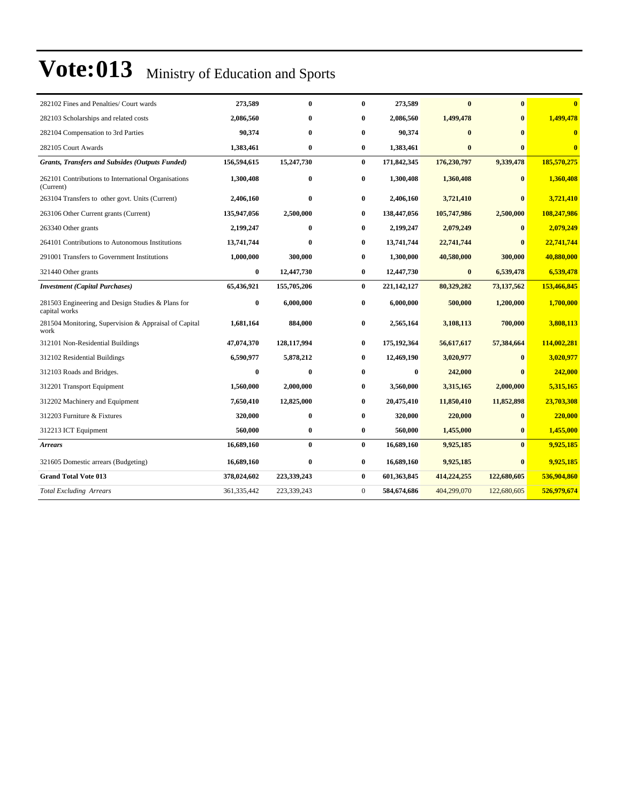| 282102 Fines and Penalties/ Court wards                            | 273,589     | 0            | $\bf{0}$         | 273,589     | $\bf{0}$    | $\bf{0}$     | $\bf{0}$    |
|--------------------------------------------------------------------|-------------|--------------|------------------|-------------|-------------|--------------|-------------|
| 282103 Scholarships and related costs                              | 2,086,560   | $\mathbf{0}$ | 0                | 2,086,560   | 1,499,478   | $\mathbf{0}$ | 1,499,478   |
| 282104 Compensation to 3rd Parties                                 | 90,374      | $\mathbf{0}$ | 0                | 90,374      | $\bf{0}$    | $\mathbf{0}$ | $\bf{0}$    |
| 282105 Court Awards                                                | 1,383,461   | $\bf{0}$     | 0                | 1,383,461   | $\bf{0}$    | $\mathbf{0}$ | $\bf{0}$    |
| <b>Grants, Transfers and Subsides (Outputs Funded)</b>             | 156,594,615 | 15,247,730   | $\bf{0}$         | 171,842,345 | 176,230,797 | 9,339,478    | 185,570,275 |
| 262101 Contributions to International Organisations<br>(Current)   | 1,300,408   | $\bf{0}$     | 0                | 1,300,408   | 1,360,408   | $\mathbf{0}$ | 1,360,408   |
| 263104 Transfers to other govt. Units (Current)                    | 2,406,160   | $\bf{0}$     | 0                | 2,406,160   | 3,721,410   | $\mathbf{0}$ | 3,721,410   |
| 263106 Other Current grants (Current)                              | 135,947,056 | 2,500,000    | $\bf{0}$         | 138,447,056 | 105,747,986 | 2,500,000    | 108,247,986 |
| 263340 Other grants                                                | 2,199,247   | $\bf{0}$     | $\bf{0}$         | 2,199,247   | 2,079,249   | $\mathbf{0}$ | 2,079,249   |
| 264101 Contributions to Autonomous Institutions                    | 13,741,744  | $\mathbf{0}$ | 0                | 13,741,744  | 22,741,744  |              | 22,741,744  |
| 291001 Transfers to Government Institutions                        | 1,000,000   | 300,000      | 0                | 1,300,000   | 40,580,000  | 300,000      | 40,880,000  |
| 321440 Other grants                                                | $\bf{0}$    | 12,447,730   | 0                | 12,447,730  | $\bf{0}$    | 6,539,478    | 6,539,478   |
| <b>Investment</b> (Capital Purchases)                              | 65,436,921  | 155,705,206  | $\bf{0}$         | 221,142,127 | 80,329,282  | 73,137,562   | 153,466,845 |
| 281503 Engineering and Design Studies & Plans for<br>capital works | $\bf{0}$    | 6,000,000    | 0                | 6,000,000   | 500,000     | 1,200,000    | 1,700,000   |
| 281504 Monitoring, Supervision & Appraisal of Capital<br>work      | 1,681,164   | 884,000      | 0                | 2,565,164   | 3,108,113   | 700,000      | 3,808,113   |
| 312101 Non-Residential Buildings                                   | 47,074,370  | 128,117,994  | 0                | 175,192,364 | 56,617,617  | 57,384,664   | 114,002,281 |
| 312102 Residential Buildings                                       | 6,590,977   | 5,878,212    | 0                | 12,469,190  | 3,020,977   | $\mathbf{0}$ | 3,020,977   |
| 312103 Roads and Bridges.                                          | $\bf{0}$    | $\mathbf{0}$ | 0                | $\bf{0}$    | 242,000     |              | 242,000     |
| 312201 Transport Equipment                                         | 1,560,000   | 2,000,000    | 0                | 3,560,000   | 3,315,165   | 2,000,000    | 5,315,165   |
| 312202 Machinery and Equipment                                     | 7,650,410   | 12,825,000   | 0                | 20,475,410  | 11,850,410  | 11,852,898   | 23,703,308  |
| 312203 Furniture & Fixtures                                        | 320,000     | $\bf{0}$     | 0                | 320,000     | 220,000     | $\mathbf{0}$ | 220,000     |
| 312213 ICT Equipment                                               | 560,000     | $\bf{0}$     | $\bf{0}$         | 560,000     | 1,455,000   | $\mathbf{0}$ | 1,455,000   |
| <b>Arrears</b>                                                     | 16,689,160  | $\bf{0}$     | $\bf{0}$         | 16,689,160  | 9,925,185   | $\mathbf{0}$ | 9,925,185   |
| 321605 Domestic arrears (Budgeting)                                | 16,689,160  | $\bf{0}$     | $\bf{0}$         | 16,689,160  | 9,925,185   | $\mathbf{0}$ | 9,925,185   |
| <b>Grand Total Vote 013</b>                                        | 378,024,602 | 223,339,243  | $\bf{0}$         | 601,363,845 | 414,224,255 | 122,680,605  | 536,904,860 |
| Total Excluding Arrears                                            | 361,335,442 | 223,339,243  | $\boldsymbol{0}$ | 584,674,686 | 404,299,070 | 122,680,605  | 526,979,674 |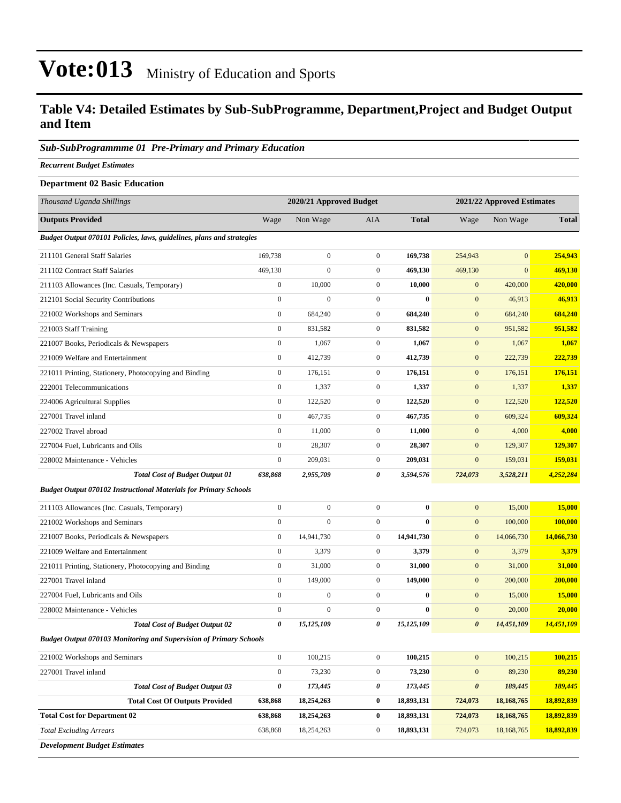### **Table V4: Detailed Estimates by Sub-SubProgramme, Department,Project and Budget Output and Item**

#### *Sub-SubProgrammme 01 Pre-Primary and Primary Education*

*Recurrent Budget Estimates*

### **Department 02 Basic Education** *Thousand Uganda Shillings* **2020/21 Approved Budget 2021/22 Approved Estimates Outputs Provided** Wage Non Wage AIA **Total** Wage Non Wage **Total** *Budget Output 070101 Policies, laws, guidelines, plans and strategies* 211101 General Staff Salaries 169,738 0 0 **169,738** 254,943 0 **254,943** 211102 Contract Staff Salaries 469,130 0 0 **469,130** 469,130 0 **469,130** 211103 Allowances (Inc. Casuals, Temporary) 0 10,000 0 **10,000** 0 420,000 **420,000** 212101 Social Security Contributions 0 0 0 **0** 0 46,913 **46,913** 221002 Workshops and Seminars 0 684,240 0 **684,240** 0 684,240 **684,240** 221003 Staff Training 0 831,582 0 **831,582** 0 951,582 **951,582** 221007 Books, Periodicals & Newspapers 0 1,067 0 **1,067** 0 1,067 **1,067** 221009 Welfare and Entertainment 0 412,739 0 **412,739** 0 222,739 **222,739** 221011 Printing, Stationery, Photocopying and Binding 0 176,151 0 **176,151** 0 176,151 **176,151** 222001 Telecommunications 0 1,337 0 **1,337** 0 1,337 **1,337** 224006 Agricultural Supplies 0 122,520 0 **122,520** 0 122,520 **122,520** 227001 Travel inland 0 467,735 0 **467,735** 0 609,324 **609,324** 227002 Travel abroad 0 11,000 0 **11,000** 0 4,000 **4,000** 227004 Fuel, Lubricants and Oils 0 28,307 0 **28,307** 0 129,307 **129,307** 228002 Maintenance - Vehicles 0 209,031 0 **209,031** 0 159,031 **159,031** *Total Cost of Budget Output 01 638,868 2,955,709 0 3,594,576 724,073 3,528,211 4,252,284 Budget Output 070102 Instructional Materials for Primary Schools* 211103 Allowances (Inc. Casuals, Temporary) 0 0 0 **0** 0 15,000 **15,000** 221002 Workshops and Seminars 0 0 0 **0** 0 100,000 **100,000** 221007 Books, Periodicals & Newspapers 0 14,941,730 0 **14,941,730** 0 14,066,730 **14,066,730** 221009 Welfare and Entertainment 0 3,379 0 **3,379** 0 3,379 **3,379** 221011 Printing, Stationery, Photocopying and Binding 0 31,000 0 **31,000** 0 31,000 **31,000** 227001 Travel inland 0 149,000 0 **149,000** 0 200,000 **200,000** 227004 Fuel, Lubricants and Oils 0 0 0 **0** 0 15,000 **15,000** 228002 Maintenance - Vehicles 0 0 0 **0** 0 20,000 **20,000** *Total Cost of Budget Output 02 0 15,125,109 0 15,125,109 0 14,451,109 14,451,109 Budget Output 070103 Monitoring and Supervision of Primary Schools* 221002 Workshops and Seminars 0 100,215 0 **100,215** 0 100,215 **100,215** 227001 Travel inland 0 73,230 0 **73,230** 0 89,230 **89,230** *Total Cost of Budget Output 03 0 173,445 0 173,445 0 189,445 189,445* **Total Cost Of Outputs Provided 638,868 18,254,263 0 18,893,131 724,073 18,168,765 18,892,839 Total Cost for Department 02 638,868 18,254,263 0 18,893,131 724,073 18,168,765 18,892,839** *Total Excluding Arrears* 638,868 18,254,263 0 **18,893,131** 724,073 18,168,765 **18,892,839**

*Development Budget Estimates*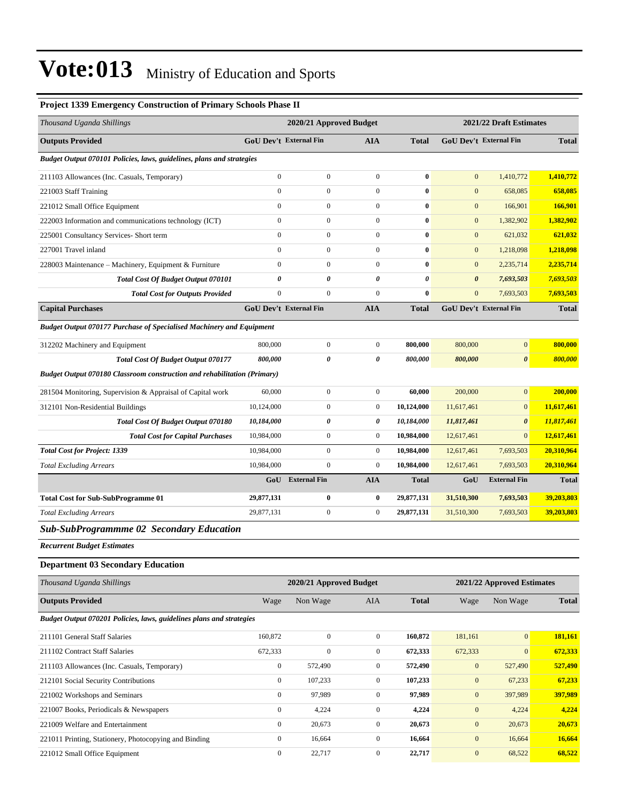| Project 1339 Emergency Construction of Primary Schools Phase II                 |                               |                         |                  |              |                       |                            |              |
|---------------------------------------------------------------------------------|-------------------------------|-------------------------|------------------|--------------|-----------------------|----------------------------|--------------|
| Thousand Uganda Shillings                                                       |                               | 2020/21 Approved Budget |                  |              |                       | 2021/22 Draft Estimates    |              |
| <b>Outputs Provided</b>                                                         | GoU Dev't External Fin        |                         | <b>AIA</b>       | <b>Total</b> |                       | GoU Dev't External Fin     | <b>Total</b> |
| Budget Output 070101 Policies, laws, guidelines, plans and strategies           |                               |                         |                  |              |                       |                            |              |
| 211103 Allowances (Inc. Casuals, Temporary)                                     | $\overline{0}$                | $\boldsymbol{0}$        | $\boldsymbol{0}$ | $\bf{0}$     | $\mathbf{0}$          | 1,410,772                  | 1,410,772    |
| 221003 Staff Training                                                           | $\boldsymbol{0}$              | $\boldsymbol{0}$        | $\boldsymbol{0}$ | $\bf{0}$     | $\mathbf{0}$          | 658,085                    | 658,085      |
| 221012 Small Office Equipment                                                   | $\boldsymbol{0}$              | $\boldsymbol{0}$        | $\boldsymbol{0}$ | $\bf{0}$     | $\mathbf{0}$          | 166,901                    | 166,901      |
| 222003 Information and communications technology (ICT)                          | $\boldsymbol{0}$              | $\boldsymbol{0}$        | $\boldsymbol{0}$ | $\bf{0}$     | $\mathbf{0}$          | 1,382,902                  | 1,382,902    |
| 225001 Consultancy Services- Short term                                         | $\mathbf{0}$                  | $\overline{0}$          | $\boldsymbol{0}$ | $\bf{0}$     | $\mathbf{0}$          | 621,032                    | 621,032      |
| 227001 Travel inland                                                            | $\overline{0}$                | $\mathbf{0}$            | $\boldsymbol{0}$ | $\bf{0}$     | $\mathbf{0}$          | 1,218,098                  | 1,218,098    |
| 228003 Maintenance - Machinery, Equipment & Furniture                           | $\boldsymbol{0}$              | $\boldsymbol{0}$        | $\boldsymbol{0}$ | $\bf{0}$     | $\mathbf{0}$          | 2,235,714                  | 2,235,714    |
| Total Cost Of Budget Output 070101                                              | 0                             | 0                       | $\pmb{\theta}$   | 0            | $\boldsymbol{\theta}$ | 7,693,503                  | 7,693,503    |
| <b>Total Cost for Outputs Provided</b>                                          | $\boldsymbol{0}$              | $\boldsymbol{0}$        | $\boldsymbol{0}$ | $\bf{0}$     | $\mathbf{0}$          | 7,693,503                  | 7,693,503    |
| <b>Capital Purchases</b>                                                        | <b>GoU Dev't External Fin</b> |                         | <b>AIA</b>       | <b>Total</b> |                       | GoU Dev't External Fin     | <b>Total</b> |
| <b>Budget Output 070177 Purchase of Specialised Machinery and Equipment</b>     |                               |                         |                  |              |                       |                            |              |
| 312202 Machinery and Equipment                                                  | 800,000                       | $\boldsymbol{0}$        | $\boldsymbol{0}$ | 800,000      | 800,000               | $\boldsymbol{0}$           | 800,000      |
| Total Cost Of Budget Output 070177                                              | 800,000                       | 0                       | 0                | 800,000      | 800,000               | $\boldsymbol{\theta}$      | 800,000      |
| <b>Budget Output 070180 Classroom construction and rehabilitation (Primary)</b> |                               |                         |                  |              |                       |                            |              |
| 281504 Monitoring, Supervision & Appraisal of Capital work                      | 60,000                        | $\boldsymbol{0}$        | $\boldsymbol{0}$ | 60,000       | 200,000               | $\mathbf{0}$               | 200,000      |
| 312101 Non-Residential Buildings                                                | 10,124,000                    | $\boldsymbol{0}$        | $\boldsymbol{0}$ | 10,124,000   | 11,617,461            | $\mathbf{0}$               | 11,617,461   |
| Total Cost Of Budget Output 070180                                              | 10,184,000                    | 0                       | 0                | 10,184,000   | 11,817,461            | $\boldsymbol{\theta}$      | 11,817,461   |
| <b>Total Cost for Capital Purchases</b>                                         | 10,984,000                    | $\boldsymbol{0}$        | $\boldsymbol{0}$ | 10,984,000   | 12,617,461            | $\mathbf{0}$               | 12,617,461   |
| <b>Total Cost for Project: 1339</b>                                             | 10,984,000                    | $\boldsymbol{0}$        | $\boldsymbol{0}$ | 10,984,000   | 12,617,461            | 7,693,503                  | 20,310,964   |
| <b>Total Excluding Arrears</b>                                                  | 10,984,000                    | $\boldsymbol{0}$        | $\boldsymbol{0}$ | 10,984,000   | 12,617,461            | 7,693,503                  | 20,310,964   |
|                                                                                 |                               | <b>GoU</b> External Fin | <b>AIA</b>       | <b>Total</b> | GoU                   | <b>External Fin</b>        | <b>Total</b> |
| <b>Total Cost for Sub-SubProgramme 01</b>                                       | 29,877,131                    | 0                       | $\bf{0}$         | 29,877,131   | 31,510,300            | 7,693,503                  | 39,203,803   |
| <b>Total Excluding Arrears</b>                                                  | 29,877,131                    | $\boldsymbol{0}$        | $\boldsymbol{0}$ | 29,877,131   | 31,510,300            | 7,693,503                  | 39,203,803   |
| <b>Sub-SubProgrammme 02 Secondary Education</b>                                 |                               |                         |                  |              |                       |                            |              |
| <b>Recurrent Budget Estimates</b>                                               |                               |                         |                  |              |                       |                            |              |
| <b>Department 03 Secondary Education</b>                                        |                               |                         |                  |              |                       |                            |              |
| Thousand Uganda Shillings                                                       |                               | 2020/21 Approved Budget |                  |              |                       | 2021/22 Approved Estimates |              |
| <b>Outputs Provided</b>                                                         | Wage                          | Non Wage                | AIA              | <b>Total</b> | Wage                  | Non Wage                   | <b>Total</b> |
| Budget Output 070201 Policies, laws, guidelines plans and strategies            |                               |                         |                  |              |                       |                            |              |
| 211101 General Staff Salaries                                                   | 160,872                       | $\boldsymbol{0}$        | $\boldsymbol{0}$ | 160,872      | 181,161               | $\boldsymbol{0}$           | 181,161      |
| 211102 Contract Staff Salaries                                                  | 672,333                       | $\boldsymbol{0}$        | $\boldsymbol{0}$ | 672,333      | 672,333               | $\mathbf{0}$               | 672,333      |
| 211103 Allowances (Inc. Casuals, Temporary)                                     | $\boldsymbol{0}$              | 572,490                 | $\boldsymbol{0}$ | 572,490      | $\boldsymbol{0}$      | 527,490                    | 527,490      |
| 212101 Social Security Contributions                                            | $\boldsymbol{0}$              | 107,233                 | $\boldsymbol{0}$ | 107,233      | $\boldsymbol{0}$      | 67,233                     | 67,233       |
| 221002 Workshops and Seminars                                                   | $\boldsymbol{0}$              | 97,989                  | $\boldsymbol{0}$ | 97,989       | $\boldsymbol{0}$      | 397,989                    | 397,989      |
| 221007 Books, Periodicals & Newspapers                                          | $\boldsymbol{0}$              | 4,224                   | $\boldsymbol{0}$ | 4,224        | $\boldsymbol{0}$      | 4,224                      | 4,224        |
| 221009 Welfare and Entertainment                                                | $\boldsymbol{0}$              | 20,673                  | $\boldsymbol{0}$ | 20,673       | $\boldsymbol{0}$      | 20,673                     | 20,673       |
| 221011 Printing, Stationery, Photocopying and Binding                           | $\boldsymbol{0}$              | 16,664                  | $\boldsymbol{0}$ | 16,664       | $\boldsymbol{0}$      | 16,664                     | 16,664       |
| 221012 Small Office Equipment                                                   | $\boldsymbol{0}$              | 22,717                  | $\boldsymbol{0}$ | 22,717       | $\boldsymbol{0}$      | 68,522                     | 68,522       |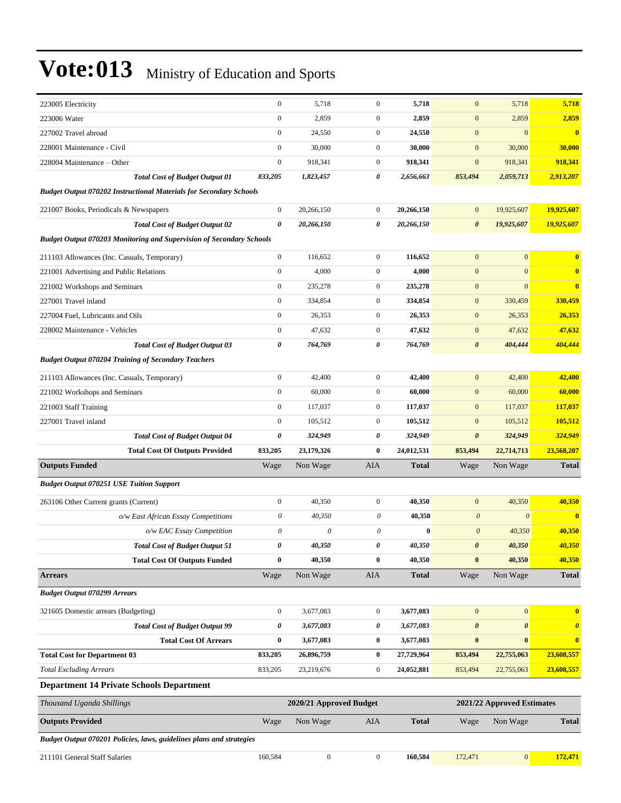| 223005 Electricity                                                          | $\boldsymbol{0}$      | 5,718                   | $\mathbf{0}$     | 5,718        | $\mathbf{0}$          | 5,718                      | 5,718                   |
|-----------------------------------------------------------------------------|-----------------------|-------------------------|------------------|--------------|-----------------------|----------------------------|-------------------------|
| 223006 Water                                                                | $\boldsymbol{0}$      | 2,859                   | $\mathbf{0}$     | 2,859        | $\mathbf{0}$          | 2,859                      | 2,859                   |
| 227002 Travel abroad                                                        | $\boldsymbol{0}$      | 24,550                  | $\boldsymbol{0}$ | 24,550       | $\mathbf{0}$          | $\overline{0}$             | $\overline{\mathbf{0}}$ |
| 228001 Maintenance - Civil                                                  | $\boldsymbol{0}$      | 30,000                  | $\mathbf{0}$     | 30,000       | $\mathbf{0}$          | 30,000                     | 30,000                  |
| 228004 Maintenance – Other                                                  | $\boldsymbol{0}$      | 918,341                 | $\mathbf{0}$     | 918,341      | $\boldsymbol{0}$      | 918,341                    | 918,341                 |
| <b>Total Cost of Budget Output 01</b>                                       | 833,205               | 1,823,457               | 0                | 2,656,663    | 853,494               | 2,059,713                  | 2,913,207               |
| <b>Budget Output 070202 Instructional Materials for Secondary Schools</b>   |                       |                         |                  |              |                       |                            |                         |
| 221007 Books, Periodicals & Newspapers                                      | $\boldsymbol{0}$      | 20,266,150              | $\mathbf{0}$     | 20,266,150   | $\mathbf{0}$          | 19,925,607                 | 19,925,607              |
| <b>Total Cost of Budget Output 02</b>                                       | 0                     | 20,266,150              | 0                | 20,266,150   | $\boldsymbol{\theta}$ | 19,925,607                 | 19,925,607              |
| <b>Budget Output 070203 Monitoring and Supervision of Secondary Schools</b> |                       |                         |                  |              |                       |                            |                         |
| 211103 Allowances (Inc. Casuals, Temporary)                                 | $\boldsymbol{0}$      | 116,652                 | $\boldsymbol{0}$ | 116,652      | $\mathbf{0}$          | $\mathbf{0}$               | $\bf{0}$                |
| 221001 Advertising and Public Relations                                     | $\boldsymbol{0}$      | 4,000                   | $\mathbf{0}$     | 4,000        | $\mathbf{0}$          | $\mathbf{0}$               | $\bf{0}$                |
| 221002 Workshops and Seminars                                               | $\boldsymbol{0}$      | 235,278                 | $\mathbf{0}$     | 235,278      | $\mathbf{0}$          | $\mathbf{0}$               | $\bf{0}$                |
| 227001 Travel inland                                                        | $\boldsymbol{0}$      | 334,854                 | $\mathbf{0}$     | 334,854      | $\boldsymbol{0}$      | 330,459                    | 330,459                 |
| 227004 Fuel, Lubricants and Oils                                            | $\boldsymbol{0}$      | 26,353                  | $\boldsymbol{0}$ | 26,353       | $\boldsymbol{0}$      | 26,353                     | 26,353                  |
| 228002 Maintenance - Vehicles                                               | $\boldsymbol{0}$      | 47,632                  | $\mathbf{0}$     | 47,632       | $\boldsymbol{0}$      | 47,632                     | 47,632                  |
| <b>Total Cost of Budget Output 03</b>                                       | 0                     | 764,769                 | 0                | 764,769      | $\boldsymbol{\theta}$ | 404,444                    | 404,444                 |
| <b>Budget Output 070204 Training of Secondary Teachers</b>                  |                       |                         |                  |              |                       |                            |                         |
| 211103 Allowances (Inc. Casuals, Temporary)                                 | $\boldsymbol{0}$      | 42,400                  | $\boldsymbol{0}$ | 42,400       | $\mathbf{0}$          | 42,400                     | 42,400                  |
| 221002 Workshops and Seminars                                               | $\boldsymbol{0}$      | 60,000                  | $\mathbf{0}$     | 60,000       | $\mathbf{0}$          | 60,000                     | 60,000                  |
| 221003 Staff Training                                                       | $\boldsymbol{0}$      | 117,037                 | $\mathbf{0}$     | 117,037      | $\boldsymbol{0}$      | 117,037                    | 117,037                 |
| 227001 Travel inland                                                        | $\boldsymbol{0}$      | 105,512                 | $\boldsymbol{0}$ | 105,512      | $\boldsymbol{0}$      | 105,512                    | 105,512                 |
| <b>Total Cost of Budget Output 04</b>                                       | 0                     | 324,949                 | 0                | 324,949      | $\pmb{\theta}$        | 324,949                    | 324,949                 |
| <b>Total Cost Of Outputs Provided</b>                                       | 833,205               | 23,179,326              | $\bf{0}$         | 24,012,531   | 853,494               | 22,714,713                 | 23,568,207              |
| <b>Outputs Funded</b>                                                       | Wage                  | Non Wage                | AIA              | <b>Total</b> | Wage                  | Non Wage                   | <b>Total</b>            |
| <b>Budget Output 070251 USE Tuition Support</b>                             |                       |                         |                  |              |                       |                            |                         |
| 263106 Other Current grants (Current)                                       | $\boldsymbol{0}$      | 40,350                  | $\boldsymbol{0}$ | 40,350       | $\mathbf{0}$          | 40,350                     | 40,350                  |
| o/w East African Essay Competitions                                         | $\boldsymbol{\theta}$ | 40,350                  | 0                | 40,350       | $\boldsymbol{\theta}$ | $\theta$                   | $\bf{0}$                |
| o/w EAC Essay Competition                                                   | $\theta$              | $\theta$                | 0                | 0            | $\boldsymbol{\theta}$ | 40,350                     | 40,350                  |
| <b>Total Cost of Budget Output 51</b>                                       | 0                     | 40,350                  | 0                | 40,350       | $\theta$              | 40,350                     | 40,350                  |
| <b>Total Cost Of Outputs Funded</b>                                         | 0                     | 40,350                  | $\bf{0}$         | 40,350       | $\pmb{0}$             | 40,350                     | 40,350                  |
| <b>Arrears</b>                                                              | Wage                  | Non Wage                | AIA              | <b>Total</b> | Wage                  | Non Wage                   | <b>Total</b>            |
| <b>Budget Output 070299 Arrears</b>                                         |                       |                         |                  |              |                       |                            |                         |
| 321605 Domestic arrears (Budgeting)                                         | $\boldsymbol{0}$      | 3,677,083               | $\boldsymbol{0}$ | 3,677,083    | $\mathbf{0}$          | $\mathbf{0}$               | $\bf{0}$                |
| <b>Total Cost of Budget Output 99</b>                                       | 0                     | 3,677,083               | 0                | 3,677,083    | $\pmb{\theta}$        | $\boldsymbol{\theta}$      | $\boldsymbol{\theta}$   |
| <b>Total Cost Of Arrears</b>                                                | 0                     | 3,677,083               | $\bf{0}$         | 3,677,083    | $\pmb{0}$             | $\boldsymbol{0}$           | $\bf{0}$                |
| <b>Total Cost for Department 03</b>                                         | 833,205               | 26,896,759              | $\bf{0}$         | 27,729,964   | 853,494               | 22,755,063                 | 23,608,557              |
| <b>Total Excluding Arrears</b>                                              | 833,205               | 23,219,676              | $\boldsymbol{0}$ | 24,052,881   | 853,494               | 22,755,063                 | 23,608,557              |
| <b>Department 14 Private Schools Department</b>                             |                       |                         |                  |              |                       |                            |                         |
| Thousand Uganda Shillings                                                   |                       | 2020/21 Approved Budget |                  |              |                       | 2021/22 Approved Estimates |                         |
| <b>Outputs Provided</b>                                                     | Wage                  | Non Wage                | AIA              | <b>Total</b> | Wage                  | Non Wage                   | <b>Total</b>            |
| Budget Output 070201 Policies, laws, guidelines plans and strategies        |                       |                         |                  |              |                       |                            |                         |
| 211101 General Staff Salaries                                               | 160,584               | $\boldsymbol{0}$        | $\boldsymbol{0}$ | 160,584      | 172,471               | $\vert 0 \vert$            | 172,471                 |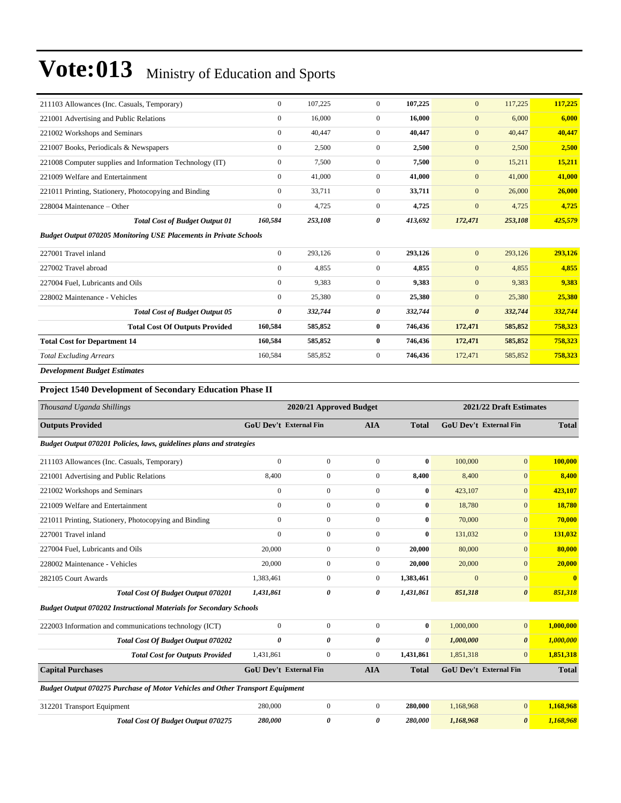| 211103 Allowances (Inc. Casuals, Temporary)                              | $\mathbf{0}$     | 107,225 | $\overline{0}$ | 107.225 | $\overline{0}$        | 117,225 | 117,225 |
|--------------------------------------------------------------------------|------------------|---------|----------------|---------|-----------------------|---------|---------|
| 221001 Advertising and Public Relations                                  | $\overline{0}$   | 16,000  | $\overline{0}$ | 16,000  | $\mathbf{0}$          | 6,000   | 6,000   |
| 221002 Workshops and Seminars                                            | $\overline{0}$   | 40,447  | $\overline{0}$ | 40,447  | $\mathbf{0}$          | 40,447  | 40,447  |
| 221007 Books, Periodicals & Newspapers                                   | $\boldsymbol{0}$ | 2,500   | $\overline{0}$ | 2,500   | $\mathbf{0}$          | 2,500   | 2,500   |
| 221008 Computer supplies and Information Technology (IT)                 | $\boldsymbol{0}$ | 7,500   | $\mathbf{0}$   | 7,500   | $\mathbf{0}$          | 15,211  | 15,211  |
| 221009 Welfare and Entertainment                                         | $\overline{0}$   | 41,000  | $\overline{0}$ | 41,000  | $\mathbf{0}$          | 41,000  | 41,000  |
| 221011 Printing, Stationery, Photocopying and Binding                    | $\boldsymbol{0}$ | 33,711  | $\mathbf{0}$   | 33,711  | $\mathbf{0}$          | 26,000  | 26,000  |
| 228004 Maintenance – Other                                               | $\overline{0}$   | 4,725   | $\mathbf{0}$   | 4,725   | $\mathbf{0}$          | 4,725   | 4,725   |
| <b>Total Cost of Budget Output 01</b>                                    | 160,584          | 253,108 | 0              | 413,692 | 172,471               | 253,108 | 425,579 |
| <b>Budget Output 070205 Monitoring USE Placements in Private Schools</b> |                  |         |                |         |                       |         |         |
| 227001 Travel inland                                                     | $\overline{0}$   | 293,126 | $\overline{0}$ | 293,126 | $\mathbf{0}$          | 293,126 | 293,126 |
| 227002 Travel abroad                                                     | $\overline{0}$   | 4,855   | $\overline{0}$ | 4,855   | $\mathbf{0}$          | 4,855   | 4,855   |
| 227004 Fuel, Lubricants and Oils                                         | $\overline{0}$   | 9,383   | $\overline{0}$ | 9,383   | $\mathbf{0}$          | 9,383   | 9,383   |
| 228002 Maintenance - Vehicles                                            | $\overline{0}$   | 25,380  | $\overline{0}$ | 25,380  | $\mathbf{0}$          | 25,380  | 25,380  |
| <b>Total Cost of Budget Output 05</b>                                    | 0                | 332,744 | 0              | 332,744 | $\boldsymbol{\theta}$ | 332,744 | 332,744 |
| <b>Total Cost Of Outputs Provided</b>                                    | 160,584          | 585,852 | $\bf{0}$       | 746,436 | 172,471               | 585,852 | 758,323 |
| <b>Total Cost for Department 14</b>                                      | 160,584          | 585,852 | $\bf{0}$       | 746,436 | 172,471               | 585,852 | 758,323 |
| <b>Total Excluding Arrears</b>                                           | 160,584          | 585,852 | $\overline{0}$ | 746,436 | 172,471               | 585,852 | 758,323 |
| <b>Development Budget Estimates</b>                                      |                  |         |                |         |                       |         |         |

### **Project 1540 Development of Secondary Education Phase II**

| Thousand Uganda Shillings                                                            |                               | 2020/21 Approved Budget |                  |                       | 2021/22 Draft Estimates |                               |                         |
|--------------------------------------------------------------------------------------|-------------------------------|-------------------------|------------------|-----------------------|-------------------------|-------------------------------|-------------------------|
| <b>Outputs Provided</b>                                                              | <b>GoU Dev't External Fin</b> |                         | <b>AIA</b>       | <b>Total</b>          |                         | GoU Dev't External Fin        | <b>Total</b>            |
| Budget Output 070201 Policies, laws, guidelines plans and strategies                 |                               |                         |                  |                       |                         |                               |                         |
| 211103 Allowances (Inc. Casuals, Temporary)                                          | $\mathbf{0}$                  | $\mathbf{0}$            | $\mathbf{0}$     | $\bf{0}$              | 100,000                 | $\overline{0}$                | 100,000                 |
| 221001 Advertising and Public Relations                                              | 8,400                         | $\boldsymbol{0}$        | $\boldsymbol{0}$ | 8,400                 | 8,400                   | $\overline{0}$                | 8,400                   |
| 221002 Workshops and Seminars                                                        | $\mathbf{0}$                  | $\overline{0}$          | $\mathbf{0}$     | $\bf{0}$              | 423,107                 | $\overline{0}$                | 423,107                 |
| 221009 Welfare and Entertainment                                                     | $\overline{0}$                | $\boldsymbol{0}$        | $\mathbf{0}$     | $\bf{0}$              | 18,780                  | $\overline{0}$                | 18,780                  |
| 221011 Printing, Stationery, Photocopying and Binding                                | $\mathbf{0}$                  | $\overline{0}$          | $\mathbf{0}$     | $\bf{0}$              | 70,000                  | $\overline{0}$                | 70,000                  |
| 227001 Travel inland                                                                 | $\theta$                      | $\overline{0}$          | $\mathbf{0}$     | $\mathbf{0}$          | 131,032                 | $\overline{0}$                | 131,032                 |
| 227004 Fuel, Lubricants and Oils                                                     | 20,000                        | $\boldsymbol{0}$        | $\mathbf{0}$     | 20,000                | 80,000                  | $\Omega$                      | 80,000                  |
| 228002 Maintenance - Vehicles                                                        | 20,000                        | $\boldsymbol{0}$        | $\overline{0}$   | 20,000                | 20,000                  | $\Omega$                      | 20,000                  |
| 282105 Court Awards                                                                  | 1,383,461                     | $\overline{0}$          | $\Omega$         | 1,383,461             | $\overline{0}$          | $\overline{0}$                | $\overline{\mathbf{0}}$ |
| Total Cost Of Budget Output 070201                                                   | 1,431,861                     | $\theta$                | 0                | 1,431,861             | 851,318                 | $\boldsymbol{\theta}$         | 851,318                 |
| <b>Budget Output 070202 Instructional Materials for Secondary Schools</b>            |                               |                         |                  |                       |                         |                               |                         |
| 222003 Information and communications technology (ICT)                               | $\mathbf{0}$                  | $\mathbf{0}$            | $\mathbf{0}$     | $\bf{0}$              | 1,000,000               | $\overline{0}$                | 1,000,000               |
| <b>Total Cost Of Budget Output 070202</b>                                            | 0                             | 0                       | 0                | $\boldsymbol{\theta}$ | 1,000,000               | $\boldsymbol{\theta}$         | 1,000,000               |
| <b>Total Cost for Outputs Provided</b>                                               | 1,431,861                     | $\overline{0}$          | $\mathbf{0}$     | 1,431,861             | 1,851,318               | $\Omega$                      | 1,851,318               |
| <b>Capital Purchases</b>                                                             | <b>GoU Dev't External Fin</b> |                         | <b>AIA</b>       | <b>Total</b>          |                         | <b>GoU Dev't External Fin</b> | <b>Total</b>            |
| <b>Budget Output 070275 Purchase of Motor Vehicles and Other Transport Equipment</b> |                               |                         |                  |                       |                         |                               |                         |
| 312201 Transport Equipment                                                           | 280,000                       | $\overline{0}$          | $\overline{0}$   | 280,000               | 1,168,968               | $\overline{0}$                | 1,168,968               |
| <b>Total Cost Of Budget Output 070275</b>                                            | 280,000                       | $\theta$                | 0                | 280,000               | 1,168,968               | $\boldsymbol{\theta}$         | 1.168.968               |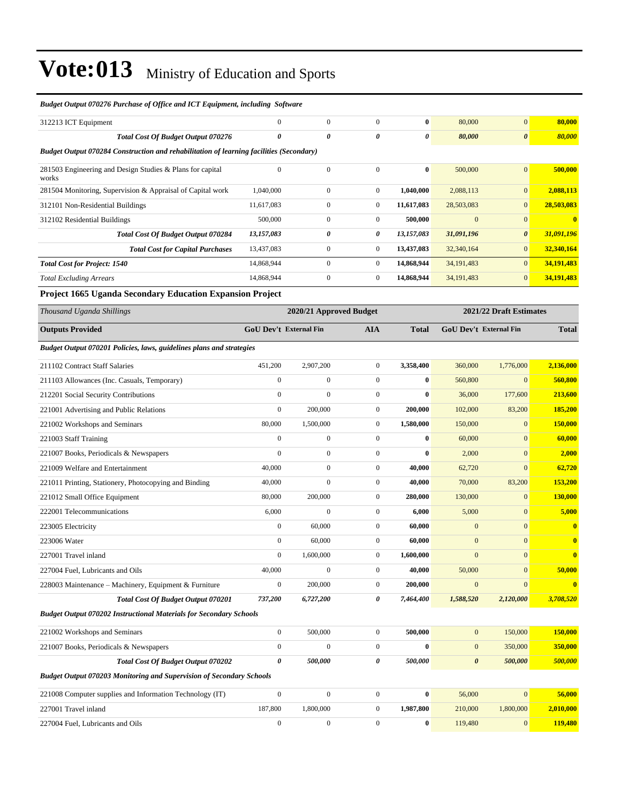| Budget Output 070276 Purchase of Office and ICT Equipment, including Software                  |                  |                               |                  |                  |                       |                               |                         |
|------------------------------------------------------------------------------------------------|------------------|-------------------------------|------------------|------------------|-----------------------|-------------------------------|-------------------------|
| 312213 ICT Equipment                                                                           | $\boldsymbol{0}$ | $\boldsymbol{0}$              | $\overline{0}$   | $\bf{0}$         | 80,000                | $\mathbf{0}$                  | 80,000                  |
| Total Cost Of Budget Output 070276                                                             | 0                | $\pmb{\theta}$                | 0                | 0                | 80,000                | $\boldsymbol{\theta}$         | 80,000                  |
| <b>Budget Output 070284 Construction and rehabilitation of learning facilities (Secondary)</b> |                  |                               |                  |                  |                       |                               |                         |
| 281503 Engineering and Design Studies & Plans for capital<br>works                             | $\boldsymbol{0}$ | $\boldsymbol{0}$              | $\boldsymbol{0}$ | $\bf{0}$         | 500,000               | $\mathbf{0}$                  | 500,000                 |
| 281504 Monitoring, Supervision & Appraisal of Capital work                                     | 1,040,000        | $\boldsymbol{0}$              | $\boldsymbol{0}$ | 1,040,000        | 2,088,113             | $\mathbf{0}$                  | 2,088,113               |
| 312101 Non-Residential Buildings                                                               | 11,617,083       | $\boldsymbol{0}$              | $\boldsymbol{0}$ | 11,617,083       | 28,503,083            | $\mathbf{0}$                  | 28,503,083              |
| 312102 Residential Buildings                                                                   | 500,000          | $\boldsymbol{0}$              | $\boldsymbol{0}$ | 500,000          | $\mathbf{0}$          | $\mathbf{0}$                  | $\bf{0}$                |
| Total Cost Of Budget Output 070284                                                             | 13,157,083       | 0                             | 0                | 13,157,083       | 31,091,196            | $\boldsymbol{\theta}$         | 31,091,196              |
| <b>Total Cost for Capital Purchases</b>                                                        | 13,437,083       | $\boldsymbol{0}$              | $\overline{0}$   | 13,437,083       | 32,340,164            | $\mathbf{0}$                  | 32,340,164              |
| <b>Total Cost for Project: 1540</b>                                                            | 14,868,944       | $\boldsymbol{0}$              | $\overline{0}$   | 14,868,944       | 34, 191, 483          | $\mathbf{0}$                  | 34,191,483              |
| <b>Total Excluding Arrears</b>                                                                 | 14,868,944       | $\boldsymbol{0}$              | $\boldsymbol{0}$ | 14,868,944       | 34, 191, 483          | $\mathbf{0}$                  | 34,191,483              |
| Project 1665 Uganda Secondary Education Expansion Project                                      |                  |                               |                  |                  |                       |                               |                         |
| Thousand Uganda Shillings                                                                      |                  | 2020/21 Approved Budget       |                  |                  |                       | 2021/22 Draft Estimates       |                         |
| <b>Outputs Provided</b>                                                                        |                  | <b>GoU Dev't External Fin</b> | <b>AIA</b>       | Total            |                       | <b>GoU Dev't External Fin</b> | <b>Total</b>            |
| Budget Output 070201 Policies, laws, guidelines plans and strategies                           |                  |                               |                  |                  |                       |                               |                         |
| 211102 Contract Staff Salaries                                                                 | 451,200          | 2,907,200                     | $\boldsymbol{0}$ | 3,358,400        | 360,000               | 1,776,000                     | 2,136,000               |
| 211103 Allowances (Inc. Casuals, Temporary)                                                    | $\boldsymbol{0}$ | $\boldsymbol{0}$              | $\overline{0}$   | $\bf{0}$         | 560,800               | $\mathbf{0}$                  | 560,800                 |
| 212201 Social Security Contributions                                                           | $\mathbf{0}$     | $\mathbf{0}$                  | $\boldsymbol{0}$ | $\bf{0}$         | 36,000                | 177,600                       | 213,600                 |
| 221001 Advertising and Public Relations                                                        | $\mathbf{0}$     | 200,000                       | $\boldsymbol{0}$ | 200,000          | 102,000               | 83,200                        | 185,200                 |
| 221002 Workshops and Seminars                                                                  | 80,000           | 1,500,000                     | $\mathbf{0}$     | 1,580,000        | 150,000               | $\mathbf{0}$                  | 150,000                 |
| 221003 Staff Training                                                                          | $\boldsymbol{0}$ | $\boldsymbol{0}$              | $\boldsymbol{0}$ | $\bf{0}$         | 60,000                | $\mathbf{0}$                  | 60,000                  |
| 221007 Books, Periodicals & Newspapers                                                         | $\mathbf{0}$     | $\boldsymbol{0}$              | $\overline{0}$   | $\bf{0}$         | 2,000                 | $\mathbf{0}$                  | 2,000                   |
| 221009 Welfare and Entertainment                                                               | 40,000           | $\boldsymbol{0}$              | $\boldsymbol{0}$ | 40,000           | 62,720                | $\mathbf{0}$                  | 62,720                  |
| 221011 Printing, Stationery, Photocopying and Binding                                          | 40,000           | $\mathbf{0}$                  | $\boldsymbol{0}$ | 40,000           | 70,000                | 83,200                        | 153,200                 |
| 221012 Small Office Equipment                                                                  | 80,000           | 200,000                       | $\boldsymbol{0}$ | 280,000          | 130,000               | $\mathbf{0}$                  | 130,000                 |
| 222001 Telecommunications                                                                      | 6,000            | $\boldsymbol{0}$              | $\overline{0}$   | 6,000            | 5,000                 | $\mathbf{0}$                  | 5,000                   |
| 223005 Electricity                                                                             | $\boldsymbol{0}$ | 60,000                        | $\boldsymbol{0}$ | 60,000           | $\mathbf{0}$          | $\mathbf{0}$                  | $\bf{0}$                |
| 223006 Water                                                                                   | $\boldsymbol{0}$ | 60,000                        | $\boldsymbol{0}$ | 60,000           | $\mathbf{0}$          | $\mathbf{0}$                  | $\overline{\mathbf{0}}$ |
| 227001 Travel inland                                                                           | $\boldsymbol{0}$ | 1,600,000                     | $\boldsymbol{0}$ | 1,600,000        | $\mathbf{0}$          | $\boldsymbol{0}$              | $\bf{0}$                |
| 227004 Fuel, Lubricants and Oils                                                               | 40,000           | $\boldsymbol{0}$              | $\overline{0}$   | 40,000           | 50,000                | $\mathbf{0}$                  | 50,000                  |
| 228003 Maintenance – Machinery, Equipment & Furniture                                          | $\boldsymbol{0}$ | 200,000                       | $\boldsymbol{0}$ | 200,000          | $\mathbf{0}$          | $\boldsymbol{0}$              | $\bf{0}$                |
| <b>Total Cost Of Budget Output 070201</b>                                                      | 737,200          | 6,727,200                     | 0                | 7,464,400        | 1,588,520             | 2,120,000                     | 3,708,520               |
| <b>Budget Output 070202 Instructional Materials for Secondary Schools</b>                      |                  |                               |                  |                  |                       |                               |                         |
| 221002 Workshops and Seminars                                                                  | $\boldsymbol{0}$ | 500,000                       | $\boldsymbol{0}$ | 500,000          | $\boldsymbol{0}$      | 150,000                       | 150,000                 |
| 221007 Books, Periodicals & Newspapers                                                         | $\boldsymbol{0}$ | $\boldsymbol{0}$              | $\boldsymbol{0}$ | $\bf{0}$         | $\mathbf{0}$          | 350,000                       | 350,000                 |
| <b>Total Cost Of Budget Output 070202</b>                                                      | 0                | 500,000                       | 0                | 500,000          | $\boldsymbol{\theta}$ | 500,000                       | 500,000                 |
| <b>Budget Output 070203 Monitoring and Supervision of Secondary Schools</b>                    |                  |                               |                  |                  |                       |                               |                         |
| 221008 Computer supplies and Information Technology (IT)                                       | $\boldsymbol{0}$ | $\boldsymbol{0}$              | $\boldsymbol{0}$ | 0                | 56,000                | $\boldsymbol{0}$              | 56,000                  |
| 227001 Travel inland                                                                           | 187,800          | 1,800,000                     | $\boldsymbol{0}$ | 1,987,800        | 210,000               | 1,800,000                     | 2,010,000               |
| 227004 Fuel, Lubricants and Oils                                                               | $\boldsymbol{0}$ | $\boldsymbol{0}$              | $\boldsymbol{0}$ | $\boldsymbol{0}$ | 119,480               | $\boldsymbol{0}$              | 119,480                 |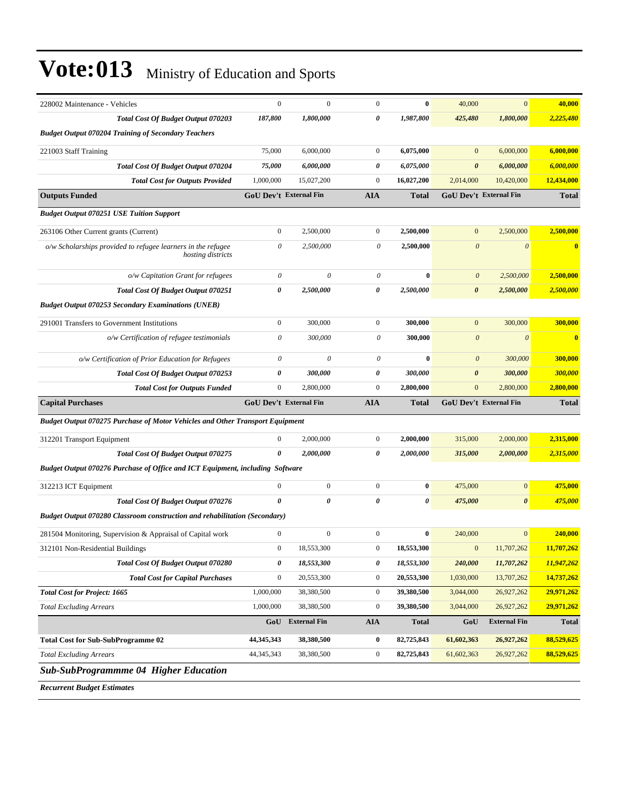| 228002 Maintenance - Vehicles                                                        | $\mathbf{0}$                  | $\mathbf{0}$              | $\mathbf{0}$     | $\bf{0}$     | 40,000                | $\mathbf{0}$                  | 40,000       |
|--------------------------------------------------------------------------------------|-------------------------------|---------------------------|------------------|--------------|-----------------------|-------------------------------|--------------|
| Total Cost Of Budget Output 070203                                                   | 187,800                       | 1,800,000                 | 0                | 1,987,800    | 425,480               | 1,800,000                     | 2,225,480    |
| <b>Budget Output 070204 Training of Secondary Teachers</b>                           |                               |                           |                  |              |                       |                               |              |
| 221003 Staff Training                                                                | 75,000                        | 6,000,000                 | $\boldsymbol{0}$ | 6,075,000    | $\mathbf{0}$          | 6,000,000                     | 6,000,000    |
| Total Cost Of Budget Output 070204                                                   | 75,000                        | 6,000,000                 | 0                | 6,075,000    | 0                     | 6,000,000                     | 6,000,000    |
| <b>Total Cost for Outputs Provided</b>                                               | 1,000,000                     | 15,027,200                | $\boldsymbol{0}$ | 16,027,200   | 2,014,000             | 10,420,000                    | 12,434,000   |
| <b>Outputs Funded</b>                                                                | <b>GoU Dev't External Fin</b> |                           | <b>AIA</b>       | Total        |                       | <b>GoU Dev't External Fin</b> | <b>Total</b> |
| <b>Budget Output 070251 USE Tuition Support</b>                                      |                               |                           |                  |              |                       |                               |              |
| 263106 Other Current grants (Current)                                                | $\mathbf{0}$                  | 2,500,000                 | $\boldsymbol{0}$ | 2,500,000    | $\mathbf{0}$          | 2,500,000                     | 2,500,000    |
| o/w Scholarships provided to refugee learners in the refugee<br>hosting districts    | 0                             | 2,500,000                 | 0                | 2,500,000    | $\boldsymbol{\theta}$ | $\boldsymbol{\theta}$         | $\bf{0}$     |
| o/w Capitation Grant for refugees                                                    | 0                             | $\theta$                  | 0                | $\bf{0}$     | $\boldsymbol{\theta}$ | 2,500,000                     | 2,500,000    |
| Total Cost Of Budget Output 070251                                                   | 0                             | 2,500,000                 | 0                | 2,500,000    | $\boldsymbol{\theta}$ | 2,500,000                     | 2,500,000    |
| <b>Budget Output 070253 Secondary Examinations (UNEB)</b>                            |                               |                           |                  |              |                       |                               |              |
| 291001 Transfers to Government Institutions                                          | $\mathbf{0}$                  | 300,000                   | $\boldsymbol{0}$ | 300,000      | $\mathbf{0}$          | 300,000                       | 300,000      |
| o/w Certification of refugee testimonials                                            | 0                             | 300,000                   | 0                | 300,000      | $\boldsymbol{\theta}$ | $\boldsymbol{\theta}$         | $\bf{0}$     |
| o/w Certification of Prior Education for Refugees                                    | $\boldsymbol{\mathit{0}}$     | $\boldsymbol{\mathit{0}}$ | $\theta$         | $\bf{0}$     | $\boldsymbol{\theta}$ | 300,000                       | 300,000      |
| Total Cost Of Budget Output 070253                                                   | $\boldsymbol{\theta}$         | 300,000                   | 0                | 300,000      | $\boldsymbol{\theta}$ | 300,000                       | 300,000      |
| <b>Total Cost for Outputs Funded</b>                                                 | $\mathbf{0}$                  | 2,800,000                 | $\boldsymbol{0}$ | 2,800,000    | $\mathbf{0}$          | 2,800,000                     | 2,800,000    |
|                                                                                      |                               |                           |                  |              |                       |                               |              |
| <b>Capital Purchases</b>                                                             | <b>GoU Dev't External Fin</b> |                           | <b>AIA</b>       | Total        |                       | <b>GoU Dev't External Fin</b> | <b>Total</b> |
| <b>Budget Output 070275 Purchase of Motor Vehicles and Other Transport Equipment</b> |                               |                           |                  |              |                       |                               |              |
| 312201 Transport Equipment                                                           | $\mathbf{0}$                  | 2,000,000                 | $\boldsymbol{0}$ | 2,000,000    | 315,000               | 2,000,000                     | 2,315,000    |
| Total Cost Of Budget Output 070275                                                   | 0                             | 2,000,000                 | 0                | 2,000,000    | 315,000               | 2,000,000                     | 2,315,000    |
| Budget Output 070276 Purchase of Office and ICT Equipment, including Software        |                               |                           |                  |              |                       |                               |              |
| 312213 ICT Equipment                                                                 | $\mathbf{0}$                  | $\boldsymbol{0}$          | $\boldsymbol{0}$ | $\bf{0}$     | 475,000               | $\mathbf{0}$                  | 475,000      |
| Total Cost Of Budget Output 070276                                                   | $\boldsymbol{\theta}$         | $\theta$                  | 0                | 0            | 475,000               | $\boldsymbol{\theta}$         | 475,000      |
| Budget Output 070280 Classroom construction and rehabilitation (Secondary)           |                               |                           |                  |              |                       |                               |              |
| 281504 Monitoring, Supervision & Appraisal of Capital work                           | $\boldsymbol{0}$              | $\boldsymbol{0}$          | $\boldsymbol{0}$ | $\bf{0}$     | 240,000               | $\mathbf{0}$                  | 240,000      |
| 312101 Non-Residential Buildings                                                     | $\boldsymbol{0}$              | 18,553,300                | $\boldsymbol{0}$ | 18,553,300   |                       | 11,707,262                    | 11,707,262   |
| Total Cost Of Budget Output 070280                                                   | 0                             | 18,553,300                | 0                | 18,553,300   | 240,000               | 11,707,262                    | 11,947,262   |
| <b>Total Cost for Capital Purchases</b>                                              | $\boldsymbol{0}$              | 20,553,300                | $\boldsymbol{0}$ | 20,553,300   | 1,030,000             | 13,707,262                    | 14,737,262   |
| <b>Total Cost for Project: 1665</b>                                                  | 1,000,000                     | 38,380,500                | $\boldsymbol{0}$ | 39,380,500   | 3,044,000             | 26,927,262                    | 29,971,262   |
| <b>Total Excluding Arrears</b>                                                       | 1,000,000                     | 38,380,500                | $\boldsymbol{0}$ | 39,380,500   | 3,044,000             | 26,927,262                    | 29,971,262   |
|                                                                                      | GoU                           | <b>External Fin</b>       | <b>AIA</b>       | <b>Total</b> | GoU                   | <b>External Fin</b>           | <b>Total</b> |
| <b>Total Cost for Sub-SubProgramme 02</b>                                            | 44,345,343                    | 38,380,500                | $\bf{0}$         | 82,725,843   | 61,602,363            | 26,927,262                    | 88,529,625   |
| <b>Total Excluding Arrears</b>                                                       | 44, 345, 343                  | 38,380,500                | $\boldsymbol{0}$ | 82,725,843   | 61,602,363            | 26,927,262                    | 88,529,625   |
| <b>Sub-SubProgrammme 04 Higher Education</b>                                         |                               |                           |                  |              |                       |                               |              |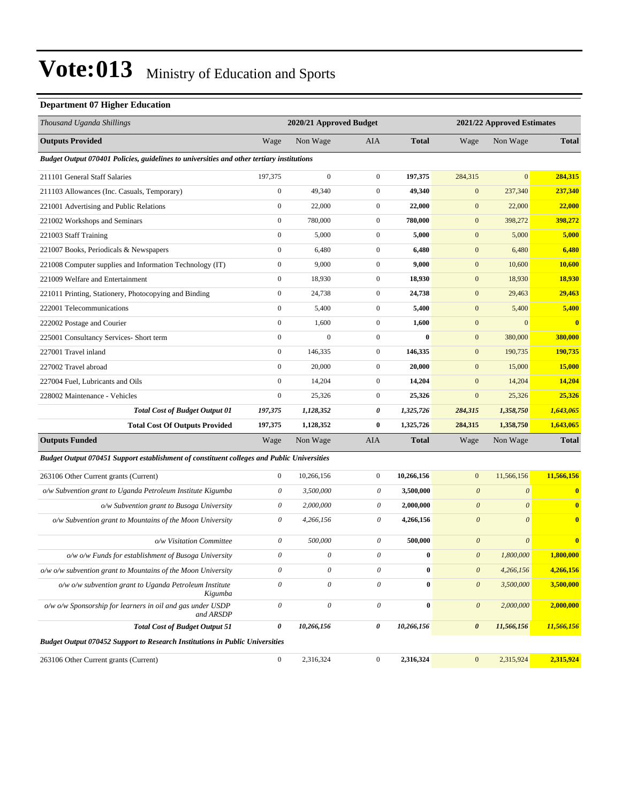### **Department 07 Higher Education**

| Thousand Uganda Shillings                                                                         |                           | 2020/21 Approved Budget   |                           |                  |                           | 2021/22 Approved Estimates |              |
|---------------------------------------------------------------------------------------------------|---------------------------|---------------------------|---------------------------|------------------|---------------------------|----------------------------|--------------|
| <b>Outputs Provided</b>                                                                           | Wage                      | Non Wage                  | AIA                       | <b>Total</b>     | Wage                      | Non Wage                   | <b>Total</b> |
| Budget Output 070401 Policies, guidelines to universities and other tertiary institutions         |                           |                           |                           |                  |                           |                            |              |
| 211101 General Staff Salaries                                                                     | 197,375                   | $\mathbf{0}$              | $\boldsymbol{0}$          | 197,375          | 284,315                   | $\mathbf{0}$               | 284,315      |
| 211103 Allowances (Inc. Casuals, Temporary)                                                       | $\boldsymbol{0}$          | 49,340                    | $\boldsymbol{0}$          | 49,340           | $\boldsymbol{0}$          | 237,340                    | 237,340      |
| 221001 Advertising and Public Relations                                                           | $\boldsymbol{0}$          | 22,000                    | $\boldsymbol{0}$          | 22,000           | $\boldsymbol{0}$          | 22,000                     | 22,000       |
| 221002 Workshops and Seminars                                                                     | $\boldsymbol{0}$          | 780,000                   | $\boldsymbol{0}$          | 780,000          | $\boldsymbol{0}$          | 398,272                    | 398,272      |
| 221003 Staff Training                                                                             | $\boldsymbol{0}$          | 5,000                     | $\boldsymbol{0}$          | 5,000            | $\boldsymbol{0}$          | 5,000                      | 5,000        |
| 221007 Books, Periodicals & Newspapers                                                            | $\boldsymbol{0}$          | 6,480                     | $\boldsymbol{0}$          | 6,480            | $\boldsymbol{0}$          | 6,480                      | 6,480        |
| 221008 Computer supplies and Information Technology (IT)                                          | $\boldsymbol{0}$          | 9,000                     | $\mathbf{0}$              | 9,000            | $\boldsymbol{0}$          | 10,600                     | 10,600       |
| 221009 Welfare and Entertainment                                                                  | $\boldsymbol{0}$          | 18,930                    | $\boldsymbol{0}$          | 18,930           | $\boldsymbol{0}$          | 18,930                     | 18,930       |
| 221011 Printing, Stationery, Photocopying and Binding                                             | $\boldsymbol{0}$          | 24,738                    | $\boldsymbol{0}$          | 24,738           | $\boldsymbol{0}$          | 29,463                     | 29,463       |
| 222001 Telecommunications                                                                         | $\boldsymbol{0}$          | 5,400                     | $\boldsymbol{0}$          | 5,400            | $\mathbf{0}$              | 5,400                      | 5,400        |
| 222002 Postage and Courier                                                                        | $\boldsymbol{0}$          | 1,600                     | $\mathbf{0}$              | 1,600            | $\boldsymbol{0}$          | $\boldsymbol{0}$           |              |
| 225001 Consultancy Services- Short term                                                           | $\boldsymbol{0}$          | $\mathbf{0}$              | $\mathbf{0}$              | $\bf{0}$         | $\boldsymbol{0}$          | 380,000                    | 380,000      |
| 227001 Travel inland                                                                              | $\boldsymbol{0}$          | 146,335                   | $\boldsymbol{0}$          | 146,335          | $\mathbf{0}$              | 190,735                    | 190,735      |
| 227002 Travel abroad                                                                              | $\boldsymbol{0}$          | 20,000                    | $\boldsymbol{0}$          | 20,000           | $\boldsymbol{0}$          | 15,000                     | 15,000       |
| 227004 Fuel, Lubricants and Oils                                                                  | $\boldsymbol{0}$          | 14,204                    | $\boldsymbol{0}$          | 14,204           | $\mathbf{0}$              | 14,204                     | 14,204       |
| 228002 Maintenance - Vehicles                                                                     | $\boldsymbol{0}$          | 25,326                    | $\mathbf{0}$              | 25,326           | $\boldsymbol{0}$          | 25,326                     | 25,326       |
| <b>Total Cost of Budget Output 01</b>                                                             | 197,375                   | 1,128,352                 | 0                         | 1,325,726        | 284,315                   | 1,358,750                  | 1,643,065    |
| <b>Total Cost Of Outputs Provided</b>                                                             | 197,375                   | 1,128,352                 | $\bf{0}$                  | 1,325,726        | 284,315                   | 1,358,750                  | 1,643,065    |
| <b>Outputs Funded</b>                                                                             | Wage                      | Non Wage                  | AIA                       | <b>Total</b>     | Wage                      | Non Wage                   | <b>Total</b> |
| <b>Budget Output 070451 Support establishment of constituent colleges and Public Universities</b> |                           |                           |                           |                  |                           |                            |              |
| 263106 Other Current grants (Current)                                                             | $\boldsymbol{0}$          | 10,266,156                | $\boldsymbol{0}$          | 10,266,156       | $\boldsymbol{0}$          | 11,566,156                 | 11,566,156   |
| o/w Subvention grant to Uganda Petroleum Institute Kigumba                                        | $\boldsymbol{\theta}$     | 3,500,000                 | 0                         | 3,500,000        | $\boldsymbol{\mathit{0}}$ | $\boldsymbol{\theta}$      | $\bf{0}$     |
| o/w Subvention grant to Busoga University                                                         | $\theta$                  | 2,000,000                 | 0                         | 2,000,000        | $\boldsymbol{\theta}$     | $\theta$                   | $\bf{0}$     |
| o/w Subvention grant to Mountains of the Moon University                                          | $\theta$                  | 4,266,156                 | 0                         | 4,266,156        | $\boldsymbol{\theta}$     | $\theta$                   | $\bf{0}$     |
| o/w Visitation Committee                                                                          | $\theta$                  | 500,000                   | $\theta$                  | 500,000          | $\boldsymbol{\theta}$     | $\theta$                   | $\bf{0}$     |
| o/w o/w Funds for establishment of Busoga University                                              | $\boldsymbol{\theta}$     | $\boldsymbol{\mathit{0}}$ | $\boldsymbol{\mathit{0}}$ | $\bf{0}$         | $\boldsymbol{\theta}$     | 1,800,000                  | 1,800,000    |
| o/w o/w subvention grant to Mountains of the Moon University                                      | $\boldsymbol{\mathit{0}}$ | $\boldsymbol{\theta}$     | $\boldsymbol{\mathit{0}}$ | $\boldsymbol{0}$ | $\boldsymbol{\theta}$     | 4,266,156                  | 4,266,156    |
| $o/w$ o/w subvention grant to Uganda Petroleum Institute<br>Kigumba                               | $\boldsymbol{\mathit{0}}$ | $\boldsymbol{\theta}$     | $\boldsymbol{o}$          | $\bf{0}$         | $\boldsymbol{\mathit{0}}$ | 3,500,000                  | 3,500,000    |
| $o/w o/w$ Sponsorship for learners in oil and gas under USDP<br>and ARSDP                         | $\boldsymbol{\mathit{0}}$ | $\boldsymbol{\theta}$     | $\boldsymbol{\theta}$     | $\bf{0}$         | $\boldsymbol{\theta}$     | 2,000,000                  | 2,000,000    |
| <b>Total Cost of Budget Output 51</b>                                                             | 0                         | 10,266,156                | 0                         | 10,266,156       | $\boldsymbol{\theta}$     | 11,566,156                 | 11,566,156   |
| <b>Budget Output 070452 Support to Research Institutions in Public Universities</b>               |                           |                           |                           |                  |                           |                            |              |
| 263106 Other Current grants (Current)                                                             | $\boldsymbol{0}$          | 2,316,324                 | $\boldsymbol{0}$          | 2,316,324        | $\mathbf{0}$              | 2,315,924                  | 2,315,924    |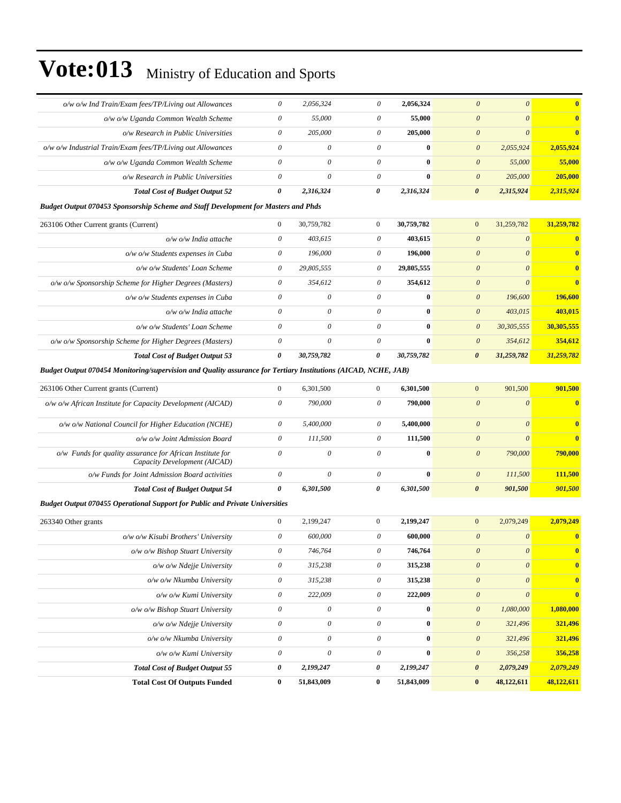| o/w o/w Ind Train/Exam fees/TP/Living out Allowances                                                           | $\theta$                  | 2,056,324                 | $\boldsymbol{\mathit{0}}$ | 2,056,324    | $\boldsymbol{\theta}$<br>$\theta$              | $\bf{0}$                              |
|----------------------------------------------------------------------------------------------------------------|---------------------------|---------------------------|---------------------------|--------------|------------------------------------------------|---------------------------------------|
| o/w o/w Uganda Common Wealth Scheme                                                                            | $\theta$                  | 55,000                    | $\boldsymbol{\theta}$     | 55,000       | $\theta$<br>$\theta$                           | $\bf{0}$                              |
| o/w Research in Public Universities                                                                            | $\boldsymbol{\mathit{0}}$ | 205,000                   | $\boldsymbol{\theta}$     | 205,000      | $\boldsymbol{\theta}$<br>$\theta$              | $\bf{0}$                              |
| o/w o/w Industrial Train/Exam fees/TP/Living out Allowances                                                    | $\boldsymbol{\theta}$     | $\boldsymbol{\mathit{0}}$ | $\boldsymbol{\mathit{0}}$ | $\bf{0}$     | $\boldsymbol{\theta}$<br>2,055,924             | 2,055,924                             |
| o/w o/w Uganda Common Wealth Scheme                                                                            | $\boldsymbol{\mathit{0}}$ | $\theta$                  | $\mathcal O$              | $\bf{0}$     | $\boldsymbol{\theta}$<br>55,000                | 55,000                                |
| o/w Research in Public Universities                                                                            | 0                         | $\theta$                  | $\boldsymbol{\theta}$     | $\bf{0}$     | $\boldsymbol{\theta}$<br>205,000               | 205,000                               |
| <b>Total Cost of Budget Output 52</b>                                                                          | $\boldsymbol{\theta}$     | 2,316,324                 | 0                         | 2,316,324    | $\boldsymbol{\theta}$<br>2,315,924             | 2,315,924                             |
| <b>Budget Output 070453 Sponsorship Scheme and Staff Development for Masters and Phds</b>                      |                           |                           |                           |              |                                                |                                       |
| 263106 Other Current grants (Current)                                                                          | $\boldsymbol{0}$          | 30,759,782                | $\mathbf{0}$              | 30,759,782   | $\boldsymbol{0}$<br>31,259,782                 | 31,259,782                            |
| o/w o/w India attache                                                                                          | $\theta$                  | 403,615                   | $\boldsymbol{\theta}$     | 403,615      | $\boldsymbol{\theta}$<br>$\theta$              | $\bf{0}$                              |
| o/w o/w Students expenses in Cuba                                                                              | $\boldsymbol{\theta}$     | 196,000                   | $\boldsymbol{\theta}$     | 196,000      | $\boldsymbol{\theta}$                          | $\theta$<br>$\bf{0}$                  |
| o/w o/w Students' Loan Scheme                                                                                  | $\theta$                  | 29,805,555                | $\theta$                  | 29,805,555   | $\boldsymbol{\theta}$<br>$\theta$              | $\mathbf{0}$                          |
| o/w o/w Sponsorship Scheme for Higher Degrees (Masters)                                                        | 0                         | 354,612                   | 0                         | 354,612      | $\boldsymbol{\theta}$<br>$\theta$              | $\bf{0}$                              |
| o/w o/w Students expenses in Cuba                                                                              | $\boldsymbol{\mathit{0}}$ | $\boldsymbol{\mathit{0}}$ | $\boldsymbol{\theta}$     | $\bf{0}$     | $\boldsymbol{\theta}$<br>196,600               | 196,600                               |
| o/w o/w India attache                                                                                          | $\boldsymbol{\theta}$     | $\theta$                  | $\boldsymbol{\theta}$     | $\bf{0}$     | $\boldsymbol{\theta}$<br>403,015               | 403,015                               |
| o/w o/w Students' Loan Scheme                                                                                  | $\boldsymbol{\theta}$     | $\theta$                  | $\boldsymbol{\mathit{0}}$ | $\bf{0}$     | $\boldsymbol{\theta}$<br>30,305,555            | 30,305,555                            |
| o/w o/w Sponsorship Scheme for Higher Degrees (Masters)                                                        | $\boldsymbol{\mathit{0}}$ | $\boldsymbol{\mathit{0}}$ | $\boldsymbol{\theta}$     | $\bf{0}$     | $\boldsymbol{0}$<br>354,612                    | 354,612                               |
| <b>Total Cost of Budget Output 53</b>                                                                          | $\boldsymbol{\theta}$     | 30,759,782                | 0                         | 30,759,782   | $\boldsymbol{\theta}$<br>31,259,782            | 31,259,782                            |
| Budget Output 070454 Monitoring/supervision and Quality assurance for Tertiary Institutions (AICAD, NCHE, JAB) |                           |                           |                           |              |                                                |                                       |
| 263106 Other Current grants (Current)                                                                          | $\boldsymbol{0}$          | 6,301,500                 | $\overline{0}$            | 6,301,500    | $\boldsymbol{0}$<br>901,500                    | 901,500                               |
| o/w o/w African Institute for Capacity Development (AICAD)                                                     | $\boldsymbol{\theta}$     | 790,000                   | $\boldsymbol{\theta}$     | 790,000      | $\boldsymbol{\theta}$<br>$\theta$              | $\bf{0}$                              |
| o/w o/w National Council for Higher Education (NCHE)                                                           | $\theta$                  | 5,400,000                 | $\boldsymbol{\theta}$     | 5,400,000    | $\boldsymbol{\theta}$<br>$\boldsymbol{\theta}$ | $\bf{0}$                              |
| o/w o/w Joint Admission Board                                                                                  | $\theta$                  | 111,500                   | $\boldsymbol{\mathit{0}}$ | 111,500      | $\theta$<br>$\boldsymbol{\theta}$              | $\mathbf{0}$                          |
| o/w Funds for quality assurance for African Institute for<br>Capacity Development (AICAD)                      | $\boldsymbol{\theta}$     | $\theta$                  | $\boldsymbol{\theta}$     | $\mathbf{0}$ | $\boldsymbol{0}$<br>790,000                    | 790,000                               |
| o/w Funds for Joint Admission Board activities                                                                 | $\boldsymbol{\theta}$     | $\theta$                  | $\boldsymbol{\theta}$     | $\bf{0}$     | $\boldsymbol{0}$<br>111,500                    | 111,500                               |
| <b>Total Cost of Budget Output 54</b>                                                                          | $\boldsymbol{\theta}$     | 6,301,500                 | 0                         | 6,301,500    | $\boldsymbol{\theta}$<br>901,500               | 901,500                               |
| <b>Budget Output 070455 Operational Support for Public and Private Universities</b>                            |                           |                           |                           |              |                                                |                                       |
| 263340 Other grants                                                                                            | $\boldsymbol{0}$          | 2,199,247                 | $\boldsymbol{0}$          | 2,199,247    | $\mathbf{0}$<br>2,079,249                      | 2,079,249                             |
| o/w o/w Kisubi Brothers' University                                                                            | $\theta$                  | 600,000                   | $\boldsymbol{\theta}$     | 600,000      | $\boldsymbol{\theta}$<br>$\boldsymbol{\theta}$ | $\bf{0}$                              |
| o/w o/w Bishop Stuart University                                                                               | 0                         | 746,764                   | 0                         | 746,764      | $\theta$<br>$\boldsymbol{\theta}$              |                                       |
| o/w o/w Ndejje University                                                                                      | $\theta$                  | 315,238                   | $\theta$                  | 315,238      | $\boldsymbol{\theta}$                          | $\boldsymbol{\theta}$<br>$\bullet$    |
| o/w o/w Nkumba University                                                                                      | $\boldsymbol{\mathit{0}}$ | 315,238                   | $\theta$                  | 315,238      | $\boldsymbol{\mathit{0}}$                      | $\boldsymbol{\theta}$<br>$\mathbf{0}$ |
| o/w o/w Kumi University                                                                                        | $\boldsymbol{\mathit{0}}$ | 222,009                   | $\boldsymbol{\mathit{0}}$ | 222,009      | $\boldsymbol{\theta}$<br>$\boldsymbol{\theta}$ | $\bf{0}$                              |
| o/w o/w Bishop Stuart University                                                                               | $\boldsymbol{\mathit{0}}$ | 0                         | $\theta$                  | $\bf{0}$     | 1,080,000<br>$\boldsymbol{\theta}$             | 1,080,000                             |
| o/w o/w Ndejje University                                                                                      | $\boldsymbol{\mathit{0}}$ | $\boldsymbol{\mathit{0}}$ | $\boldsymbol{\mathit{0}}$ | $\bf{0}$     | $\boldsymbol{\theta}$<br>321,496               | 321,496                               |
| o/w o/w Nkumba University                                                                                      | $\boldsymbol{\theta}$     | 0                         | $\theta$                  | $\bf{0}$     | 321,496<br>$\boldsymbol{\theta}$               | 321,496                               |
| o/w o/w Kumi University                                                                                        | $\theta$                  | $\boldsymbol{\mathit{0}}$ | $\theta$                  | $\bf{0}$     | $\boldsymbol{\theta}$<br>356,258               | 356,258                               |
| <b>Total Cost of Budget Output 55</b>                                                                          | 0                         | 2,199,247                 | 0                         | 2,199,247    | 0<br>2,079,249                                 | 2,079,249                             |
| <b>Total Cost Of Outputs Funded</b>                                                                            | $\bf{0}$                  | 51,843,009                | $\bf{0}$                  | 51,843,009   | $\pmb{0}$<br>48,122,611                        | 48,122,611                            |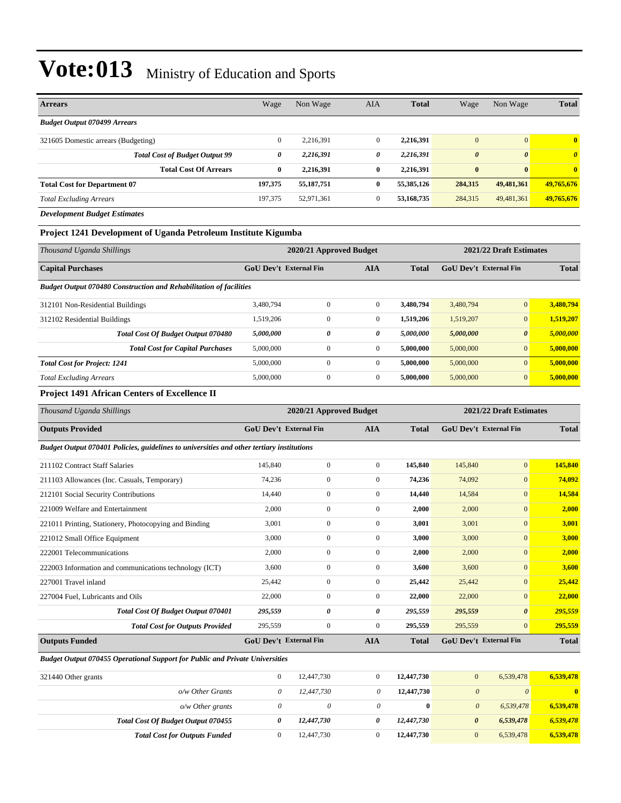| <b>Arrears</b>                              | Wage         | Non Wage     | AIA            | <b>Total</b> | Wage                  | Non Wage              | <b>Total</b> |
|---------------------------------------------|--------------|--------------|----------------|--------------|-----------------------|-----------------------|--------------|
| <b>Budget Output 070499 Arrears</b>         |              |              |                |              |                       |                       |              |
| 321605 Domestic arrears (Budgeting)         | $\mathbf{0}$ | 2,216,391    | $\mathbf{0}$   | 2,216,391    | $\overline{0}$        | $\overline{0}$        | $\mathbf{0}$ |
| <b>Total Cost of Budget Output 99</b>       | 0            | 2,216,391    | 0              | 2,216,391    | $\boldsymbol{\theta}$ | $\boldsymbol{\theta}$ | $\theta$     |
| <b>Total Cost Of Arrears</b>                | $\bf{0}$     | 2,216,391    | $\mathbf{0}$   | 2,216,391    | $\bf{0}$              | $\mathbf{0}$          | $\mathbf{0}$ |
| <b>Total Cost for Department 07</b>         | 197,375      | 55, 187, 751 | $\mathbf{0}$   | 55,385,126   | 284,315               | 49,481,361            | 49,765,676   |
| <b>Total Excluding Arrears</b>              | 197,375      | 52,971,361   | $\overline{0}$ | 53,168,735   | 284,315               | 49,481,361            | 49,765,676   |
| $\mathbf{r}$ is the state of $\mathbf{r}$ . |              |              |                |              |                       |                       |              |

*Development Budget Estimates*

#### **Project 1241 Development of Uganda Petroleum Institute Kigumba**

| Thousand Uganda Shillings                                                 |                               | 2020/21 Approved Budget |              |              | 2021/22 Draft Estimates       |                       |              |
|---------------------------------------------------------------------------|-------------------------------|-------------------------|--------------|--------------|-------------------------------|-----------------------|--------------|
| <b>Capital Purchases</b>                                                  | <b>GoU Dev't External Fin</b> |                         | <b>AIA</b>   | <b>Total</b> | <b>GoU</b> Dev't External Fin |                       | <b>Total</b> |
| <b>Budget Output 070480 Construction and Rehabilitation of facilities</b> |                               |                         |              |              |                               |                       |              |
| 312101 Non-Residential Buildings                                          | 3,480,794                     | $\mathbf{0}$            | $\mathbf{0}$ | 3,480,794    | 3,480,794                     | $\overline{0}$        | 3,480,794    |
| 312102 Residential Buildings                                              | 1,519,206                     | 0                       | $\mathbf{0}$ | 1,519,206    | 1,519,207                     | $\mathbf{0}$          | 1,519,207    |
| Total Cost Of Budget Output 070480                                        | 5,000,000                     | 0                       | 0            | 5,000,000    | 5,000,000                     | $\boldsymbol{\theta}$ | 5,000,000    |
| <b>Total Cost for Capital Purchases</b>                                   | 5,000,000                     | 0                       | $\mathbf{0}$ | 5,000,000    | 5,000,000                     | $\overline{0}$        | 5,000,000    |
| <b>Total Cost for Project: 1241</b>                                       | 5,000,000                     | $\mathbf{0}$            | $\mathbf{0}$ | 5,000,000    | 5,000,000                     | $\overline{0}$        | 5,000,000    |
| <b>Total Excluding Arrears</b>                                            | 5,000,000                     | 0                       | $\mathbf{0}$ | 5,000,000    | 5,000,000                     | $\overline{0}$        | 5,000,000    |

#### **Project 1491 African Centers of Excellence II**

| Thousand Uganda Shillings                                                                 |                               | 2020/21 Approved Budget |                |              |                               | 2021/22 Draft Estimates |              |  |
|-------------------------------------------------------------------------------------------|-------------------------------|-------------------------|----------------|--------------|-------------------------------|-------------------------|--------------|--|
| <b>Outputs Provided</b>                                                                   | <b>GoU Dev't External Fin</b> |                         | <b>AIA</b>     | <b>Total</b> | <b>GoU</b> Dev't External Fin |                         | <b>Total</b> |  |
| Budget Output 070401 Policies, guidelines to universities and other tertiary institutions |                               |                         |                |              |                               |                         |              |  |
| 211102 Contract Staff Salaries                                                            | 145,840                       | $\mathbf{0}$            | $\overline{0}$ | 145,840      | 145,840                       | $\mathbf{0}$            | 145,840      |  |
| 211103 Allowances (Inc. Casuals, Temporary)                                               | 74,236                        | $\overline{0}$          | $\overline{0}$ | 74,236       | 74,092                        | $\overline{0}$          | 74,092       |  |
| 212101 Social Security Contributions                                                      | 14,440                        | $\overline{0}$          | $\overline{0}$ | 14,440       | 14,584                        | $\overline{0}$          | 14,584       |  |
| 221009 Welfare and Entertainment                                                          | 2,000                         | $\overline{0}$          | $\mathbf{0}$   | 2,000        | 2,000                         | $\overline{0}$          | 2,000        |  |
| 221011 Printing, Stationery, Photocopying and Binding                                     | 3,001                         | $\mathbf{0}$            | $\mathbf{0}$   | 3,001        | 3,001                         | $\overline{0}$          | 3,001        |  |
| 221012 Small Office Equipment                                                             | 3.000                         | $\mathbf{0}$            | $\mathbf{0}$   | 3.000        | 3,000                         | $\mathbf{0}$            | 3.000        |  |
| 222001 Telecommunications                                                                 | 2,000                         | $\overline{0}$          | $\mathbf{0}$   | 2,000        | 2,000                         | $\overline{0}$          | 2,000        |  |
| 222003 Information and communications technology (ICT)                                    | 3,600                         | $\overline{0}$          | $\overline{0}$ | 3,600        | 3,600                         | $\mathbf{0}$            | 3,600        |  |
| 227001 Travel inland                                                                      | 25,442                        | $\overline{0}$          | $\overline{0}$ | 25,442       | 25,442                        | $\mathbf{0}$            | 25,442       |  |
| 227004 Fuel, Lubricants and Oils                                                          | 22,000                        | 0                       | $\overline{0}$ | 22,000       | 22,000                        | $\overline{0}$          | 22,000       |  |
| <b>Total Cost Of Budget Output 070401</b>                                                 | 295,559                       | 0                       | 0              | 295,559      | 295,559                       | $\boldsymbol{\theta}$   | 295,559      |  |
| <b>Total Cost for Outputs Provided</b>                                                    | 295,559                       | 0                       | $\mathbf{0}$   | 295,559      | 295,559                       | $\overline{0}$          | 295,559      |  |
| <b>Outputs Funded</b>                                                                     | <b>GoU Dev't External Fin</b> |                         | <b>AIA</b>     | <b>Total</b> | <b>GoU Dev't External Fin</b> |                         | <b>Total</b> |  |

*Budget Output 070455 Operational Support for Public and Private Universities*

| 321440 Other grants                  |   | 12,447,730 | 12,447,730 | 6,539,478<br>$\mathbf{0}$ | 6,539,478 |
|--------------------------------------|---|------------|------------|---------------------------|-----------|
| o/w Other Grants                     | 0 | 12,447,730 | 12,447,730 | $\theta$<br>0             | $\bf{0}$  |
| $o/w$ Other grants                   | 0 | 0          | 0          | 6.539.478<br>$\theta$     | 6,539,478 |
| Total Cost Of Budget Output 070455   |   | 12,447,730 | 12,447,730 | 6,539,478<br>0            | 6,539,478 |
| <b>Total Cost for Outputs Funded</b> |   | 12,447,730 | 12,447,730 | 6,539,478<br>$\mathbf{0}$ | 6,539,478 |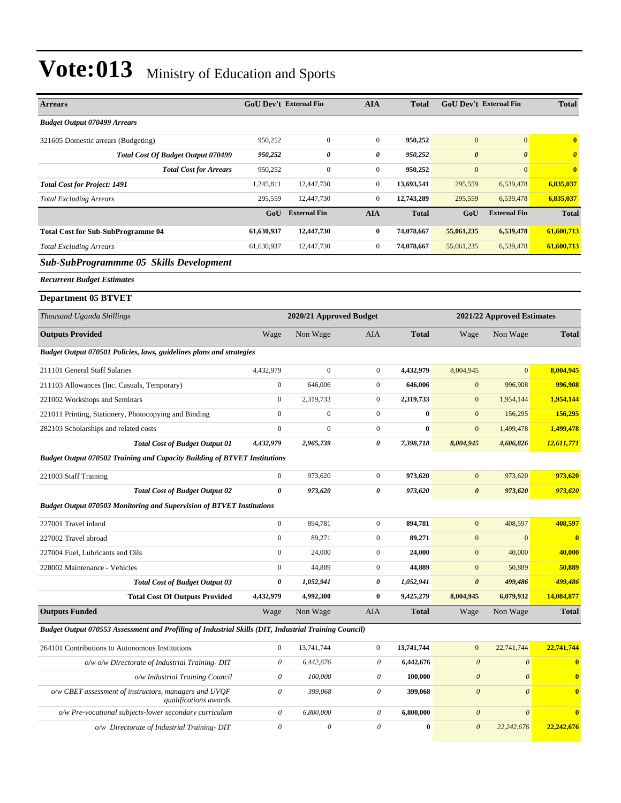| <b>Arrears</b>                                                                                        | <b>GoU Dev't External Fin</b> |                         | AIA              | <b>Total</b> | <b>GoU Dev't External Fin</b> |                            | <b>Total</b>          |
|-------------------------------------------------------------------------------------------------------|-------------------------------|-------------------------|------------------|--------------|-------------------------------|----------------------------|-----------------------|
| <b>Budget Output 070499 Arrears</b>                                                                   |                               |                         |                  |              |                               |                            |                       |
| 321605 Domestic arrears (Budgeting)                                                                   | 950,252                       | $\boldsymbol{0}$        | $\mathbf{0}$     | 950,252      | $\mathbf{0}$                  | $\boldsymbol{0}$           | $\bf{0}$              |
| Total Cost Of Budget Output 070499                                                                    | 950,252                       | 0                       | 0                | 950,252      | $\boldsymbol{\theta}$         | $\boldsymbol{\theta}$      | $\boldsymbol{\theta}$ |
| <b>Total Cost for Arrears</b>                                                                         | 950,252                       | $\mathbf{0}$            | $\overline{0}$   | 950,252      | $\mathbf{0}$                  | $\overline{0}$             | $\bf{0}$              |
| <b>Total Cost for Project: 1491</b>                                                                   | 1,245,811                     | 12,447,730              | $\mathbf{0}$     | 13,693,541   | 295,559                       | 6,539,478                  | 6,835,037             |
| <b>Total Excluding Arrears</b>                                                                        | 295,559                       | 12,447,730              | $\mathbf{0}$     | 12,743,289   | 295,559                       | 6,539,478                  | 6,835,037             |
|                                                                                                       | GoU                           | <b>External Fin</b>     | AIA              | <b>Total</b> | GoU                           | <b>External Fin</b>        | <b>Total</b>          |
| <b>Total Cost for Sub-SubProgramme 04</b>                                                             | 61,630,937                    | 12,447,730              | $\bf{0}$         | 74,078,667   | 55,061,235                    | 6,539,478                  | 61,600,713            |
| <b>Total Excluding Arrears</b>                                                                        | 61,630,937                    | 12,447,730              | $\mathbf{0}$     | 74,078,667   | 55,061,235                    | 6,539,478                  | 61,600,713            |
| Sub-SubProgrammme 05 Skills Development                                                               |                               |                         |                  |              |                               |                            |                       |
| <b>Recurrent Budget Estimates</b>                                                                     |                               |                         |                  |              |                               |                            |                       |
| <b>Department 05 BTVET</b>                                                                            |                               |                         |                  |              |                               |                            |                       |
| Thousand Uganda Shillings                                                                             |                               | 2020/21 Approved Budget |                  |              |                               | 2021/22 Approved Estimates |                       |
| <b>Outputs Provided</b>                                                                               | Wage                          | Non Wage                | <b>AIA</b>       | <b>Total</b> | Wage                          | Non Wage                   | <b>Total</b>          |
| Budget Output 070501 Policies, laws, guidelines plans and strategies                                  |                               |                         |                  |              |                               |                            |                       |
| 211101 General Staff Salaries                                                                         | 4,432,979                     | $\boldsymbol{0}$        | $\mathbf{0}$     | 4,432,979    | 8,004,945                     | $\mathbf{0}$               | 8,004,945             |
| 211103 Allowances (Inc. Casuals, Temporary)                                                           | $\boldsymbol{0}$              | 646,006                 | $\boldsymbol{0}$ | 646,006      | $\mathbf{0}$                  | 996,908                    | 996,908               |
| 221002 Workshops and Seminars                                                                         | $\boldsymbol{0}$              | 2,319,733               | $\boldsymbol{0}$ | 2,319,733    | $\mathbf{0}$                  | 1,954,144                  | 1,954,144             |
| 221011 Printing, Stationery, Photocopying and Binding                                                 | $\mathbf{0}$                  | $\mathbf{0}$            | $\mathbf{0}$     | $\bf{0}$     | $\mathbf{0}$                  | 156,295                    | 156,295               |
| 282103 Scholarships and related costs                                                                 | $\boldsymbol{0}$              | $\mathbf{0}$            | $\mathbf{0}$     | $\bf{0}$     | $\mathbf{0}$                  | 1,499,478                  | 1,499,478             |
| <b>Total Cost of Budget Output 01</b>                                                                 | 4,432,979                     | 2,965,739               | 0                | 7,398,718    | 8,004,945                     | 4,606,826                  | 12,611,771            |
| Budget Output 070502 Training and Capacity Building of BTVET Institutions                             |                               |                         |                  |              |                               |                            |                       |
| 221003 Staff Training                                                                                 | $\boldsymbol{0}$              | 973,620                 | $\mathbf{0}$     | 973,620      | $\mathbf{0}$                  | 973,620                    | 973,620               |
| <b>Total Cost of Budget Output 02</b>                                                                 | $\boldsymbol{\theta}$         | 973,620                 | 0                | 973,620      | $\boldsymbol{\theta}$         | 973,620                    | 973,620               |
| <b>Budget Output 070503 Monitoring and Supervision of BTVET Institutions</b>                          |                               |                         |                  |              |                               |                            |                       |
| 227001 Travel inland                                                                                  | $\boldsymbol{0}$              | 894,781                 | $\overline{0}$   | 894,781      | $\mathbf{0}$                  | 408,597                    | 408,597               |
| 227002 Travel abroad                                                                                  | $\boldsymbol{0}$              | 89,271                  | $\mathbf{0}$     | 89,271       | $\mathbf{0}$                  | $\boldsymbol{0}$           | $\bf{0}$              |
| 227004 Fuel, Lubricants and Oils                                                                      | $\boldsymbol{0}$              | 24,000                  | $\mathbf{0}$     | 24,000       | $\boldsymbol{0}$              | 40,000                     | 40,000                |
| 228002 Maintenance - Vehicles                                                                         | $\boldsymbol{0}$              | 44,889                  | $\mathbf{0}$     | 44,889       | $\boldsymbol{0}$              | 50,889                     | 50,889                |
| <b>Total Cost of Budget Output 03</b>                                                                 | 0                             | 1,052,941               | 0                | 1,052,941    | $\boldsymbol{\theta}$         | 499,486                    | 499,486               |
| <b>Total Cost Of Outputs Provided</b>                                                                 | 4,432,979                     | 4,992,300               | $\bf{0}$         | 9,425,279    | 8,004,945                     | 6,079,932                  | 14,084,877            |
| <b>Outputs Funded</b>                                                                                 | Wage                          | Non Wage                | AIA              | <b>Total</b> | Wage                          | Non Wage                   | <b>Total</b>          |
| Budget Output 070553 Assessment and Profiling of Industrial Skills (DIT, Industrial Training Council) |                               |                         |                  |              |                               |                            |                       |
| 264101 Contributions to Autonomous Institutions                                                       | $\boldsymbol{0}$              | 13,741,744              | $\mathbf{0}$     | 13,741,744   | $\boldsymbol{0}$              | 22,741,744                 | 22,741,744            |
| o/w o/w Directorate of Industrial Training- DIT                                                       | $\theta$                      | 6,442,676               | 0                | 6,442,676    | $\boldsymbol{\theta}$         | $\boldsymbol{\theta}$      | $\bf{0}$              |
| o/w Industrial Training Council                                                                       | $\theta$                      | 100,000                 | 0                | 100,000      | $\boldsymbol{\theta}$         | $\boldsymbol{\theta}$      | $\mathbf{0}$          |
| $o/w$ CBET assessment of instructors, managers and UVQF<br>qualifications awards.                     | $\boldsymbol{\theta}$         | 399,068                 | $\theta$         | 399,068      | $\boldsymbol{\theta}$         | $\boldsymbol{\theta}$      | $\bf{0}$              |
| o/w Pre-vocational subjects-lower secondary curriculum                                                | $\boldsymbol{\mathit{0}}$     | 6,800,000               | $\mathcal O$     | 6,800,000    | $\boldsymbol{\theta}$         | $\boldsymbol{\theta}$      | $\mathbf{0}$          |
| o/w Directorate of Industrial Training- DIT                                                           | $\boldsymbol{\mathit{0}}$     | $\boldsymbol{\theta}$   | $\theta$         | $\bf{0}$     | $\boldsymbol{\theta}$         | 22,242,676                 | 22,242,676            |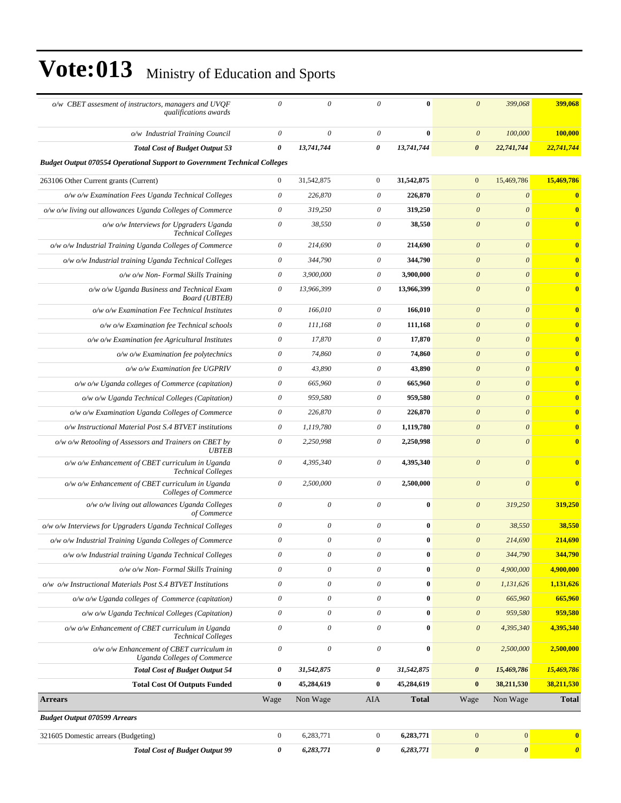| o/w CBET assesment of instructors, managers and UVQF<br>qualifications awards    | $\boldsymbol{\mathit{0}}$ | $\theta$                  | $\theta$                  | $\mathbf{0}$ | $\boldsymbol{\theta}$     | 399,068               | 399,068                 |
|----------------------------------------------------------------------------------|---------------------------|---------------------------|---------------------------|--------------|---------------------------|-----------------------|-------------------------|
| o/w Industrial Training Council                                                  | $\theta$                  | $\boldsymbol{\mathit{0}}$ | 0                         | $\bf{0}$     | $\theta$                  | 100,000               | 100,000                 |
| <b>Total Cost of Budget Output 53</b>                                            | 0                         | 13,741,744                | 0                         | 13,741,744   | $\boldsymbol{\theta}$     | 22,741,744            | 22,741,744              |
| <b>Budget Output 070554 Operational Support to Government Technical Colleges</b> |                           |                           |                           |              |                           |                       |                         |
| 263106 Other Current grants (Current)                                            | $\mathbf{0}$              | 31,542,875                | $\mathbf{0}$              | 31,542,875   | $\mathbf{0}$              | 15,469,786            | 15,469,786              |
| o/w o/w Examination Fees Uganda Technical Colleges                               | $\theta$                  | 226,870                   | $\theta$                  | 226,870      | $\boldsymbol{\theta}$     | $\boldsymbol{\theta}$ | $\mathbf{0}$            |
| o/w o/w living out allowances Uganda Colleges of Commerce                        | $\theta$                  | 319,250                   | $\theta$                  | 319,250      | $\boldsymbol{\theta}$     | $\theta$              | $\overline{\mathbf{0}}$ |
| o/w o/w Interviews for Upgraders Uganda<br><b>Technical Colleges</b>             | 0                         | 38,550                    | $\theta$                  | 38,550       | $\boldsymbol{\theta}$     | $\theta$              | $\mathbf{0}$            |
| o/w o/w Industrial Training Uganda Colleges of Commerce                          | 0                         | 214,690                   | $\theta$                  | 214,690      | $\boldsymbol{0}$          | $\boldsymbol{\theta}$ | $\mathbf{0}$            |
| o/w o/w Industrial training Uganda Technical Colleges                            | $\boldsymbol{\theta}$     | 344,790                   | $\theta$                  | 344,790      | $\boldsymbol{\theta}$     | $\mathcal{O}$         | $\mathbf{0}$            |
| $o/w$ $o/w$ Non- Formal Skills Training                                          | $\theta$                  | 3,900,000                 | $\boldsymbol{\theta}$     | 3,900,000    | $\theta$                  | $\boldsymbol{\theta}$ | $\mathbf{0}$            |
| o/w o/w Uganda Business and Technical Exam<br><b>Board</b> ( <b>UBTEB</b> )      | $\boldsymbol{\theta}$     | 13,966,399                | $\theta$                  | 13,966,399   | $\theta$                  | $\boldsymbol{\theta}$ | $\mathbf{0}$            |
| o/w o/w Examination Fee Technical Institutes                                     | $\boldsymbol{\theta}$     | 166,010                   | $\theta$                  | 166,010      | $\theta$                  | $\boldsymbol{\theta}$ | $\mathbf{0}$            |
| o/w o/w Examination fee Technical schools                                        | $\boldsymbol{\theta}$     | 111,168                   | $\theta$                  | 111,168      | $\boldsymbol{\theta}$     | $\boldsymbol{\theta}$ | $\mathbf{0}$            |
| o/w o/w Examination fee Agricultural Institutes                                  | 0                         | 17,870                    | $\theta$                  | 17,870       | $\boldsymbol{\theta}$     | $\boldsymbol{\theta}$ | $\mathbf{0}$            |
| $o/w$ $o/w$ Examination fee polytechnics                                         | $\boldsymbol{\theta}$     | 74,860                    | $\boldsymbol{\theta}$     | 74,860       | $\boldsymbol{\theta}$     | $\theta$              | $\mathbf{0}$            |
| o/w o/w Examination fee UGPRIV                                                   | $\theta$                  | 43,890                    | $\theta$                  | 43,890       | $\boldsymbol{\theta}$     | $\boldsymbol{\theta}$ | $\mathbf{0}$            |
| o/w o/w Uganda colleges of Commerce (capitation)                                 | $\boldsymbol{\theta}$     | 665,960                   | $\theta$                  | 665,960      | $\boldsymbol{\theta}$     | $\mathcal{O}$         | $\mathbf{0}$            |
| o/w o/w Uganda Technical Colleges (Capitation)                                   | $\boldsymbol{\mathit{0}}$ | 959,580                   | $\theta$                  | 959,580      | $\boldsymbol{\theta}$     | $\boldsymbol{\theta}$ | $\mathbf{0}$            |
| o/w o/w Examination Uganda Colleges of Commerce                                  | $\boldsymbol{\mathit{0}}$ | 226,870                   | $\theta$                  | 226,870      | $\boldsymbol{\theta}$     | $\mathcal{O}$         | $\mathbf{0}$            |
| o/w Instructional Material Post S.4 BTVET institutions                           | $\boldsymbol{\theta}$     | 1,119,780                 | $\theta$                  | 1,119,780    | $\boldsymbol{\theta}$     | $\boldsymbol{\theta}$ | $\mathbf{0}$            |
| o/w o/w Retooling of Assessors and Trainers on CBET by<br><b>UBTEB</b>           | $\boldsymbol{\theta}$     | 2,250,998                 | $\theta$                  | 2,250,998    | $\boldsymbol{\theta}$     | $\boldsymbol{\theta}$ | $\mathbf{0}$            |
| o/w o/w Enhancement of CBET curriculum in Uganda<br><b>Technical Colleges</b>    | $\boldsymbol{\theta}$     | 4,395,340                 | $\boldsymbol{\theta}$     | 4,395,340    | $\theta$                  | $\boldsymbol{\theta}$ | $\overline{\mathbf{0}}$ |
| o/w o/w Enhancement of CBET curriculum in Uganda<br><b>Colleges of Commerce</b>  | $\boldsymbol{\mathit{0}}$ | 2,500,000                 | $\theta$                  | 2,500,000    | $\boldsymbol{\theta}$     | $\boldsymbol{\theta}$ | $\mathbf{0}$            |
| o/w o/w living out allowances Uganda Colleges<br>of Commerce                     | $\boldsymbol{\theta}$     | $\boldsymbol{\mathit{0}}$ | $\theta$                  | $\bf{0}$     | $\theta$                  | 319,250               | 319,250                 |
| o/w o/w Interviews for Upgraders Uganda Technical Colleges                       | $\boldsymbol{\theta}$     | $\boldsymbol{\theta}$     | $\boldsymbol{\theta}$     | $\bf{0}$     | $\boldsymbol{0}$          | 38,550                | 38,550                  |
| o/w o/w Industrial Training Uganda Colleges of Commerce                          | 0                         | $\theta$                  | 0                         | $\bf{0}$     | $\theta$                  | 214,690               | 214,690                 |
| o/w o/w Industrial training Uganda Technical Colleges                            | $\boldsymbol{\mathit{0}}$ | $\boldsymbol{\theta}$     | $\mathcal O$              | $\bf{0}$     | $\boldsymbol{\mathit{0}}$ | 344,790               | 344,790                 |
| o/w o/w Non- Formal Skills Training                                              | $\boldsymbol{\theta}$     | $\boldsymbol{\mathit{0}}$ | $\boldsymbol{\theta}$     | $\bf{0}$     | $\boldsymbol{\theta}$     | 4,900,000             | 4,900,000               |
| o/w o/w Instructional Materials Post S.4 BTVET Institutions                      | $\boldsymbol{\theta}$     | $\boldsymbol{\theta}$     | $\boldsymbol{\theta}$     | $\bf{0}$     | $\boldsymbol{\theta}$     | 1,131,626             | 1,131,626               |
| o/w o/w Uganda colleges of Commerce (capitation)                                 | $\boldsymbol{\mathit{0}}$ | $\boldsymbol{\theta}$     | $\boldsymbol{\mathit{0}}$ | $\bf{0}$     | $\boldsymbol{\theta}$     | 665,960               | 665,960                 |
| o/w o/w Uganda Technical Colleges (Capitation)                                   | 0                         | $\theta$                  | $\boldsymbol{\theta}$     | $\bf{0}$     | $\boldsymbol{\theta}$     | 959,580               | 959,580                 |
| o/w o/w Enhancement of CBET curriculum in Uganda<br><b>Technical Colleges</b>    | $\boldsymbol{\theta}$     | $\boldsymbol{\theta}$     | $\boldsymbol{\theta}$     | $\bf{0}$     | $\boldsymbol{\mathit{0}}$ | 4,395,340             | 4,395,340               |
| o/w o/w Enhancement of CBET curriculum in<br><b>Uganda Colleges of Commerce</b>  | $\boldsymbol{\mathit{0}}$ | $\boldsymbol{\theta}$     | $\boldsymbol{\theta}$     | $\bf{0}$     | $\boldsymbol{\theta}$     | 2,500,000             | 2,500,000               |
| <b>Total Cost of Budget Output 54</b>                                            | $\boldsymbol{\theta}$     | 31,542,875                | 0                         | 31,542,875   | $\boldsymbol{\theta}$     | 15,469,786            | 15,469,786              |
| <b>Total Cost Of Outputs Funded</b>                                              | $\bf{0}$                  | 45,284,619                | $\bf{0}$                  | 45,284,619   | $\bf{0}$                  | 38,211,530            | 38,211,530              |
| <b>Arrears</b>                                                                   | Wage                      | Non Wage                  | AIA                       | <b>Total</b> | Wage                      | Non Wage              | <b>Total</b>            |
| <b>Budget Output 070599 Arrears</b>                                              |                           |                           |                           |              |                           |                       |                         |
| 321605 Domestic arrears (Budgeting)                                              | $\boldsymbol{0}$          | 6,283,771                 | $\boldsymbol{0}$          | 6,283,771    | $\boldsymbol{0}$          | $\boldsymbol{0}$      | $\mathbf{0}$            |
| <b>Total Cost of Budget Output 99</b>                                            | 0                         | 6,283,771                 | 0                         | 6,283,771    | $\boldsymbol{\theta}$     | $\boldsymbol{\theta}$ | $\boldsymbol{\theta}$   |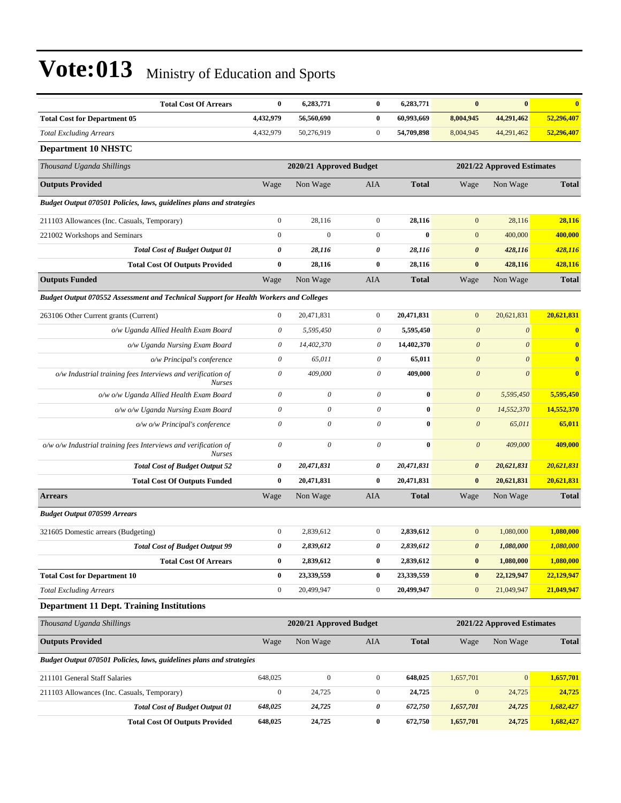| <b>Total Cost Of Arrears</b>                                                                 | $\bf{0}$              | 6,283,771                 | $\bf{0}$         | 6,283,771    | $\bf{0}$              | $\bf{0}$                   | $\overline{\mathbf{0}}$ |
|----------------------------------------------------------------------------------------------|-----------------------|---------------------------|------------------|--------------|-----------------------|----------------------------|-------------------------|
| <b>Total Cost for Department 05</b>                                                          | 4,432,979             | 56,560,690                | $\bf{0}$         | 60,993,669   | 8,004,945             | 44,291,462                 | 52,296,407              |
| <b>Total Excluding Arrears</b>                                                               | 4,432,979             | 50,276,919                | $\boldsymbol{0}$ | 54,709,898   | 8,004,945             | 44,291,462                 | 52,296,407              |
| <b>Department 10 NHSTC</b>                                                                   |                       |                           |                  |              |                       |                            |                         |
| Thousand Uganda Shillings                                                                    |                       | 2020/21 Approved Budget   |                  |              |                       | 2021/22 Approved Estimates |                         |
| <b>Outputs Provided</b>                                                                      | Wage                  | Non Wage                  | AIA              | <b>Total</b> | Wage                  | Non Wage                   | <b>Total</b>            |
| Budget Output 070501 Policies, laws, guidelines plans and strategies                         |                       |                           |                  |              |                       |                            |                         |
| 211103 Allowances (Inc. Casuals, Temporary)                                                  | $\boldsymbol{0}$      | 28,116                    | $\mathbf{0}$     | 28,116       | $\mathbf{0}$          | 28,116                     | 28,116                  |
| 221002 Workshops and Seminars                                                                | $\boldsymbol{0}$      | $\overline{0}$            | $\mathbf{0}$     | $\bf{0}$     | $\mathbf{0}$          | 400,000                    | 400,000                 |
| <b>Total Cost of Budget Output 01</b>                                                        | 0                     | 28,116                    | 0                | 28,116       | $\boldsymbol{\theta}$ | 428,116                    | 428,116                 |
| <b>Total Cost Of Outputs Provided</b>                                                        | $\bf{0}$              | 28,116                    | $\bf{0}$         | 28,116       | $\bf{0}$              | 428,116                    | 428,116                 |
| <b>Outputs Funded</b>                                                                        | Wage                  | Non Wage                  | AIA              | <b>Total</b> | Wage                  | Non Wage                   | <b>Total</b>            |
| <b>Budget Output 070552 Assessment and Technical Support for Health Workers and Colleges</b> |                       |                           |                  |              |                       |                            |                         |
| 263106 Other Current grants (Current)                                                        | $\boldsymbol{0}$      | 20,471,831                | $\mathbf{0}$     | 20,471,831   | $\boldsymbol{0}$      | 20,621,831                 | 20,621,831              |
| o/w Uganda Allied Health Exam Board                                                          | $\theta$              | 5,595,450                 | 0                | 5,595,450    | $\boldsymbol{\theta}$ | $\boldsymbol{\mathit{0}}$  | $\bf{0}$                |
| o/w Uganda Nursing Exam Board                                                                | $\boldsymbol{\theta}$ | 14,402,370                | 0                | 14,402,370   | $\boldsymbol{\theta}$ | $\theta$                   | $\bf{0}$                |
| o/w Principal's conference                                                                   | $\boldsymbol{\theta}$ | 65,011                    | 0                | 65,011       | $\boldsymbol{0}$      | $\boldsymbol{\theta}$      | $\bf{0}$                |
| o/w Industrial training fees Interviews and verification of<br><b>Nurses</b>                 | $\theta$              | 409,000                   | $\theta$         | 409,000      | $\boldsymbol{\theta}$ | $\theta$                   | $\bf{0}$                |
| o/w o/w Uganda Allied Health Exam Board                                                      | $\theta$              | $\boldsymbol{\mathit{0}}$ | $\theta$         | $\bf{0}$     | $\boldsymbol{\theta}$ | 5,595,450                  | 5,595,450               |
| o/w o/w Uganda Nursing Exam Board                                                            | $\boldsymbol{\theta}$ | 0                         | 0                | $\bf{0}$     | $\boldsymbol{\theta}$ | 14,552,370                 | 14,552,370              |
| o/w o/w Principal's conference                                                               | $\theta$              | 0                         | $\theta$         | $\bf{0}$     | $\boldsymbol{\theta}$ | 65,011                     | 65,011                  |
| o/w o/w Industrial training fees Interviews and verification of<br><b>Nurses</b>             | $\theta$              | $\theta$                  | $\theta$         | $\bf{0}$     | $\boldsymbol{\theta}$ | 409,000                    | 409,000                 |
| <b>Total Cost of Budget Output 52</b>                                                        | 0                     | 20,471,831                | 0                | 20,471,831   | $\boldsymbol{\theta}$ | 20,621,831                 | 20,621,831              |
| <b>Total Cost Of Outputs Funded</b>                                                          | $\bf{0}$              | 20,471,831                | $\bf{0}$         | 20,471,831   | $\bf{0}$              | 20,621,831                 | 20,621,831              |
| <b>Arrears</b>                                                                               | Wage                  | Non Wage                  | AIA              | <b>Total</b> | Wage                  | Non Wage                   | <b>Total</b>            |
| <b>Budget Output 070599 Arrears</b>                                                          |                       |                           |                  |              |                       |                            |                         |
| 321605 Domestic arrears (Budgeting)                                                          | $\boldsymbol{0}$      | 2,839,612                 | $\mathbf{0}$     | 2,839,612    | $\mathbf{0}$          | 1,080,000                  | 1,080,000               |
| <b>Total Cost of Budget Output 99</b>                                                        | 0                     | 2,839,612                 | 0                | 2,839,612    | $\boldsymbol{\theta}$ | 1,080,000                  | 1,080,000               |
| <b>Total Cost Of Arrears</b>                                                                 | $\bf{0}$              | 2,839,612                 | $\bf{0}$         | 2,839,612    | $\bf{0}$              | 1,080,000                  | 1,080,000               |
| <b>Total Cost for Department 10</b>                                                          | $\bf{0}$              | 23,339,559                | $\bf{0}$         | 23,339,559   | $\bf{0}$              | 22,129,947                 | 22,129,947              |
| <b>Total Excluding Arrears</b>                                                               | $\boldsymbol{0}$      | 20,499,947                | $\boldsymbol{0}$ | 20,499,947   | $\boldsymbol{0}$      | 21,049,947                 | 21,049,947              |
| <b>Department 11 Dept. Training Institutions</b>                                             |                       |                           |                  |              |                       |                            |                         |
| Thousand Uganda Shillings                                                                    |                       | 2020/21 Approved Budget   |                  |              |                       | 2021/22 Approved Estimates |                         |
| <b>Outputs Provided</b>                                                                      | Wage                  | Non Wage                  | AIA              | <b>Total</b> | Wage                  | Non Wage                   | <b>Total</b>            |
| Budget Output 070501 Policies, laws, guidelines plans and strategies                         |                       |                           |                  |              |                       |                            |                         |
| 211101 General Staff Salaries                                                                | 648,025               | $\boldsymbol{0}$          | $\boldsymbol{0}$ | 648,025      | 1,657,701             | $\boldsymbol{0}$           | 1,657,701               |
| 211103 Allowances (Inc. Casuals, Temporary)                                                  | $\boldsymbol{0}$      | 24,725                    | $\boldsymbol{0}$ | 24,725       | $\boldsymbol{0}$      | 24,725                     | 24,725                  |
| <b>Total Cost of Budget Output 01</b>                                                        | 648,025               | 24,725                    | 0                | 672,750      | 1,657,701             | 24,725                     | 1,682,427               |
| <b>Total Cost Of Outputs Provided</b>                                                        | 648,025               | 24,725                    | $\bf{0}$         | 672,750      | 1,657,701             | 24,725                     | 1,682,427               |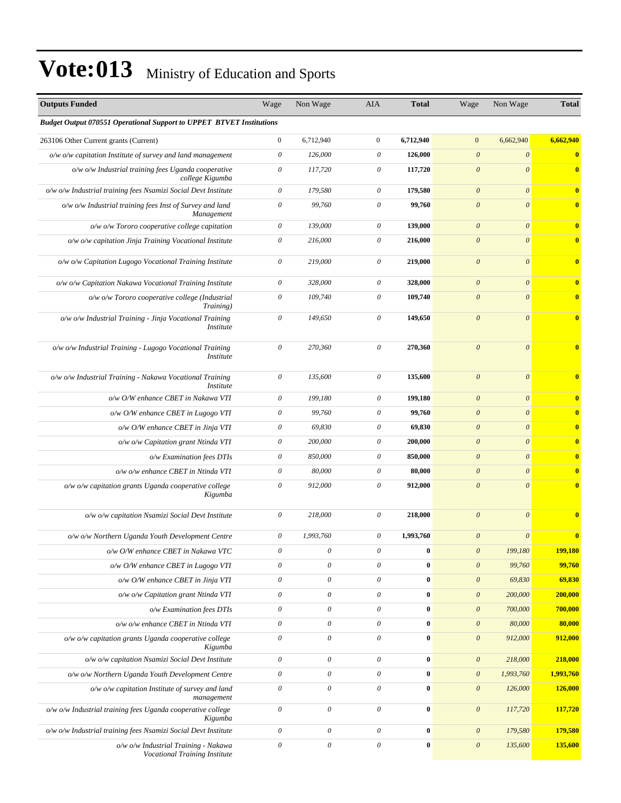| <b>Outputs Funded</b>                                                        | Wage                      | Non Wage                  | AIA                       | <b>Total</b> | Wage                      | Non Wage                  | <b>Total</b>   |
|------------------------------------------------------------------------------|---------------------------|---------------------------|---------------------------|--------------|---------------------------|---------------------------|----------------|
| <b>Budget Output 070551 Operational Support to UPPET BTVET Institutions</b>  |                           |                           |                           |              |                           |                           |                |
| 263106 Other Current grants (Current)                                        | $\mathbf{0}$              | 6,712,940                 | $\boldsymbol{0}$          | 6,712,940    | $\mathbf{0}$              | 6,662,940                 | 6,662,940      |
| $o/w$ $o/w$ capitation Institute of survey and land management               | $\boldsymbol{\mathit{0}}$ | 126,000                   | $\boldsymbol{\theta}$     | 126,000      | $\boldsymbol{\theta}$     | $\boldsymbol{\mathit{0}}$ | $\bf{0}$       |
| o/w o/w Industrial training fees Uganda cooperative<br>college Kigumba       | $\boldsymbol{\mathit{0}}$ | 117,720                   | $\theta$                  | 117,720      | $\boldsymbol{\theta}$     | $\boldsymbol{\theta}$     | $\mathbf{0}$   |
| o/w o/w Industrial training fees Nsamizi Social Devt Institute               | $\boldsymbol{\mathit{0}}$ | 179,580                   | $\boldsymbol{\mathit{0}}$ | 179,580      | $\boldsymbol{\theta}$     | $\boldsymbol{\theta}$     | $\mathbf{0}$   |
| o/w o/w Industrial training fees Inst of Survey and land<br>Management       | $\boldsymbol{\mathit{0}}$ | 99,760                    | $\boldsymbol{\theta}$     | 99,760       | $\boldsymbol{\theta}$     | $\boldsymbol{\mathit{0}}$ | $\bf{0}$       |
| o/w o/w Tororo cooperative college capitation                                | $\theta$                  | 139,000                   | 0                         | 139,000      | $\boldsymbol{\theta}$     | $\boldsymbol{\theta}$     | $\mathbf{0}$   |
| o/w o/w capitation Jinja Training Vocational Institute                       | $\boldsymbol{\mathit{0}}$ | 216,000                   | $\boldsymbol{\mathit{0}}$ | 216,000      | $\boldsymbol{\theta}$     | $\boldsymbol{\theta}$     | $\bf{0}$       |
| o/w o/w Capitation Lugogo Vocational Training Institute                      | $\boldsymbol{\mathit{0}}$ | 219,000                   | $\boldsymbol{\theta}$     | 219,000      | $\boldsymbol{\mathit{0}}$ | $\boldsymbol{\theta}$     | $\mathbf{0}$   |
| o/w o/w Capitation Nakawa Vocational Training Institute                      | $\boldsymbol{\mathit{0}}$ | 328,000                   | $\boldsymbol{\theta}$     | 328,000      | $\boldsymbol{\mathit{0}}$ | $\boldsymbol{\mathit{0}}$ | $\bf{0}$       |
| o/w o/w Tororo cooperative college (Industrial<br><i>Training</i> )          | $\boldsymbol{\mathit{0}}$ | 109,740                   | $\boldsymbol{\theta}$     | 109,740      | $\boldsymbol{\theta}$     | $\boldsymbol{\theta}$     | $\mathbf{0}$   |
| o/w o/w Industrial Training - Jinja Vocational Training<br><i>Institute</i>  | $\boldsymbol{\mathit{0}}$ | 149,650                   | $\boldsymbol{\mathit{0}}$ | 149,650      | $\boldsymbol{\theta}$     | $\boldsymbol{\theta}$     | $\mathbf{0}$   |
| o/w o/w Industrial Training - Lugogo Vocational Training<br><i>Institute</i> | $\boldsymbol{\mathit{0}}$ | 270,360                   | $\boldsymbol{\mathit{0}}$ | 270,360      | $\boldsymbol{\theta}$     | $\boldsymbol{\theta}$     | $\mathbf{0}$   |
| o/w o/w Industrial Training - Nakawa Vocational Training<br><b>Institute</b> | $\boldsymbol{\mathit{0}}$ | 135,600                   | $\boldsymbol{\theta}$     | 135,600      | $\boldsymbol{\theta}$     | $\boldsymbol{\theta}$     | $\mathbf{0}$   |
| o/w O/W enhance CBET in Nakawa VTI                                           | $\theta$                  | 199,180                   | $\boldsymbol{\theta}$     | 199,180      | $\boldsymbol{\theta}$     | $\boldsymbol{\theta}$     | $\bf{0}$       |
| o/w O/W enhance CBET in Lugogo VTI                                           | $\theta$                  | 99,760                    | $\theta$                  | 99,760       | $\boldsymbol{\theta}$     | $\boldsymbol{\theta}$     | $\mathbf{0}$   |
| o/w O/W enhance CBET in Jinja VTI                                            | $\boldsymbol{\mathit{0}}$ | 69,830                    | $\boldsymbol{\mathit{0}}$ | 69,830       | $\boldsymbol{\mathit{0}}$ | $\boldsymbol{\theta}$     | $\bf{0}$       |
| o/w o/w Capitation grant Ntinda VTI                                          | $\theta$                  | 200,000                   | $\boldsymbol{\theta}$     | 200,000      | $\boldsymbol{\theta}$     | $\boldsymbol{\theta}$     | $\mathbf{0}$   |
| o/w Examination fees DTIs                                                    | $\theta$                  | 850,000                   | $\boldsymbol{\theta}$     | 850,000      | $\boldsymbol{\theta}$     | $\boldsymbol{\theta}$     | $\mathbf{0}$   |
| o/w o/w enhance CBET in Ntinda VTI                                           | $\boldsymbol{\mathit{0}}$ | 80,000                    | 0                         | 80,000       | $\boldsymbol{\theta}$     | $\boldsymbol{\theta}$     | $\bf{0}$       |
| o/w o/w capitation grants Uganda cooperative college<br>Kigumba              | $\boldsymbol{\mathit{0}}$ | 912,000                   | $\boldsymbol{\theta}$     | 912,000      | $\boldsymbol{\theta}$     | $\boldsymbol{\theta}$     | $\mathbf{0}$   |
| o/w o/w capitation Nsamizi Social Devt Institute                             | $\theta$                  | 218,000                   | 0                         | 218,000      | $\boldsymbol{\theta}$     | $\boldsymbol{\theta}$     | $\mathbf{0}$   |
| o/w o/w Northern Uganda Youth Development Centre                             | 0                         | 1,993,760                 | 0                         | 1,993,760    | $\boldsymbol{\theta}$     | $\boldsymbol{\theta}$     | $\mathbf{0}$   |
| o/w O/W enhance CBET in Nakawa VTC                                           | 0                         | $\theta$                  | 0                         |              | $\boldsymbol{\theta}$     | 199,180                   | <u>199,180</u> |
| o/w O/W enhance CBET in Lugogo VTI                                           | $\boldsymbol{\mathit{0}}$ | $\boldsymbol{\theta}$     | $\boldsymbol{\mathit{0}}$ | $\bf{0}$     | $\boldsymbol{\theta}$     | 99,760                    | 99,760         |
| o/w O/W enhance CBET in Jinja VTI                                            | $\boldsymbol{\mathit{0}}$ | $\theta$                  | $\mathcal O$              | $\bf{0}$     | $\boldsymbol{\theta}$     | 69,830                    | 69,830         |
| o/w o/w Capitation grant Ntinda VTI                                          | $\boldsymbol{\mathit{0}}$ | $\boldsymbol{\theta}$     | $\boldsymbol{\theta}$     | $\bf{0}$     | $\boldsymbol{\theta}$     | 200,000                   | 200,000        |
| o/w Examination fees DTIs                                                    | 0                         | $\boldsymbol{\theta}$     | 0                         | $\bf{0}$     | $\boldsymbol{0}$          | 700,000                   | 700,000        |
| o/w o/w enhance CBET in Ntinda VTI                                           | $\theta$                  | $\theta$                  | $\boldsymbol{\mathit{0}}$ | $\bf{0}$     | $\boldsymbol{\theta}$     | 80,000                    | 80,000         |
| o/w o/w capitation grants Uganda cooperative college<br>Kigumba              | $\boldsymbol{\mathit{0}}$ | $\boldsymbol{\mathit{0}}$ | $\theta$                  | $\bf{0}$     | $\boldsymbol{\theta}$     | 912,000                   | 912,000        |
| o/w o/w capitation Nsamizi Social Devt Institute                             | 0                         | $\boldsymbol{\theta}$     | $\theta$                  | $\bf{0}$     | $\boldsymbol{\theta}$     | 218,000                   | 218,000        |
| o/w o/w Northern Uganda Youth Development Centre                             | $\boldsymbol{\mathit{0}}$ | $\boldsymbol{\mathit{0}}$ | $\boldsymbol{\theta}$     | $\bf{0}$     | $\boldsymbol{\theta}$     | 1,993,760                 | 1,993,760      |
| $o/w$ $o/w$ capitation Institute of survey and land<br>management            | $\boldsymbol{\theta}$     | $\boldsymbol{\mathit{0}}$ | $\theta$                  | $\bf{0}$     | $\boldsymbol{\theta}$     | 126,000                   | 126,000        |
| o/w o/w Industrial training fees Uganda cooperative college<br>Kigumba       | $\theta$                  | $\boldsymbol{\theta}$     | $\theta$                  | $\bf{0}$     | $\boldsymbol{\theta}$     | 117,720                   | 117,720        |
| o/w o/w Industrial training fees Nsamizi Social Devt Institute               | $\theta$                  | $\boldsymbol{\theta}$     | $\theta$                  | $\bf{0}$     | $\boldsymbol{0}$          | 179,580                   | 179,580        |
| o/w o/w Industrial Training - Nakawa<br>Vocational Training Institute        | $\boldsymbol{\mathit{0}}$ | $\boldsymbol{\theta}$     | $\boldsymbol{\mathit{0}}$ | $\bf{0}$     | $\boldsymbol{\theta}$     | 135,600                   | 135,600        |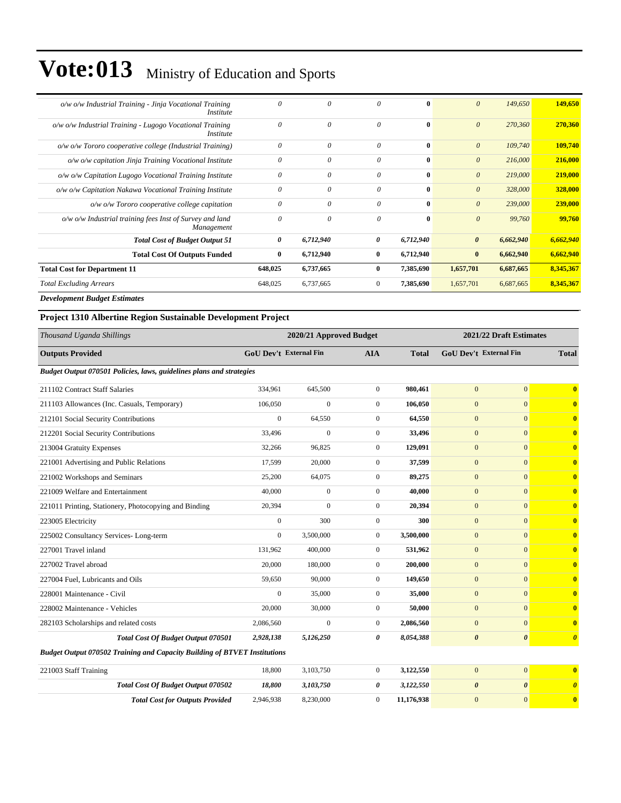| $o/w$ o/w Industrial Training - Jinja Vocational Training<br>Institute     | 0        | 0         | 0              | 0            | $\theta$              | 149,650   | 149,650   |
|----------------------------------------------------------------------------|----------|-----------|----------------|--------------|-----------------------|-----------|-----------|
| o/w o/w Industrial Training - Lugogo Vocational Training<br>Institute      | $\theta$ | $\theta$  | $\theta$       | $\mathbf{0}$ | $\theta$              | 270,360   | 270,360   |
| o/w o/w Tororo cooperative college (Industrial Training)                   | $\theta$ | $\theta$  | $\theta$       | $\mathbf{0}$ | $\theta$              | 109,740   | 109,740   |
| o/w o/w capitation Jinja Training Vocational Institute                     | 0        | $\theta$  | 0              | $\bf{0}$     | $\boldsymbol{\theta}$ | 216,000   | 216,000   |
| o/w o/w Capitation Lugogo Vocational Training Institute                    | $\theta$ | $\theta$  | $\theta$       | $\mathbf{0}$ | $\boldsymbol{\theta}$ | 219,000   | 219,000   |
| o/w o/w Capitation Nakawa Vocational Training Institute                    | $\theta$ | $\theta$  | $\theta$       | $\mathbf{0}$ | $\theta$              | 328,000   | 328,000   |
| o/w o/w Tororo cooperative college capitation                              | $\theta$ | $\theta$  | $\theta$       | $\mathbf{0}$ | $\theta$              | 239,000   | 239,000   |
| $o/w$ $o/w$ Industrial training fees Inst of Survey and land<br>Management | $\theta$ | $\theta$  | $\theta$       | $\mathbf{0}$ | $\theta$              | 99,760    | 99,760    |
| <b>Total Cost of Budget Output 51</b>                                      | 0        | 6,712,940 | 0              | 6,712,940    | $\boldsymbol{\theta}$ | 6,662,940 | 6,662,940 |
| <b>Total Cost Of Outputs Funded</b>                                        | $\bf{0}$ | 6,712,940 | $\bf{0}$       | 6,712,940    | $\bf{0}$              | 6,662,940 | 6,662,940 |
| <b>Total Cost for Department 11</b>                                        | 648,025  | 6,737,665 | $\mathbf{0}$   | 7,385,690    | 1,657,701             | 6,687,665 | 8,345,367 |
| <b>Total Excluding Arrears</b>                                             | 648,025  | 6,737,665 | $\overline{0}$ | 7,385,690    | 1,657,701             | 6,687,665 | 8,345,367 |
| <b>Development Budget Estimates</b>                                        |          |           |                |              |                       |           |           |

### **Project 1310 Albertine Region Sustainable Development Project**

| Thousand Uganda Shillings                                                        |                               | 2020/21 Approved Budget |                  |              |                               | 2021/22 Draft Estimates |                                  |  |
|----------------------------------------------------------------------------------|-------------------------------|-------------------------|------------------|--------------|-------------------------------|-------------------------|----------------------------------|--|
| <b>Outputs Provided</b>                                                          | <b>GoU Dev't External Fin</b> |                         | <b>AIA</b>       | <b>Total</b> | <b>GoU Dev't External Fin</b> |                         | <b>Total</b>                     |  |
| Budget Output 070501 Policies, laws, guidelines plans and strategies             |                               |                         |                  |              |                               |                         |                                  |  |
| 211102 Contract Staff Salaries                                                   | 334,961                       | 645,500                 | $\boldsymbol{0}$ | 980,461      | $\mathbf{0}$                  | $\mathbf{0}$            | $\bf{0}$                         |  |
| 211103 Allowances (Inc. Casuals, Temporary)                                      | 106,050                       | $\mathbf{0}$            | $\mathbf{0}$     | 106,050      | $\overline{0}$                | $\mathbf{0}$            | $\bf{0}$                         |  |
| 212101 Social Security Contributions                                             | $\mathbf{0}$                  | 64,550                  | $\mathbf{0}$     | 64,550       | $\mathbf{0}$                  | $\mathbf{0}$            | $\bf{0}$                         |  |
| 212201 Social Security Contributions                                             | 33,496                        | $\boldsymbol{0}$        | $\boldsymbol{0}$ | 33,496       | $\mathbf{0}$                  | $\mathbf{0}$            | $\bf{0}$                         |  |
| 213004 Gratuity Expenses                                                         | 32,266                        | 96,825                  | $\mathbf{0}$     | 129,091      | $\mathbf{0}$                  | $\mathbf{0}$            | $\bf{0}$                         |  |
| 221001 Advertising and Public Relations                                          | 17,599                        | 20,000                  | $\mathbf{0}$     | 37,599       | $\overline{0}$                | $\Omega$                | $\bf{0}$                         |  |
| 221002 Workshops and Seminars                                                    | 25,200                        | 64,075                  | $\mathbf{0}$     | 89,275       | $\mathbf{0}$                  | $\mathbf{0}$            | $\bf{0}$                         |  |
| 221009 Welfare and Entertainment                                                 | 40,000                        | $\boldsymbol{0}$        | $\mathbf{0}$     | 40,000       | $\mathbf{0}$                  | $\overline{0}$          | $\bf{0}$                         |  |
| 221011 Printing, Stationery, Photocopying and Binding                            | 20,394                        | $\mathbf{0}$            | $\overline{0}$   | 20,394       | $\overline{0}$                | $\Omega$                | $\bf{0}$                         |  |
| 223005 Electricity                                                               | $\mathbf{0}$                  | 300                     | $\overline{0}$   | 300          | $\overline{0}$                | $\mathbf{0}$            | $\bf{0}$                         |  |
| 225002 Consultancy Services-Long-term                                            | $\overline{0}$                | 3,500,000               | $\overline{0}$   | 3,500,000    | $\mathbf{0}$                  | $\mathbf{0}$            | $\bf{0}$                         |  |
| 227001 Travel inland                                                             | 131,962                       | 400,000                 | $\overline{0}$   | 531,962      | $\mathbf{0}$                  | $\mathbf{0}$            | $\bf{0}$                         |  |
| 227002 Travel abroad                                                             | 20,000                        | 180,000                 | $\overline{0}$   | 200,000      | $\mathbf{0}$                  | $\mathbf{0}$            | $\bf{0}$                         |  |
| 227004 Fuel. Lubricants and Oils                                                 | 59,650                        | 90,000                  | $\mathbf{0}$     | 149,650      | $\mathbf{0}$                  | $\mathbf{0}$            | $\bf{0}$                         |  |
| 228001 Maintenance - Civil                                                       | $\overline{0}$                | 35,000                  | $\mathbf{0}$     | 35,000       | $\overline{0}$                | $\Omega$                | $\bf{0}$                         |  |
| 228002 Maintenance - Vehicles                                                    | 20,000                        | 30,000                  | $\overline{0}$   | 50,000       | $\overline{0}$                | $\overline{0}$          | $\bf{0}$                         |  |
| 282103 Scholarships and related costs                                            | 2,086,560                     | $\boldsymbol{0}$        | $\boldsymbol{0}$ | 2,086,560    | $\mathbf{0}$                  | $\overline{0}$          | $\bf{0}$                         |  |
| Total Cost Of Budget Output 070501                                               | 2,928,138                     | 5,126,250               | 0                | 8,054,388    | $\boldsymbol{\theta}$         | $\boldsymbol{\theta}$   | $\overline{\boldsymbol{\theta}}$ |  |
| <b>Budget Output 070502 Training and Capacity Building of BTVET Institutions</b> |                               |                         |                  |              |                               |                         |                                  |  |
| 221003 Staff Training                                                            | 18,800                        | 3,103,750               | $\boldsymbol{0}$ | 3,122,550    | $\mathbf{0}$                  | $\mathbf{0}$            | $\bf{0}$                         |  |
| <b>Total Cost Of Budget Output 070502</b>                                        | 18,800                        | 3,103,750               | 0                | 3,122,550    | $\boldsymbol{\theta}$         | $\theta$                | $\boldsymbol{\theta}$            |  |
| <b>Total Cost for Outputs Provided</b>                                           | 2,946,938                     | 8,230,000               | $\overline{0}$   | 11,176,938   | $\overline{0}$                | $\overline{0}$          | $\bf{0}$                         |  |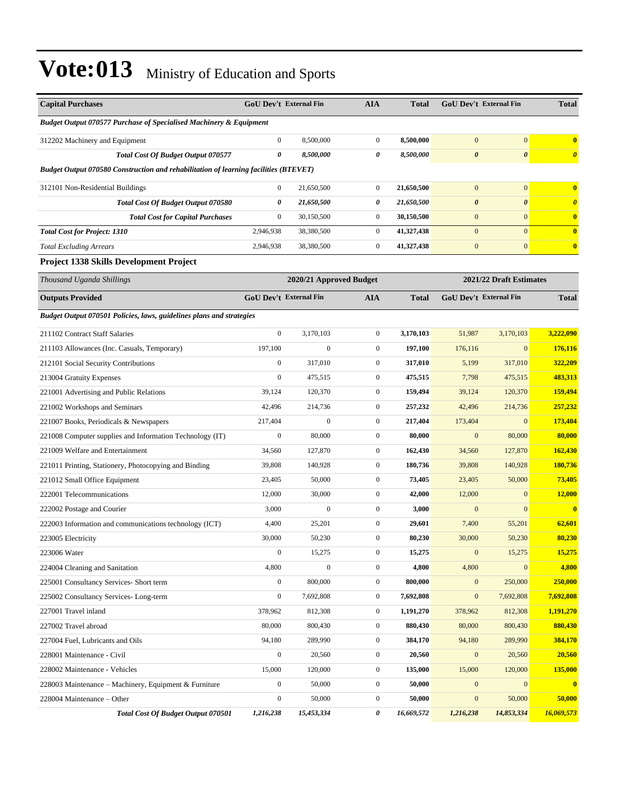| <b>Capital Purchases</b>                                                             | <b>GoU Dev't External Fin</b> |                         | AIA              | <b>Total</b> |                       | <b>GoU Dev't External Fin</b> | <b>Total</b>          |
|--------------------------------------------------------------------------------------|-------------------------------|-------------------------|------------------|--------------|-----------------------|-------------------------------|-----------------------|
| <b>Budget Output 070577 Purchase of Specialised Machinery &amp; Equipment</b>        |                               |                         |                  |              |                       |                               |                       |
| 312202 Machinery and Equipment                                                       | $\mathbf{0}$                  | 8,500,000               | $\boldsymbol{0}$ | 8,500,000    | $\mathbf{0}$          | $\overline{0}$                | $\bf{0}$              |
| <b>Total Cost Of Budget Output 070577</b>                                            | 0                             | 8,500,000               | 0                | 8,500,000    | $\boldsymbol{\theta}$ | $\boldsymbol{\theta}$         | $\boldsymbol{\theta}$ |
| Budget Output 070580 Construction and rehabilitation of learning facilities (BTEVET) |                               |                         |                  |              |                       |                               |                       |
| 312101 Non-Residential Buildings                                                     | $\overline{0}$                | 21,650,500              | $\boldsymbol{0}$ | 21,650,500   | $\mathbf{0}$          | $\mathbf{0}$                  | $\bf{0}$              |
| Total Cost Of Budget Output 070580                                                   | 0                             | 21,650,500              | 0                | 21,650,500   | $\pmb{\theta}$        | $\boldsymbol{\theta}$         | $\boldsymbol{\theta}$ |
| <b>Total Cost for Capital Purchases</b>                                              | $\mathbf{0}$                  | 30,150,500              | $\boldsymbol{0}$ | 30,150,500   | $\boldsymbol{0}$      | $\mathbf{0}$                  | $\bf{0}$              |
| <b>Total Cost for Project: 1310</b>                                                  | 2,946,938                     | 38,380,500              | $\boldsymbol{0}$ | 41,327,438   | $\mathbf{0}$          | $\overline{0}$                | $\bf{0}$              |
| <b>Total Excluding Arrears</b>                                                       | 2,946,938                     | 38,380,500              | $\boldsymbol{0}$ | 41,327,438   | $\boldsymbol{0}$      | $\mathbf{0}$                  | $\bf{0}$              |
| <b>Project 1338 Skills Development Project</b>                                       |                               |                         |                  |              |                       |                               |                       |
| Thousand Uganda Shillings                                                            |                               | 2020/21 Approved Budget |                  |              |                       | 2021/22 Draft Estimates       |                       |
| <b>Outputs Provided</b>                                                              | <b>GoU Dev't External Fin</b> |                         | <b>AIA</b>       | <b>Total</b> |                       | GoU Dev't External Fin        | <b>Total</b>          |
| Budget Output 070501 Policies, laws, guidelines plans and strategies                 |                               |                         |                  |              |                       |                               |                       |
| 211102 Contract Staff Salaries                                                       | $\boldsymbol{0}$              | 3,170,103               | $\boldsymbol{0}$ | 3,170,103    | 51,987                | 3,170,103                     | 3,222,090             |
| 211103 Allowances (Inc. Casuals, Temporary)                                          | 197,100                       | $\boldsymbol{0}$        | $\boldsymbol{0}$ | 197,100      | 176,116               | $\mathbf{0}$                  | <b>176,116</b>        |
| 212101 Social Security Contributions                                                 | $\boldsymbol{0}$              | 317,010                 | $\boldsymbol{0}$ | 317,010      | 5,199                 | 317,010                       | 322,209               |
| 213004 Gratuity Expenses                                                             | $\boldsymbol{0}$              | 475,515                 | $\boldsymbol{0}$ | 475,515      | 7,798                 | 475,515                       | 483,313               |
| 221001 Advertising and Public Relations                                              | 39,124                        | 120,370                 | $\boldsymbol{0}$ | 159,494      | 39,124                | 120,370                       | 159,494               |
| 221002 Workshops and Seminars                                                        | 42,496                        | 214,736                 | $\boldsymbol{0}$ | 257,232      | 42,496                | 214,736                       | 257,232               |
| 221007 Books, Periodicals & Newspapers                                               | 217,404                       | $\boldsymbol{0}$        | $\boldsymbol{0}$ | 217,404      | 173,404               | $\mathbf{0}$                  | 173,404               |
| 221008 Computer supplies and Information Technology (IT)                             | $\boldsymbol{0}$              | 80,000                  | $\boldsymbol{0}$ | 80,000       | $\mathbf{0}$          | 80,000                        | 80,000                |
| 221009 Welfare and Entertainment                                                     | 34,560                        | 127,870                 | $\boldsymbol{0}$ | 162,430      | 34,560                | 127,870                       | <b>162,430</b>        |
| 221011 Printing, Stationery, Photocopying and Binding                                | 39,808                        | 140,928                 | $\boldsymbol{0}$ | 180,736      | 39,808                | 140,928                       | 180,736               |
| 221012 Small Office Equipment                                                        | 23,405                        | 50,000                  | $\boldsymbol{0}$ | 73,405       | 23,405                | 50,000                        | 73,405                |
| 222001 Telecommunications                                                            | 12,000                        | 30,000                  | $\boldsymbol{0}$ | 42,000       | 12,000                | $\mathbf{0}$                  | <b>12,000</b>         |
| 222002 Postage and Courier                                                           | 3,000                         | $\boldsymbol{0}$        | $\boldsymbol{0}$ | 3,000        | $\boldsymbol{0}$      | $\overline{0}$                | $\bf{0}$              |
| 222003 Information and communications technology (ICT)                               | 4,400                         | 25,201                  | $\boldsymbol{0}$ | 29,601       | 7,400                 | 55,201                        | 62,601                |
| 223005 Electricity                                                                   | 30,000                        | 50,230                  | $\boldsymbol{0}$ | 80,230       | 30,000                | 50,230                        | 80,230                |
| 223006 Water                                                                         | $\boldsymbol{0}$              | 15,275                  | $\boldsymbol{0}$ | 15,275       | $\mathbf{0}$          | 15,275                        | 15,275                |
| 224004 Cleaning and Sanitation                                                       | 4,800                         | $\boldsymbol{0}$        | $\boldsymbol{0}$ | 4,800        | 4,800                 | $\mathbf{0}$                  | 4,800                 |
| 225001 Consultancy Services- Short term                                              | $\boldsymbol{0}$              | 800,000                 | $\boldsymbol{0}$ | 800,000      | $\boldsymbol{0}$      | 250,000                       | 250,000               |
| 225002 Consultancy Services-Long-term                                                | $\boldsymbol{0}$              | 7,692,808               | $\boldsymbol{0}$ | 7,692,808    | $\mathbf{0}$          | 7,692,808                     | 7,692,808             |
| 227001 Travel inland                                                                 | 378,962                       | 812,308                 | $\boldsymbol{0}$ | 1,191,270    | 378,962               | 812,308                       | 1,191,270             |
| 227002 Travel abroad                                                                 | 80,000                        | 800,430                 | $\boldsymbol{0}$ | 880,430      | 80,000                | 800,430                       | 880,430               |
| 227004 Fuel, Lubricants and Oils                                                     | 94,180                        | 289,990                 | $\boldsymbol{0}$ | 384,170      | 94,180                | 289,990                       | 384,170               |
| 228001 Maintenance - Civil                                                           | $\boldsymbol{0}$              | 20,560                  | $\boldsymbol{0}$ | 20,560       | $\boldsymbol{0}$      | 20,560                        | 20,560                |
| 228002 Maintenance - Vehicles                                                        | 15,000                        | 120,000                 | $\boldsymbol{0}$ | 135,000      | 15,000                | 120,000                       | 135,000               |
| 228003 Maintenance – Machinery, Equipment & Furniture                                | $\boldsymbol{0}$              | 50,000                  | $\boldsymbol{0}$ | 50,000       | $\bf{0}$              | $\mathbf{0}$                  | $\bf{0}$              |
| 228004 Maintenance – Other                                                           | $\boldsymbol{0}$              | 50,000                  | $\boldsymbol{0}$ | 50,000       | $\boldsymbol{0}$      | 50,000                        | 50,000                |
| <b>Total Cost Of Budget Output 070501</b>                                            | 1,216,238                     | 15,453,334              | 0                | 16,669,572   | 1,216,238             | 14,853,334                    | 16,069,573            |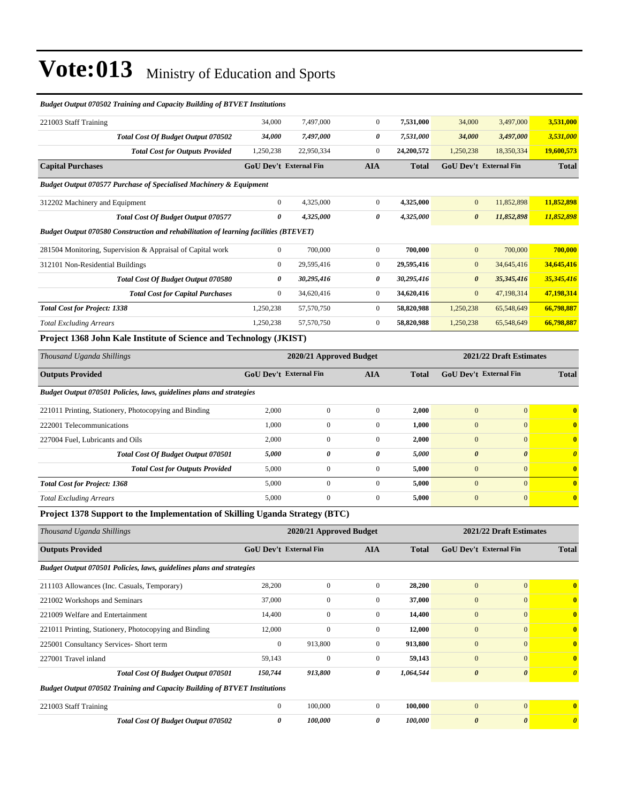| 221003 Staff Training                                                                | 34,000                        | 7,497,000  | $\mathbf{0}$   | 7,531,000    | 34,000                        | 3,497,000  | 3,531,000    |
|--------------------------------------------------------------------------------------|-------------------------------|------------|----------------|--------------|-------------------------------|------------|--------------|
| <b>Total Cost Of Budget Output 070502</b>                                            | 34,000                        | 7,497,000  | 0              | 7,531,000    | 34,000                        | 3,497,000  | 3,531,000    |
| <b>Total Cost for Outputs Provided</b>                                               | 1,250,238                     | 22,950,334 | $\mathbf{0}$   | 24,200,572   | 1,250,238                     | 18,350,334 | 19,600,573   |
| <b>Capital Purchases</b>                                                             | <b>GoU Dev't External Fin</b> |            | <b>AIA</b>     | <b>Total</b> | <b>GoU Dev't External Fin</b> |            | <b>Total</b> |
| <b>Budget Output 070577 Purchase of Specialised Machinery &amp; Equipment</b>        |                               |            |                |              |                               |            |              |
| 312202 Machinery and Equipment                                                       | $\overline{0}$                | 4,325,000  | $\mathbf{0}$   | 4,325,000    | $\mathbf{0}$                  | 11,852,898 | 11,852,898   |
| <b>Total Cost Of Budget Output 070577</b>                                            | 0                             | 4,325,000  | 0              | 4,325,000    | $\boldsymbol{\theta}$         | 11,852,898 | 11,852,898   |
| Budget Output 070580 Construction and rehabilitation of learning facilities (BTEVET) |                               |            |                |              |                               |            |              |
| 281504 Monitoring, Supervision & Appraisal of Capital work                           | $\overline{0}$                | 700,000    | $\overline{0}$ | 700,000      | $\mathbf{0}$                  | 700,000    | 700,000      |
| 312101 Non-Residential Buildings                                                     | $\mathbf{0}$                  | 29,595,416 | $\overline{0}$ | 29,595,416   | $\mathbf{0}$                  | 34,645,416 | 34,645,416   |
| <b>Total Cost Of Budget Output 070580</b>                                            | 0                             | 30,295,416 | 0              | 30,295,416   | $\boldsymbol{\theta}$         | 35,345,416 | 35,345,416   |
| <b>Total Cost for Capital Purchases</b>                                              | $\mathbf{0}$                  | 34,620,416 | $\mathbf{0}$   | 34,620,416   | $\mathbf{0}$                  | 47,198,314 | 47,198,314   |
| <b>Total Cost for Project: 1338</b>                                                  | 1,250,238                     | 57,570,750 | $\mathbf{0}$   | 58,820,988   | 1,250,238                     | 65,548,649 | 66,798,887   |
| <b>Total Excluding Arrears</b>                                                       | 1,250,238                     | 57,570,750 | $\mathbf{0}$   | 58,820,988   | 1,250,238                     | 65,548,649 | 66,798,887   |
| <b>Project 1368 John Kale Institute of Science and Technology (JKIST)</b>            |                               |            |                |              |                               |            |              |
|                                                                                      |                               |            |                |              |                               |            |              |

#### *Budget Output 070502 Training and Capacity Building of BTVET Institutions*

| Thousand Uganda Shillings                                            |                               | 2020/21 Approved Budget |                |              |                               | 2021/22 Draft Estimates |                       |
|----------------------------------------------------------------------|-------------------------------|-------------------------|----------------|--------------|-------------------------------|-------------------------|-----------------------|
| <b>Outputs Provided</b>                                              | <b>GoU Dev't External Fin</b> |                         | <b>AIA</b>     | <b>Total</b> | <b>GoU</b> Dev't External Fin |                         | <b>Total</b>          |
| Budget Output 070501 Policies, laws, guidelines plans and strategies |                               |                         |                |              |                               |                         |                       |
| 221011 Printing, Stationery, Photocopying and Binding                | 2,000                         | $\Omega$                | $\Omega$       | 2,000        | $\mathbf{0}$                  | $\overline{0}$          | $\mathbf{0}$          |
| 222001 Telecommunications                                            | 1,000                         | $\mathbf{0}$            | $\mathbf{0}$   | 1,000        | $\mathbf{0}$                  | $\overline{0}$          | $\overline{0}$        |
| 227004 Fuel. Lubricants and Oils                                     | 2,000                         | $\mathbf{0}$            | $\overline{0}$ | 2,000        | $\mathbf{0}$                  | $\overline{0}$          | $\mathbf{0}$          |
| <b>Total Cost Of Budget Output 070501</b>                            | 5,000                         | $\boldsymbol{\theta}$   | 0              | 5,000        | $\boldsymbol{\theta}$         | $\boldsymbol{\theta}$   | $\boldsymbol{\theta}$ |
| <b>Total Cost for Outputs Provided</b>                               | 5,000                         | $\mathbf{0}$            | $\mathbf{0}$   | 5,000        | $\mathbf{0}$                  | $\overline{0}$          | $\mathbf{0}$          |
| <b>Total Cost for Project: 1368</b>                                  | 5,000                         | $\mathbf{0}$            | $\mathbf{0}$   | 5,000        | $\mathbf{0}$                  | $\overline{0}$          | $\mathbf{0}$          |
| <b>Total Excluding Arrears</b>                                       | 5,000                         | $\mathbf{0}$            | $\overline{0}$ | 5,000        | $\mathbf{0}$                  | $\overline{0}$          | $\mathbf{0}$          |

**Project 1378 Support to the Implementation of Skilling Uganda Strategy (BTC)**

| Thousand Uganda Shillings                                                        |              | 2020/21 Approved Budget       |                |              | 2021/22 Draft Estimates       |                       |                       |
|----------------------------------------------------------------------------------|--------------|-------------------------------|----------------|--------------|-------------------------------|-----------------------|-----------------------|
| <b>Outputs Provided</b>                                                          |              | <b>GoU Dev't External Fin</b> | <b>AIA</b>     | <b>Total</b> | <b>GoU Dev't External Fin</b> |                       | <b>Total</b>          |
| Budget Output 070501 Policies, laws, guidelines plans and strategies             |              |                               |                |              |                               |                       |                       |
| 211103 Allowances (Inc. Casuals, Temporary)                                      | 28,200       | $\mathbf{0}$                  | $\mathbf{0}$   | 28,200       | $\overline{0}$                | $\mathbf{0}$          | $\mathbf{0}$          |
| 221002 Workshops and Seminars                                                    | 37,000       | $\boldsymbol{0}$              | $\overline{0}$ | 37,000       | $\mathbf{0}$                  | $\mathbf{0}$          | $\bf{0}$              |
| 221009 Welfare and Entertainment                                                 | 14,400       | $\mathbf{0}$                  | $\overline{0}$ | 14,400       | $\mathbf{0}$                  | $\mathbf{0}$          | $\mathbf{0}$          |
| 221011 Printing, Stationery, Photocopying and Binding                            | 12,000       | $\mathbf{0}$                  | $\overline{0}$ | 12,000       | $\mathbf{0}$                  | $\Omega$              | $\mathbf{0}$          |
| 225001 Consultancy Services- Short term                                          | $\mathbf{0}$ | 913,800                       | $\overline{0}$ | 913,800      | $\mathbf{0}$                  | $\Omega$              | $\bf{0}$              |
| 227001 Travel inland                                                             | 59,143       | $\mathbf{0}$                  | $\Omega$       | 59,143       | $\mathbf{0}$                  | $\mathbf{0}$          | $\mathbf{0}$          |
| Total Cost Of Budget Output 070501                                               | 150,744      | 913,800                       | 0              | 1,064,544    | $\boldsymbol{\theta}$         | $\boldsymbol{\theta}$ | $\theta$              |
| <b>Budget Output 070502 Training and Capacity Building of BTVET Institutions</b> |              |                               |                |              |                               |                       |                       |
| 221003 Staff Training                                                            | $\mathbf{0}$ | 100,000                       | $\overline{0}$ | 100,000      | $\overline{0}$                | $\mathbf{0}$          | $\mathbf{0}$          |
| <b>Total Cost Of Budget Output 070502</b>                                        | 0            | 100,000                       | 0              | 100,000      | $\boldsymbol{\theta}$         | $\boldsymbol{\theta}$ | $\boldsymbol{\theta}$ |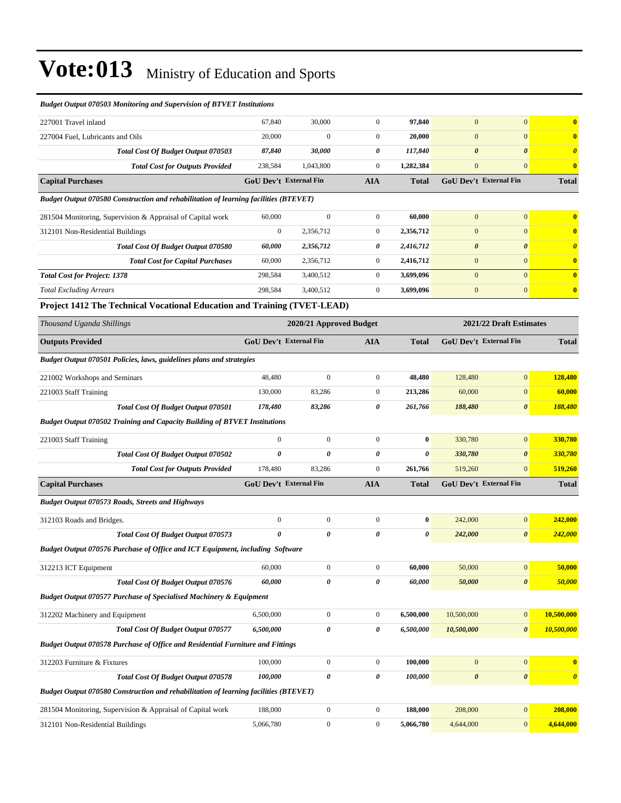| <b>Budget Output 070503 Monitoring and Supervision of BTVET Institutions</b>                |                               |                         |                  |              |                       |                               |                         |
|---------------------------------------------------------------------------------------------|-------------------------------|-------------------------|------------------|--------------|-----------------------|-------------------------------|-------------------------|
| 227001 Travel inland                                                                        | 67,840                        | 30,000                  | $\boldsymbol{0}$ | 97,840       | $\mathbf{0}$          | $\mathbf{0}$                  | $\bf{0}$                |
| 227004 Fuel, Lubricants and Oils                                                            | 20,000                        | $\boldsymbol{0}$        | $\boldsymbol{0}$ | 20,000       | $\mathbf{0}$          | $\mathbf{0}$                  | $\bf{0}$                |
| Total Cost Of Budget Output 070503                                                          | 87,840                        | 30,000                  | 0                | 117,840      | $\boldsymbol{\theta}$ | $\boldsymbol{\theta}$         | $\boldsymbol{\theta}$   |
| <b>Total Cost for Outputs Provided</b>                                                      | 238,584                       | 1.043.800               | $\boldsymbol{0}$ | 1,282,384    | $\mathbf{0}$          | $\mathbf{0}$                  | $\bf{0}$                |
| <b>Capital Purchases</b>                                                                    | <b>GoU Dev't External Fin</b> |                         | <b>AIA</b>       | <b>Total</b> |                       | GoU Dev't External Fin        | <b>Total</b>            |
| Budget Output 070580 Construction and rehabilitation of learning facilities (BTEVET)        |                               |                         |                  |              |                       |                               |                         |
| 281504 Monitoring, Supervision & Appraisal of Capital work                                  | 60,000                        | $\boldsymbol{0}$        | $\boldsymbol{0}$ | 60,000       | $\mathbf{0}$          | $\mathbf{0}$                  | $\bf{0}$                |
| 312101 Non-Residential Buildings                                                            | $\mathbf{0}$                  | 2,356,712               | $\boldsymbol{0}$ | 2,356,712    | $\mathbf{0}$          | $\mathbf{0}$                  | $\bf{0}$                |
| Total Cost Of Budget Output 070580                                                          | 60,000                        | 2,356,712               | 0                | 2,416,712    | $\boldsymbol{\theta}$ | $\boldsymbol{\theta}$         | $\boldsymbol{\theta}$   |
| <b>Total Cost for Capital Purchases</b>                                                     | 60,000                        | 2,356,712               | $\boldsymbol{0}$ | 2,416,712    | $\boldsymbol{0}$      | $\mathbf{0}$                  | $\bf{0}$                |
| <b>Total Cost for Project: 1378</b>                                                         | 298,584                       | 3,400,512               | $\boldsymbol{0}$ | 3,699,096    | $\mathbf{0}$          | $\mathbf{0}$                  | $\overline{\mathbf{0}}$ |
| <b>Total Excluding Arrears</b>                                                              | 298,584                       | 3,400,512               | $\overline{0}$   | 3,699,096    | $\mathbf{0}$          | $\boldsymbol{0}$              | $\bf{0}$                |
| Project 1412 The Technical Vocational Education and Training (TVET-LEAD)                    |                               |                         |                  |              |                       |                               |                         |
| Thousand Uganda Shillings                                                                   |                               | 2020/21 Approved Budget |                  |              |                       | 2021/22 Draft Estimates       |                         |
| <b>Outputs Provided</b>                                                                     | GoU Dev't External Fin        |                         | <b>AIA</b>       | <b>Total</b> |                       | GoU Dev't External Fin        | <b>Total</b>            |
| Budget Output 070501 Policies, laws, guidelines plans and strategies                        |                               |                         |                  |              |                       |                               |                         |
| 221002 Workshops and Seminars                                                               | 48,480                        | $\boldsymbol{0}$        | $\boldsymbol{0}$ | 48,480       | 128,480               | $\mathbf{0}$                  | 128,480                 |
| 221003 Staff Training                                                                       | 130,000                       | 83,286                  | $\boldsymbol{0}$ | 213,286      | 60,000                | $\mathbf{0}$                  | 60,000                  |
| Total Cost Of Budget Output 070501                                                          | 178,480                       | 83,286                  | 0                | 261,766      | 188,480               | $\boldsymbol{\theta}$         | 188,480                 |
| <b>Budget Output 070502 Training and Capacity Building of BTVET Institutions</b>            |                               |                         |                  |              |                       |                               |                         |
| 221003 Staff Training                                                                       | $\mathbf{0}$                  | $\boldsymbol{0}$        | $\boldsymbol{0}$ | $\bf{0}$     | 330,780               | $\mathbf{0}$                  | 330,780                 |
| Total Cost Of Budget Output 070502                                                          | 0                             | 0                       | 0                | 0            | 330,780               | $\boldsymbol{\theta}$         | 330,780                 |
| <b>Total Cost for Outputs Provided</b>                                                      | 178,480                       | 83,286                  | $\boldsymbol{0}$ | 261,766      | 519,260               | $\mathbf{0}$                  | 519,260                 |
| <b>Capital Purchases</b>                                                                    | <b>GoU Dev't External Fin</b> |                         | <b>AIA</b>       | <b>Total</b> |                       | <b>GoU Dev't External Fin</b> | <b>Total</b>            |
| <b>Budget Output 070573 Roads, Streets and Highways</b>                                     |                               |                         |                  |              |                       |                               |                         |
| 312103 Roads and Bridges.                                                                   | $\boldsymbol{0}$              | $\boldsymbol{0}$        | $\boldsymbol{0}$ | $\bf{0}$     | 242,000               | $\mathbf{0}$                  | 242,000                 |
| Total Cost Of Budget Output 070573                                                          | $\theta$                      | 0                       | 0                | 0            | 242,000               | $\boldsymbol{\theta}$         | 242,000                 |
| Budget Output 070576 Purchase of Office and ICT Equipment, including Software               |                               |                         |                  |              |                       |                               |                         |
| 312213 ICT Equipment                                                                        | 60,000                        | $\boldsymbol{0}$        | $\boldsymbol{0}$ | 60,000       | 50,000                | $\boldsymbol{0}$              | 50,000                  |
| Total Cost Of Budget Output 070576                                                          | 60,000                        | 0                       | 0                | 60,000       | 50,000                | $\pmb{\theta}$                | 50,000                  |
| Budget Output 070577 Purchase of Specialised Machinery & Equipment                          |                               |                         |                  |              |                       |                               |                         |
| 312202 Machinery and Equipment                                                              | 6,500,000                     | $\boldsymbol{0}$        | $\overline{0}$   | 6,500,000    | 10,500,000            | $\mathbf{0}$                  | 10,500,000              |
| Total Cost Of Budget Output 070577                                                          | 6,500,000                     | 0                       | 0                | 6,500,000    | 10,500,000            | $\boldsymbol{\theta}$         | 10,500,000              |
| <b>Budget Output 070578 Purchase of Office and Residential Furniture and Fittings</b>       |                               |                         |                  |              |                       |                               |                         |
| 312203 Furniture & Fixtures                                                                 | 100,000                       | $\boldsymbol{0}$        | $\boldsymbol{0}$ | 100,000      | $\boldsymbol{0}$      | $\mathbf{0}$                  | $\bf{0}$                |
| Total Cost Of Budget Output 070578                                                          | 100,000                       | 0                       | 0                | 100,000      | $\pmb{\theta}$        | $\boldsymbol{\theta}$         | $\boldsymbol{\theta}$   |
| <b>Budget Output 070580 Construction and rehabilitation of learning facilities (BTEVET)</b> |                               |                         |                  |              |                       |                               |                         |
| 281504 Monitoring, Supervision & Appraisal of Capital work                                  | 188,000                       | $\boldsymbol{0}$        | $\boldsymbol{0}$ | 188,000      | 208,000               | $\mathbf{0}$                  | 208,000                 |
| 312101 Non-Residential Buildings                                                            | 5,066,780                     | $\boldsymbol{0}$        | $\boldsymbol{0}$ | 5,066,780    | 4,644,000             | $\mathbf{0}$                  | 4,644,000               |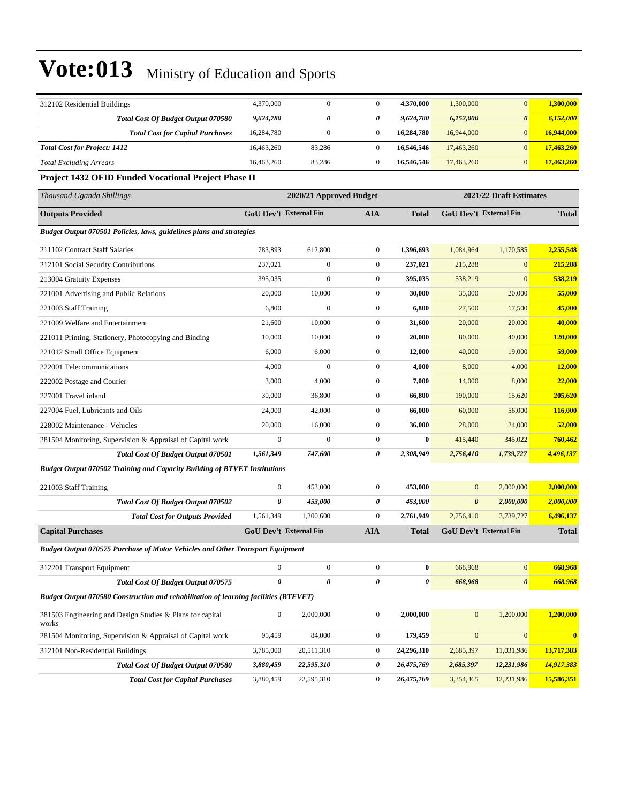| 312102 Residential Buildings                                                         | 4,370,000              | $\mathbf{0}$            | $\mathbf{0}$     | 4,370,000    | 1,300,000             | $\mathbf{0}$                  | 1,300,000    |  |
|--------------------------------------------------------------------------------------|------------------------|-------------------------|------------------|--------------|-----------------------|-------------------------------|--------------|--|
| <b>Total Cost Of Budget Output 070580</b>                                            | 9,624,780              | 0                       | 0                | 9,624,780    | 6,152,000             | $\boldsymbol{\theta}$         | 6,152,000    |  |
| <b>Total Cost for Capital Purchases</b>                                              | 16,284,780             | $\boldsymbol{0}$        | $\boldsymbol{0}$ | 16,284,780   | 16,944,000            | $\mathbf{0}$                  | 16,944,000   |  |
| <b>Total Cost for Project: 1412</b>                                                  | 16,463,260             | 83,286                  | $\boldsymbol{0}$ | 16,546,546   | 17,463,260            | $\mathbf{0}$                  | 17,463,260   |  |
| <b>Total Excluding Arrears</b>                                                       | 16,463,260             | 83,286                  | $\mathbf{0}$     | 16,546,546   | 17,463,260            | $\mathbf{0}$                  | 17,463,260   |  |
| Project 1432 OFID Funded Vocational Project Phase II                                 |                        |                         |                  |              |                       |                               |              |  |
| Thousand Uganda Shillings                                                            |                        | 2020/21 Approved Budget |                  |              |                       | 2021/22 Draft Estimates       |              |  |
| <b>Outputs Provided</b>                                                              | GoU Dev't External Fin |                         | AIA              | <b>Total</b> |                       | <b>GoU Dev't External Fin</b> | <b>Total</b> |  |
| Budget Output 070501 Policies, laws, guidelines plans and strategies                 |                        |                         |                  |              |                       |                               |              |  |
| 211102 Contract Staff Salaries                                                       | 783,893                | 612,800                 | $\boldsymbol{0}$ | 1,396,693    | 1,084,964             | 1,170,585                     | 2,255,548    |  |
| 212101 Social Security Contributions                                                 | 237,021                | $\boldsymbol{0}$        | $\boldsymbol{0}$ | 237,021      | 215,288               | $\mathbf{0}$                  | 215,288      |  |
| 213004 Gratuity Expenses                                                             | 395,035                | $\boldsymbol{0}$        | $\boldsymbol{0}$ | 395,035      | 538,219               | $\mathbf{0}$                  | 538,219      |  |
| 221001 Advertising and Public Relations                                              | 20,000                 | 10,000                  | $\boldsymbol{0}$ | 30,000       | 35,000                | 20,000                        | 55,000       |  |
| 221003 Staff Training                                                                | 6,800                  | $\mathbf{0}$            | $\boldsymbol{0}$ | 6,800        | 27,500                | 17,500                        | 45,000       |  |
| 221009 Welfare and Entertainment                                                     | 21,600                 | 10,000                  | $\mathbf{0}$     | 31,600       | 20,000                | 20,000                        | 40,000       |  |
| 221011 Printing, Stationery, Photocopying and Binding                                | 10,000                 | 10,000                  | $\boldsymbol{0}$ | 20,000       | 80,000                | 40,000                        | 120,000      |  |
| 221012 Small Office Equipment                                                        | 6,000                  | 6,000                   | $\boldsymbol{0}$ | 12,000       | 40,000                | 19,000                        | 59,000       |  |
| 222001 Telecommunications                                                            | 4,000                  | $\mathbf{0}$            | $\boldsymbol{0}$ | 4,000        | 8,000                 | 4,000                         | 12,000       |  |
| 222002 Postage and Courier                                                           | 3,000                  | 4,000                   | $\boldsymbol{0}$ | 7,000        | 14,000                | 8,000                         | 22,000       |  |
| 227001 Travel inland                                                                 | 30,000                 | 36,800                  | $\boldsymbol{0}$ | 66,800       | 190,000               | 15,620                        | 205,620      |  |
| 227004 Fuel, Lubricants and Oils                                                     | 24,000                 | 42,000                  | $\boldsymbol{0}$ | 66,000       | 60,000                | 56,000                        | 116,000      |  |
| 228002 Maintenance - Vehicles                                                        | 20,000                 | 16,000                  | $\boldsymbol{0}$ | 36,000       | 28,000                | 24,000                        | 52,000       |  |
| 281504 Monitoring, Supervision & Appraisal of Capital work                           | $\boldsymbol{0}$       | $\mathbf{0}$            | $\boldsymbol{0}$ | $\bf{0}$     | 415,440               | 345,022                       | 760,462      |  |
| <b>Total Cost Of Budget Output 070501</b>                                            | 1,561,349              | 747,600                 | 0                | 2,308,949    | 2,756,410             | 1,739,727                     | 4,496,137    |  |
| <b>Budget Output 070502 Training and Capacity Building of BTVET Institutions</b>     |                        |                         |                  |              |                       |                               |              |  |
| 221003 Staff Training                                                                | $\boldsymbol{0}$       | 453,000                 | $\mathbf{0}$     | 453,000      | $\boldsymbol{0}$      | 2,000,000                     | 2,000,000    |  |
| Total Cost Of Budget Output 070502                                                   | 0                      | 453,000                 | 0                | 453,000      | $\boldsymbol{\theta}$ | 2,000,000                     | 2,000,000    |  |
| <b>Total Cost for Outputs Provided</b>                                               | 1,561,349              | 1,200,600               | $\boldsymbol{0}$ | 2,761,949    | 2,756,410             | 3,739,727                     | 6,496,137    |  |
| <b>Capital Purchases</b>                                                             | GoU Dev't External Fin |                         | <b>AIA</b>       | <b>Total</b> |                       | GoU Dev't External Fin        | <b>Total</b> |  |
| Budget Output 070575 Purchase of Motor Vehicles and Other Transport Equipment        |                        |                         |                  |              |                       |                               |              |  |
| 312201 Transport Equipment                                                           | $\boldsymbol{0}$       | $\boldsymbol{0}$        | $\mathbf{0}$     | $\bf{0}$     | 668,968               | $\mathbf{0}$                  | 668,968      |  |
| Total Cost Of Budget Output 070575                                                   | 0                      | 0                       | 0                | 0            | 668,968               | $\boldsymbol{\theta}$         | 668,968      |  |
| Budget Output 070580 Construction and rehabilitation of learning facilities (BTEVET) |                        |                         |                  |              |                       |                               |              |  |
| 281503 Engineering and Design Studies & Plans for capital<br>works                   | $\boldsymbol{0}$       | 2,000,000               | $\boldsymbol{0}$ | 2,000,000    | $\boldsymbol{0}$      | 1,200,000                     | 1,200,000    |  |
| 281504 Monitoring, Supervision & Appraisal of Capital work                           | 95,459                 | 84,000                  | $\boldsymbol{0}$ | 179,459      | $\boldsymbol{0}$      | $\mathbf{0}$                  | $\bf{0}$     |  |
| 312101 Non-Residential Buildings                                                     | 3,785,000              | 20,511,310              | $\boldsymbol{0}$ | 24,296,310   | 2,685,397             | 11,031,986                    | 13,717,383   |  |
| Total Cost Of Budget Output 070580                                                   | 3,880,459              | 22,595,310              | 0                | 26,475,769   | 2,685,397             | 12,231,986                    | 14,917,383   |  |
| <b>Total Cost for Capital Purchases</b>                                              | 3,880,459              | 22,595,310              | $\boldsymbol{0}$ | 26,475,769   | 3,354,365             | 12,231,986                    | 15,586,351   |  |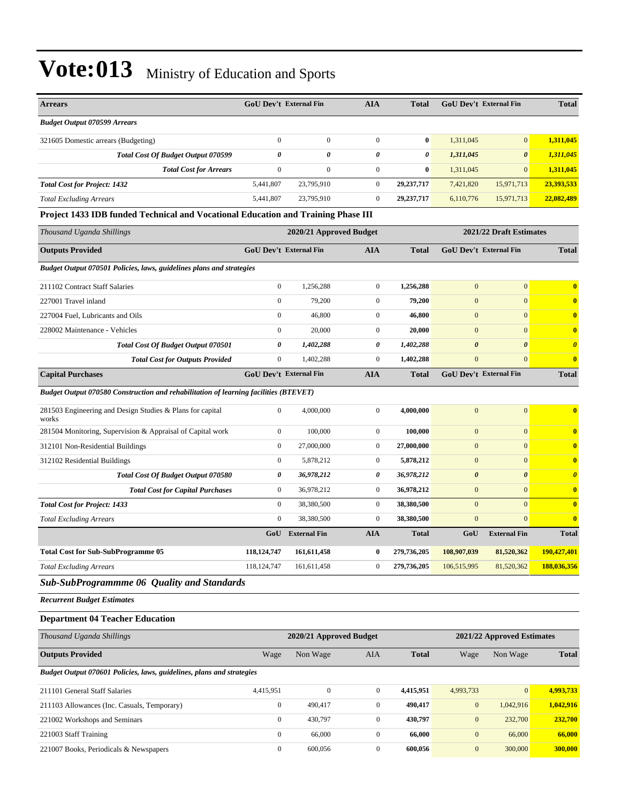| <b>Arrears</b>                                                                       |                       | <b>GoU Dev't External Fin</b> | <b>AIA</b>       | <b>Total</b> | GoU Dev't External Fin |                            | <b>Total</b>            |
|--------------------------------------------------------------------------------------|-----------------------|-------------------------------|------------------|--------------|------------------------|----------------------------|-------------------------|
| <b>Budget Output 070599 Arrears</b>                                                  |                       |                               |                  |              |                        |                            |                         |
| 321605 Domestic arrears (Budgeting)                                                  | $\boldsymbol{0}$      | $\boldsymbol{0}$              | $\boldsymbol{0}$ | $\bf{0}$     | 1,311,045              | $\mathbf{0}$               | 1,311,045               |
| Total Cost Of Budget Output 070599                                                   | $\boldsymbol{\theta}$ | $\theta$                      | 0                | 0            | 1,311,045              | $\boldsymbol{\theta}$      | 1,311,045               |
| <b>Total Cost for Arrears</b>                                                        | $\mathbf{0}$          | $\boldsymbol{0}$              | $\boldsymbol{0}$ | $\bf{0}$     | 1,311,045              | $\mathbf{0}$               | 1,311,045               |
| <b>Total Cost for Project: 1432</b>                                                  | 5,441,807             | 23,795,910                    | $\boldsymbol{0}$ | 29,237,717   | 7,421,820              | 15,971,713                 | 23,393,533              |
| <b>Total Excluding Arrears</b>                                                       | 5,441,807             | 23,795,910                    | $\boldsymbol{0}$ | 29, 237, 717 | 6,110,776              | 15,971,713                 | 22,082,489              |
| Project 1433 IDB funded Technical and Vocational Education and Training Phase III    |                       |                               |                  |              |                        |                            |                         |
| Thousand Uganda Shillings                                                            |                       | 2020/21 Approved Budget       |                  |              |                        | 2021/22 Draft Estimates    |                         |
| <b>Outputs Provided</b>                                                              |                       | <b>GoU Dev't External Fin</b> | <b>AIA</b>       | <b>Total</b> | GoU Dev't External Fin |                            | <b>Total</b>            |
| Budget Output 070501 Policies, laws, guidelines plans and strategies                 |                       |                               |                  |              |                        |                            |                         |
| 211102 Contract Staff Salaries                                                       | $\mathbf{0}$          | 1,256,288                     | $\boldsymbol{0}$ | 1,256,288    | $\mathbf{0}$           | $\mathbf{0}$               | $\overline{\mathbf{0}}$ |
| 227001 Travel inland                                                                 | $\mathbf{0}$          | 79,200                        | $\boldsymbol{0}$ | 79,200       | $\boldsymbol{0}$       | $\mathbf{0}$               | $\bf{0}$                |
| 227004 Fuel, Lubricants and Oils                                                     | $\mathbf{0}$          | 46,800                        | $\boldsymbol{0}$ | 46,800       | $\boldsymbol{0}$       | $\mathbf{0}$               | $\bf{0}$                |
| 228002 Maintenance - Vehicles                                                        | $\mathbf{0}$          | 20,000                        | $\boldsymbol{0}$ | 20,000       | $\mathbf{0}$           | $\mathbf{0}$               | $\bf{0}$                |
| Total Cost Of Budget Output 070501                                                   | 0                     | 1,402,288                     | 0                | 1,402,288    | $\boldsymbol{\theta}$  | $\boldsymbol{\theta}$      | $\boldsymbol{\theta}$   |
| <b>Total Cost for Outputs Provided</b>                                               | $\boldsymbol{0}$      | 1,402,288                     | $\overline{0}$   | 1,402,288    | $\mathbf{0}$           | $\mathbf{0}$               | $\bf{0}$                |
| <b>Capital Purchases</b>                                                             |                       | <b>GoU Dev't External Fin</b> | <b>AIA</b>       | <b>Total</b> | GoU Dev't External Fin |                            | <b>Total</b>            |
| Budget Output 070580 Construction and rehabilitation of learning facilities (BTEVET) |                       |                               |                  |              |                        |                            |                         |
| 281503 Engineering and Design Studies & Plans for capital<br>works                   | $\mathbf{0}$          | 4,000,000                     | $\boldsymbol{0}$ | 4,000,000    | $\boldsymbol{0}$       | $\mathbf{0}$               | $\bf{0}$                |
| 281504 Monitoring, Supervision & Appraisal of Capital work                           | $\mathbf{0}$          | 100,000                       | $\boldsymbol{0}$ | 100,000      | $\mathbf{0}$           | $\mathbf{0}$               | $\bf{0}$                |
| 312101 Non-Residential Buildings                                                     | $\mathbf{0}$          | 27,000,000                    | $\boldsymbol{0}$ | 27,000,000   | $\mathbf{0}$           | $\mathbf{0}$               | $\bf{0}$                |
| 312102 Residential Buildings                                                         | $\mathbf{0}$          | 5,878,212                     | $\boldsymbol{0}$ | 5,878,212    | $\mathbf{0}$           | $\mathbf{0}$               | $\bf{0}$                |
| Total Cost Of Budget Output 070580                                                   | 0                     | 36,978,212                    | 0                | 36,978,212   | $\boldsymbol{\theta}$  | $\boldsymbol{\theta}$      | $\boldsymbol{\theta}$   |
| <b>Total Cost for Capital Purchases</b>                                              | $\mathbf{0}$          | 36,978,212                    | $\boldsymbol{0}$ | 36,978,212   | $\boldsymbol{0}$       | $\mathbf{0}$               | $\bf{0}$                |
| <b>Total Cost for Project: 1433</b>                                                  | $\overline{0}$        | 38,380,500                    | $\boldsymbol{0}$ | 38,380,500   | $\mathbf{0}$           | $\mathbf{0}$               | $\bf{0}$                |
| <b>Total Excluding Arrears</b>                                                       | $\mathbf{0}$          | 38,380,500                    | $\overline{0}$   | 38,380,500   | $\mathbf{0}$           | $\mathbf{0}$               | $\bf{0}$                |
|                                                                                      | GoU                   | <b>External Fin</b>           | <b>AIA</b>       | <b>Total</b> | GoU                    | <b>External Fin</b>        | <b>Total</b>            |
| <b>Total Cost for Sub-SubProgramme 05</b>                                            | 118,124,747           | 161,611,458                   |                  | 279,736,205  | 108,907,039            | 81,520,362                 | 190,427,401             |
| <b>Total Excluding Arrears</b>                                                       | 118, 124, 747         | 161,611,458                   | $\boldsymbol{0}$ | 279,736,205  | 106,515,995            | 81,520,362                 | 188,036,356             |
| Sub-SubProgrammme 06 Quality and Standards                                           |                       |                               |                  |              |                        |                            |                         |
| <b>Recurrent Budget Estimates</b>                                                    |                       |                               |                  |              |                        |                            |                         |
| <b>Department 04 Teacher Education</b>                                               |                       |                               |                  |              |                        |                            |                         |
| Thousand Uganda Shillings                                                            |                       | 2020/21 Approved Budget       |                  |              |                        | 2021/22 Approved Estimates |                         |
| <b>Outputs Provided</b>                                                              | Wage                  | Non Wage                      | AIA              | <b>Total</b> | Wage                   | Non Wage                   | <b>Total</b>            |
| Budget Output 070601 Policies, laws, guidelines, plans and strategies                |                       |                               |                  |              |                        |                            |                         |
| 211101 General Staff Salaries                                                        | 4,415,951             | $\boldsymbol{0}$              | $\boldsymbol{0}$ | 4,415,951    | 4,993,733              | $\boldsymbol{0}$           | 4,993,733               |
| 211103 Allowances (Inc. Casuals, Temporary)                                          | $\boldsymbol{0}$      | 490,417                       | $\boldsymbol{0}$ | 490,417      | $\mathbf{0}$           | 1,042,916                  | 1,042,916               |
| 221002 Workshops and Seminars                                                        | $\boldsymbol{0}$      | 430,797                       | $\mathbf{0}$     | 430,797      | $\mathbf{0}$           | 232,700                    | 232,700                 |
| 221003 Staff Training                                                                | $\boldsymbol{0}$      | 66,000                        | $\boldsymbol{0}$ | 66,000       | $\mathbf{0}$           | 66,000                     | 66,000                  |
| 221007 Books, Periodicals & Newspapers                                               | $\boldsymbol{0}$      | 600,056                       | $\boldsymbol{0}$ | 600,056      | $\mathbf{0}$           | 300,000                    | 300,000                 |
|                                                                                      |                       |                               |                  |              |                        |                            |                         |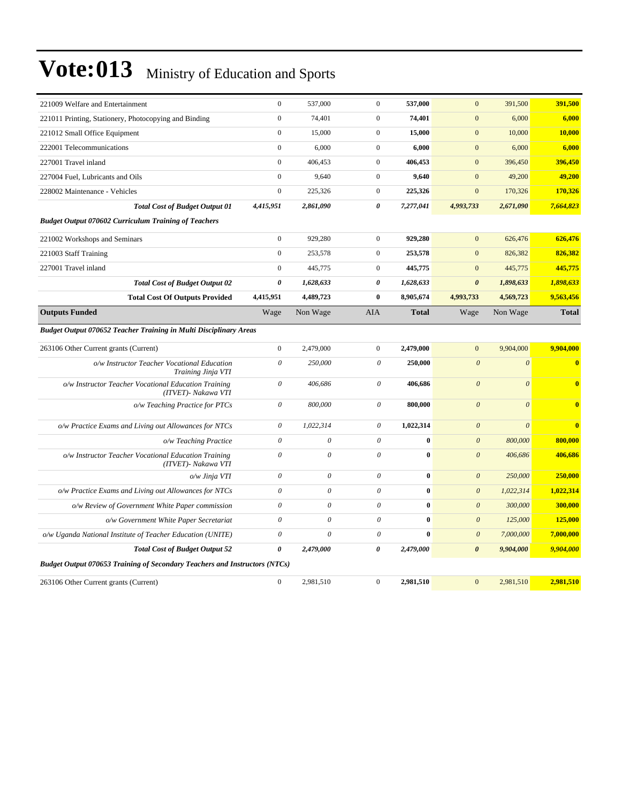| 221009 Welfare and Entertainment                                                  | $\boldsymbol{0}$      | 537,000                   | $\mathbf{0}$          | 537,000      | $\mathbf{0}$              | 391,500               | 391,500      |
|-----------------------------------------------------------------------------------|-----------------------|---------------------------|-----------------------|--------------|---------------------------|-----------------------|--------------|
| 221011 Printing, Stationery, Photocopying and Binding                             | $\boldsymbol{0}$      | 74,401                    | $\mathbf{0}$          | 74,401       | $\mathbf{0}$              | 6,000                 | 6,000        |
| 221012 Small Office Equipment                                                     | $\boldsymbol{0}$      | 15,000                    | $\mathbf{0}$          | 15,000       | $\boldsymbol{0}$          | 10,000                | 10,000       |
| 222001 Telecommunications                                                         | $\boldsymbol{0}$      | 6,000                     | $\mathbf{0}$          | 6,000        | $\mathbf{0}$              | 6,000                 | 6,000        |
| 227001 Travel inland                                                              | $\mathbf{0}$          | 406,453                   | $\mathbf{0}$          | 406,453      | $\mathbf{0}$              | 396,450               | 396,450      |
| 227004 Fuel, Lubricants and Oils                                                  | $\boldsymbol{0}$      | 9,640                     | $\mathbf{0}$          | 9,640        | $\mathbf{0}$              | 49,200                | 49,200       |
| 228002 Maintenance - Vehicles                                                     | $\boldsymbol{0}$      | 225,326                   | $\boldsymbol{0}$      | 225,326      | $\mathbf{0}$              | 170,326               | 170,326      |
| <b>Total Cost of Budget Output 01</b>                                             | 4,415,951             | 2,861,090                 | 0                     | 7,277,041    | 4,993,733                 | 2,671,090             | 7,664,823    |
| <b>Budget Output 070602 Curriculum Training of Teachers</b>                       |                       |                           |                       |              |                           |                       |              |
| 221002 Workshops and Seminars                                                     | $\boldsymbol{0}$      | 929,280                   | $\mathbf{0}$          | 929,280      | $\mathbf{0}$              | 626,476               | 626,476      |
| 221003 Staff Training                                                             | $\mathbf{0}$          | 253,578                   | $\mathbf{0}$          | 253,578      | $\boldsymbol{0}$          | 826,382               | 826,382      |
| 227001 Travel inland                                                              | $\mathbf{0}$          | 445,775                   | $\boldsymbol{0}$      | 445,775      | $\mathbf{0}$              | 445,775               | 445,775      |
| <b>Total Cost of Budget Output 02</b>                                             | $\boldsymbol{\theta}$ | 1,628,633                 | $\boldsymbol{\theta}$ | 1,628,633    | $\boldsymbol{\theta}$     | 1,898,633             | 1,898,633    |
| <b>Total Cost Of Outputs Provided</b>                                             | 4,415,951             | 4,489,723                 | $\bf{0}$              | 8,905,674    | 4,993,733                 | 4,569,723             | 9,563,456    |
| <b>Outputs Funded</b>                                                             | Wage                  | Non Wage                  | AIA                   | <b>Total</b> | Wage                      | Non Wage              | <b>Total</b> |
| <b>Budget Output 070652 Teacher Training in Multi Disciplinary Areas</b>          |                       |                           |                       |              |                           |                       |              |
| 263106 Other Current grants (Current)                                             | $\boldsymbol{0}$      | 2,479,000                 | $\mathbf{0}$          | 2,479,000    | $\mathbf{0}$              | 9,904,000             | 9,904,000    |
| o/w Instructor Teacher Vocational Education<br>Training Jinja VTI                 | $\theta$              | 250,000                   | 0                     | 250,000      | $\boldsymbol{\theta}$     | $\boldsymbol{\theta}$ | $\bf{0}$     |
| o/w Instructor Teacher Vocational Education Training<br>(ITVET)- Nakawa VTI       | $\theta$              | 406,686                   | $\theta$              | 406,686      | $\boldsymbol{\theta}$     | $\boldsymbol{\theta}$ | $\bf{0}$     |
| o/w Teaching Practice for PTCs                                                    | $\theta$              | 800,000                   | $\theta$              | 800,000      | $\boldsymbol{\theta}$     | $\theta$              | $\bf{0}$     |
| o/w Practice Exams and Living out Allowances for NTCs                             | $\theta$              | 1,022,314                 | $\theta$              | 1,022,314    | $\boldsymbol{\theta}$     | $\theta$              | $\bf{0}$     |
| o/w Teaching Practice                                                             | $\theta$              | $\theta$                  | $\theta$              | $\bf{0}$     | $\boldsymbol{0}$          | 800,000               | 800,000      |
| o/w Instructor Teacher Vocational Education Training<br>(ITVET)- Nakawa VTI       | $\theta$              | $\theta$                  | $\theta$              | $\bf{0}$     | $\boldsymbol{\theta}$     | 406,686               | 406,686      |
| o/w Jinja VTI                                                                     | $\theta$              | $\theta$                  | $\theta$              | $\bf{0}$     | $\boldsymbol{\mathit{0}}$ | 250,000               | 250,000      |
| o/w Practice Exams and Living out Allowances for NTCs                             | $\boldsymbol{\theta}$ | $\boldsymbol{\mathit{0}}$ | $\mathcal O$          | $\bf{0}$     | $\boldsymbol{\mathit{0}}$ | 1,022,314             | 1,022,314    |
| o/w Review of Government White Paper commission                                   | $\theta$              | $\theta$                  | $\theta$              | $\bf{0}$     | $\boldsymbol{\theta}$     | 300,000               | 300,000      |
| o/w Government White Paper Secretariat                                            | $\mathcal O$          | $\boldsymbol{\mathit{0}}$ | $\theta$              | $\bf{0}$     | $\boldsymbol{\mathit{0}}$ | 125,000               | 125,000      |
| o/w Uganda National Institute of Teacher Education (UNITE)                        | $\theta$              | $\theta$                  | $\theta$              | $\bf{0}$     | $\boldsymbol{\theta}$     | 7,000,000             | 7,000,000    |
| <b>Total Cost of Budget Output 52</b>                                             | $\boldsymbol{\theta}$ | 2,479,000                 | 0                     | 2,479,000    | $\boldsymbol{\theta}$     | 9,904,000             | 9,904,000    |
| <b>Budget Output 070653 Training of Secondary Teachers and Instructors (NTCs)</b> |                       |                           |                       |              |                           |                       |              |
|                                                                                   | $\mathbf{0}$          | 2,981,510                 | $\theta$              | 2,981,510    | $\mathbf{0}$              | 2,981,510             | 2,981,510    |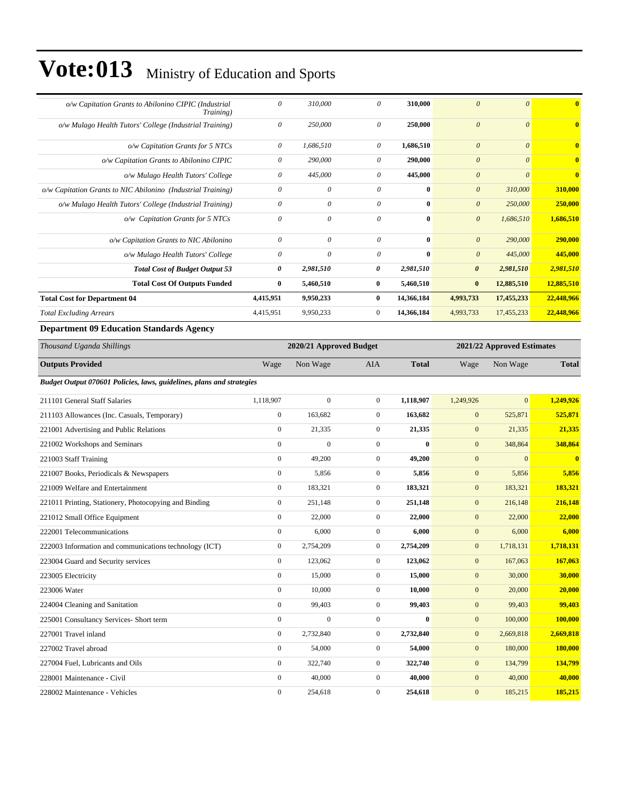| o/w Capitation Grants to Abilonino CIPIC (Industrial<br><i>Training</i> ) | $\boldsymbol{\theta}$ | 310,000   | 0              | 310,000      | $\boldsymbol{\theta}$ | $\mathcal{O}$ | $\mathbf{0}$ |
|---------------------------------------------------------------------------|-----------------------|-----------|----------------|--------------|-----------------------|---------------|--------------|
| o/w Mulago Health Tutors' College (Industrial Training)                   | $\theta$              | 250,000   | 0              | 250,000      | $\theta$              | $\theta$      | $\mathbf{0}$ |
| o/w Capitation Grants for 5 NTCs                                          | $\theta$              | 1,686,510 | 0              | 1,686,510    | $\theta$              | $\mathcal{O}$ | $\mathbf{0}$ |
| o/w Capitation Grants to Abilonino CIPIC                                  | 0                     | 290,000   | 0              | 290,000      | $\theta$              | $\mathcal{O}$ | $\mathbf{0}$ |
| o/w Mulago Health Tutors' College                                         | $\theta$              | 445,000   | 0              | 445,000      | $\theta$              | $\theta$      | $\mathbf{0}$ |
| o/w Capitation Grants to NIC Abilonino (Industrial Training)              | $\theta$              | $\theta$  | 0              | $\mathbf{0}$ | $\theta$              | 310,000       | 310,000      |
| o/w Mulago Health Tutors' College (Industrial Training)                   | $\theta$              | $\theta$  | 0              | $\mathbf{0}$ | $\theta$              | 250,000       | 250,000      |
| o/w Capitation Grants for 5 NTCs                                          | $\theta$              | $\theta$  | 0              | $\bf{0}$     | $\boldsymbol{\theta}$ | 1,686,510     | 1,686,510    |
| o/w Capitation Grants to NIC Abilonino                                    | $\theta$              | $\theta$  | $\theta$       | $\mathbf{0}$ | $\theta$              | 290,000       | 290,000      |
| o/w Mulago Health Tutors' College                                         | $\theta$              | $\theta$  | $\theta$       | $\mathbf{0}$ | $\theta$              | 445,000       | 445,000      |
| <b>Total Cost of Budget Output 53</b>                                     | 0                     | 2,981,510 | 0              | 2,981,510    | $\boldsymbol{\theta}$ | 2,981,510     | 2,981,510    |
| <b>Total Cost Of Outputs Funded</b>                                       | $\bf{0}$              | 5,460,510 | $\bf{0}$       | 5,460,510    | $\bf{0}$              | 12,885,510    | 12,885,510   |
| <b>Total Cost for Department 04</b>                                       | 4,415,951             | 9,950,233 | $\bf{0}$       | 14,366,184   | 4,993,733             | 17,455,233    | 22,448,966   |
| <b>Total Excluding Arrears</b>                                            | 4,415,951             | 9,950,233 | $\overline{0}$ | 14,366,184   | 4,993,733             | 17,455,233    | 22,448,966   |
|                                                                           |                       |           |                |              |                       |               |              |

### **Department 09 Education Standards Agency**

| Thousand Uganda Shillings                                             |                | 2020/21 Approved Budget |                  |              |                | 2021/22 Approved Estimates |                         |
|-----------------------------------------------------------------------|----------------|-------------------------|------------------|--------------|----------------|----------------------------|-------------------------|
| <b>Outputs Provided</b>                                               | Wage           | Non Wage                | <b>AIA</b>       | <b>Total</b> | Wage           | Non Wage                   | <b>Total</b>            |
| Budget Output 070601 Policies, laws, guidelines, plans and strategies |                |                         |                  |              |                |                            |                         |
| 211101 General Staff Salaries                                         | 1,118,907      | $\mathbf{0}$            | $\overline{0}$   | 1,118,907    | 1,249,926      | $\overline{0}$             | 1,249,926               |
| 211103 Allowances (Inc. Casuals, Temporary)                           | $\overline{0}$ | 163,682                 | $\mathbf{0}$     | 163,682      | $\overline{0}$ | 525,871                    | 525,871                 |
| 221001 Advertising and Public Relations                               | $\overline{0}$ | 21,335                  | $\mathbf{0}$     | 21,335       | $\mathbf{0}$   | 21,335                     | 21,335                  |
| 221002 Workshops and Seminars                                         | $\overline{0}$ | $\overline{0}$          | $\boldsymbol{0}$ | $\bf{0}$     | $\mathbf{0}$   | 348,864                    | 348,864                 |
| 221003 Staff Training                                                 | $\overline{0}$ | 49,200                  | $\boldsymbol{0}$ | 49,200       | $\mathbf{0}$   | $\overline{0}$             | $\overline{\mathbf{0}}$ |
| 221007 Books, Periodicals & Newspapers                                | $\overline{0}$ | 5.856                   | $\overline{0}$   | 5,856        | $\mathbf{0}$   | 5,856                      | 5,856                   |
| 221009 Welfare and Entertainment                                      | $\overline{0}$ | 183,321                 | $\overline{0}$   | 183,321      | $\mathbf{0}$   | 183,321                    | 183,321                 |
| 221011 Printing, Stationery, Photocopying and Binding                 | $\overline{0}$ | 251,148                 | $\mathbf{0}$     | 251,148      | $\mathbf{0}$   | 216,148                    | 216,148                 |
| 221012 Small Office Equipment                                         | $\Omega$       | 22,000                  | $\mathbf{0}$     | 22,000       | $\overline{0}$ | 22,000                     | 22,000                  |
| 222001 Telecommunications                                             | $\overline{0}$ | 6,000                   | $\mathbf{0}$     | 6,000        | $\mathbf{0}$   | 6,000                      | 6,000                   |
| 222003 Information and communications technology (ICT)                | $\overline{0}$ | 2,754,209               | $\boldsymbol{0}$ | 2,754,209    | $\overline{0}$ | 1,718,131                  | 1,718,131               |
| 223004 Guard and Security services                                    | $\overline{0}$ | 123,062                 | $\boldsymbol{0}$ | 123,062      | $\overline{0}$ | 167,063                    | 167,063                 |
| 223005 Electricity                                                    | $\overline{0}$ | 15,000                  | $\overline{0}$   | 15,000       | $\overline{0}$ | 30,000                     | 30,000                  |
| 223006 Water                                                          | $\overline{0}$ | 10,000                  | $\overline{0}$   | 10,000       | $\overline{0}$ | 20,000                     | 20,000                  |
| 224004 Cleaning and Sanitation                                        | $\Omega$       | 99,403                  | $\overline{0}$   | 99,403       | $\overline{0}$ | 99,403                     | 99,403                  |
| 225001 Consultancy Services- Short term                               | $\overline{0}$ | $\mathbf{0}$            | $\overline{0}$   | $\bf{0}$     | $\overline{0}$ | 100,000                    | 100,000                 |
| 227001 Travel inland                                                  | $\overline{0}$ | 2,732,840               | $\overline{0}$   | 2,732,840    | $\overline{0}$ | 2,669,818                  | 2,669,818               |
| 227002 Travel abroad                                                  | $\overline{0}$ | 54,000                  | $\boldsymbol{0}$ | 54,000       | $\mathbf{0}$   | 180,000                    | 180,000                 |
| 227004 Fuel, Lubricants and Oils                                      | $\overline{0}$ | 322,740                 | $\boldsymbol{0}$ | 322,740      | $\mathbf{0}$   | 134,799                    | 134,799                 |
| 228001 Maintenance - Civil                                            | $\Omega$       | 40,000                  | $\mathbf{0}$     | 40,000       | $\mathbf{0}$   | 40,000                     | 40,000                  |
| 228002 Maintenance - Vehicles                                         | $\overline{0}$ | 254,618                 | $\mathbf{0}$     | 254,618      | $\overline{0}$ | 185,215                    | 185,215                 |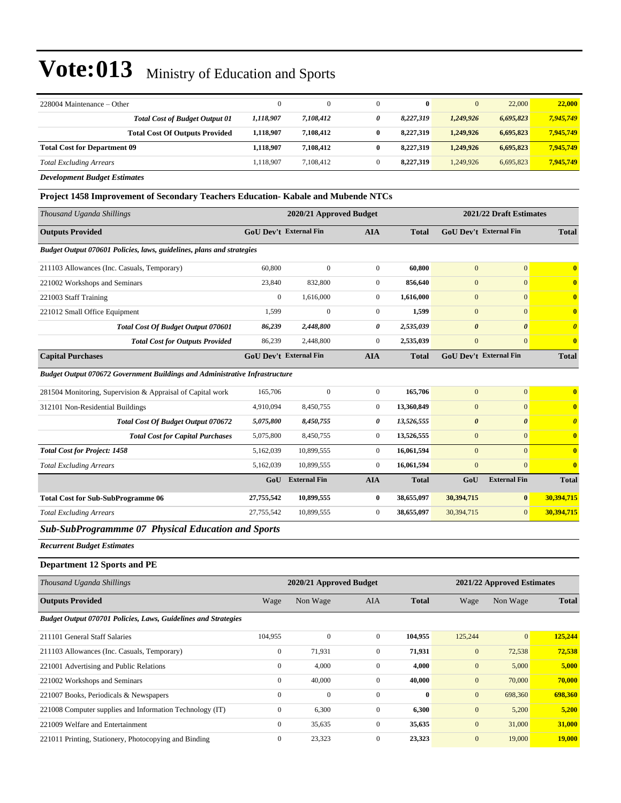| 228004 Maintenance – Other          |                                       |           |           |   | $\mathbf{0}$ | $\mathbf{0}$ | 22,000    | 22,000    |
|-------------------------------------|---------------------------------------|-----------|-----------|---|--------------|--------------|-----------|-----------|
|                                     | <b>Total Cost of Budget Output 01</b> | 1,118,907 | 7,108,412 | 0 | 8.227.319    | 1,249,926    | 6,695,823 | 7,945,749 |
|                                     | <b>Total Cost Of Outputs Provided</b> | 1,118,907 | 7,108,412 |   | 8.227.319    | 1.249.926    | 6,695,823 | 7.945.749 |
| <b>Total Cost for Department 09</b> |                                       | 1.118.907 | 7.108.412 |   | 8.227.319    | 1,249,926    | 6,695,823 | 7.945.749 |
| <b>Total Excluding Arrears</b>      |                                       | 1.118.907 | 7.108.412 |   | 8.227.319    | 1.249.926    | 6,695,823 | 7.945.749 |
| Development Rudget Estimates        |                                       |           |           |   |              |              |           |           |

*Development Budget Estimates*

**Project 1458 Improvement of Secondary Teachers Education- Kabale and Mubende NTCs**

| Thousand Uganda Shillings                                             |                               | 2020/21 Approved Budget |              |              | 2021/22 Draft Estimates       |              |                         |
|-----------------------------------------------------------------------|-------------------------------|-------------------------|--------------|--------------|-------------------------------|--------------|-------------------------|
| <b>Outputs Provided</b>                                               | <b>GoU Dev't External Fin</b> |                         | <b>AIA</b>   | <b>Total</b> | GoU Dev't External Fin        |              | <b>Total</b>            |
| Budget Output 070601 Policies, laws, guidelines, plans and strategies |                               |                         |              |              |                               |              |                         |
| 211103 Allowances (Inc. Casuals, Temporary)                           | 60,800                        | $\mathbf{0}$            | $\mathbf{0}$ | 60,800       | $\mathbf{0}$                  | $\Omega$     | $\mathbf{0}$            |
| 221002 Workshops and Seminars                                         | 23,840                        | 832,800                 | $\Omega$     | 856,640      | $\overline{0}$                | $\Omega$     | $\overline{\mathbf{0}}$ |
| 221003 Staff Training                                                 | $\mathbf{0}$                  | 1,616,000               | $\mathbf{0}$ | 1,616,000    | $\overline{0}$                | $\Omega$     | $\mathbf{0}$            |
| 221012 Small Office Equipment                                         | 1,599                         | $\mathbf{0}$            | $\mathbf{0}$ | 1,599        | $\mathbf{0}$                  | $\Omega$     | $\overline{\mathbf{0}}$ |
| <b>Total Cost Of Budget Output 070601</b>                             | 86,239                        | 2,448,800               | 0            | 2,535,039    | $\boldsymbol{\theta}$         | $\theta$     | $\theta$                |
| <b>Total Cost for Outputs Provided</b>                                | 86,239                        | 2,448,800               | $\mathbf{0}$ | 2,535,039    | $\mathbf{0}$                  | $\mathbf{0}$ | $\mathbf{0}$            |
| <b>Capital Purchases</b>                                              | <b>GoU Dev't External Fin</b> |                         | <b>AIA</b>   | <b>Total</b> | <b>GoU Dev't External Fin</b> |              | <b>Total</b>            |

*Budget Output 070672 Government Buildings and Administrative Infrastructure*

| 281504 Monitoring, Supervision & Appraisal of Capital work | 165,706    | $\overline{0}$      | $\overline{0}$ | 165,706      | $\mathbf{0}$          | $\overline{0}$      | $\mathbf{0}$   |
|------------------------------------------------------------|------------|---------------------|----------------|--------------|-----------------------|---------------------|----------------|
| 312101 Non-Residential Buildings                           | 4.910.094  | 8,450,755           | $\overline{0}$ | 13,360,849   | $\mathbf{0}$          | $\mathbf{0}$        | $\overline{0}$ |
| <b>Total Cost Of Budget Output 070672</b>                  | 5,075,800  | 8,450,755           | 0              | 13,526,555   | $\boldsymbol{\theta}$ | $\theta$            | $\theta$       |
| <b>Total Cost for Capital Purchases</b>                    | 5,075,800  | 8,450,755           | $\overline{0}$ | 13,526,555   | $\mathbf{0}$          | $\mathbf{0}$        | $\mathbf{0}$   |
| <b>Total Cost for Project: 1458</b>                        | 5.162.039  | 10,899,555          | $\overline{0}$ | 16.061.594   | $\mathbf{0}$          | $\Omega$            | $\mathbf{0}$   |
| <b>Total Excluding Arrears</b>                             | 5.162.039  | 10,899,555          | $\overline{0}$ | 16.061.594   | $\mathbf{0}$          | $\Omega$            | $\mathbf{0}$   |
|                                                            | GoU        | <b>External Fin</b> | <b>AIA</b>     | <b>Total</b> | GoU                   | <b>External Fin</b> | <b>Total</b>   |
| <b>Total Cost for Sub-SubProgramme 06</b>                  | 27,755,542 | 10,899,555          | $\bf{0}$       | 38,655,097   | 30,394,715            | $\bf{0}$            | 30,394,715     |
| <b>Total Excluding Arrears</b>                             | 27,755,542 | 10,899,555          | $\overline{0}$ | 38,655,097   | 30,394,715            | $\overline{0}$      | 30.394.715     |

*Sub-SubProgrammme 07 Physical Education and Sports*

*Recurrent Budget Estimates*

#### **Department 12 Sports and PE**

| Thousand Uganda Shillings                                             |              | 2020/21 Approved Budget |              | 2021/22 Approved Estimates |                  |                 |              |
|-----------------------------------------------------------------------|--------------|-------------------------|--------------|----------------------------|------------------|-----------------|--------------|
| <b>Outputs Provided</b>                                               | Wage         | Non Wage                | <b>AIA</b>   | <b>Total</b>               | Wage             | Non Wage        | <b>Total</b> |
| <b>Budget Output 070701 Policies, Laws, Guidelines and Strategies</b> |              |                         |              |                            |                  |                 |              |
| 211101 General Staff Salaries                                         | 104,955      | $\mathbf{0}$            | $\mathbf{0}$ | 104,955                    | 125,244          | $\vert 0 \vert$ | 125,244      |
| 211103 Allowances (Inc. Casuals, Temporary)                           | $\mathbf{0}$ | 71,931                  | $\mathbf{0}$ | 71,931                     | $\mathbf{0}$     | 72,538          | 72,538       |
| 221001 Advertising and Public Relations                               | $\mathbf{0}$ | 4,000                   | $\mathbf{0}$ | 4,000                      | $\boldsymbol{0}$ | 5,000           | 5,000        |
| 221002 Workshops and Seminars                                         | $\mathbf{0}$ | 40,000                  | $\mathbf{0}$ | 40,000                     | $\mathbf{0}$     | 70,000          | 70,000       |
| 221007 Books, Periodicals & Newspapers                                | $\mathbf{0}$ | $\mathbf{0}$            | $\Omega$     | $\bf{0}$                   | $\mathbf{0}$     | 698,360         | 698,360      |
| 221008 Computer supplies and Information Technology (IT)              | $\mathbf{0}$ | 6,300                   | $\mathbf{0}$ | 6,300                      | $\mathbf{0}$     | 5,200           | 5,200        |
| 221009 Welfare and Entertainment                                      | $\mathbf{0}$ | 35,635                  | $\mathbf{0}$ | 35,635                     | $\mathbf{0}$     | 31,000          | 31,000       |
| 221011 Printing, Stationery, Photocopying and Binding                 | $\mathbf{0}$ | 23,323                  | $\mathbf{0}$ | 23,323                     | $\boldsymbol{0}$ | 19,000          | 19,000       |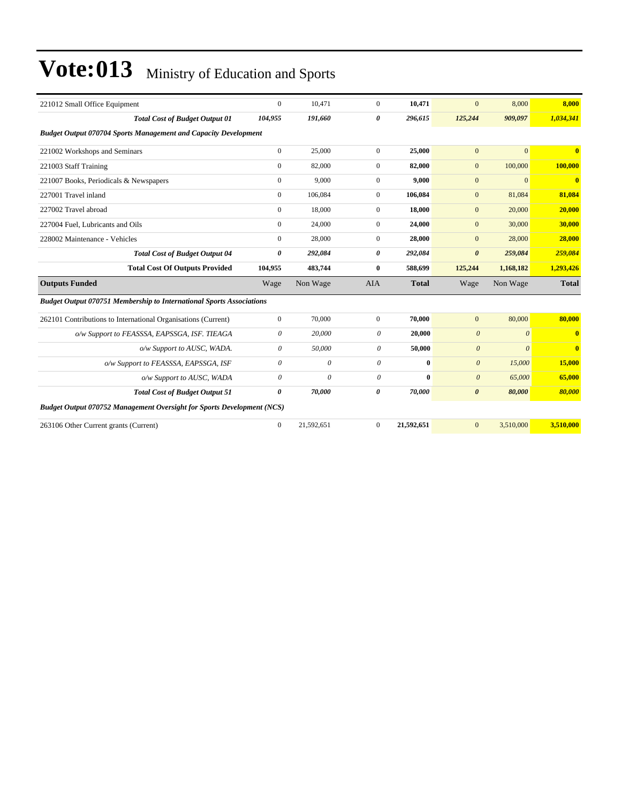| 221012 Small Office Equipment                                               | $\mathbf{0}$     | 10,471     | $\Omega$       | 10,471       | $\mathbf{0}$          | 8,000          | 8,000                   |
|-----------------------------------------------------------------------------|------------------|------------|----------------|--------------|-----------------------|----------------|-------------------------|
| <b>Total Cost of Budget Output 01</b>                                       | 104,955          | 191,660    | 0              | 296,615      | 125,244               | 909,097        | 1,034,341               |
| <b>Budget Output 070704 Sports Management and Capacity Development</b>      |                  |            |                |              |                       |                |                         |
| 221002 Workshops and Seminars                                               | $\mathbf{0}$     | 25,000     | $\overline{0}$ | 25,000       | $\overline{0}$        | $\overline{0}$ | $\mathbf{0}$            |
| 221003 Staff Training                                                       | $\mathbf{0}$     | 82,000     | $\overline{0}$ | 82,000       | $\mathbf{0}$          | 100,000        | 100.000                 |
| 221007 Books, Periodicals & Newspapers                                      | $\mathbf{0}$     | 9,000      | $\overline{0}$ | 9,000        | $\mathbf{0}$          | $\Omega$       | $\bf{0}$                |
| 227001 Travel inland                                                        | $\mathbf{0}$     | 106,084    | $\overline{0}$ | 106,084      | $\mathbf{0}$          | 81,084         | 81,084                  |
| 227002 Travel abroad                                                        | $\mathbf{0}$     | 18,000     | $\overline{0}$ | 18,000       | $\mathbf{0}$          | 20,000         | 20,000                  |
| 227004 Fuel, Lubricants and Oils                                            | $\mathbf{0}$     | 24,000     | $\overline{0}$ | 24,000       | $\mathbf{0}$          | 30,000         | 30,000                  |
| 228002 Maintenance - Vehicles                                               | $\mathbf{0}$     | 28,000     | $\overline{0}$ | 28,000       | $\mathbf{0}$          | 28,000         | 28,000                  |
| <b>Total Cost of Budget Output 04</b>                                       | 0                | 292,084    | 0              | 292,084      | $\boldsymbol{\theta}$ | 259,084        | 259,084                 |
| <b>Total Cost Of Outputs Provided</b>                                       | 104,955          | 483,744    | $\bf{0}$       | 588.699      | 125,244               | 1,168,182      | 1,293,426               |
| <b>Outputs Funded</b>                                                       | Wage             | Non Wage   | <b>AIA</b>     | <b>Total</b> | Wage                  | Non Wage       | <b>Total</b>            |
| <b>Budget Output 070751 Membership to International Sports Associations</b> |                  |            |                |              |                       |                |                         |
| 262101 Contributions to International Organisations (Current)               | $\mathbf{0}$     | 70,000     | $\overline{0}$ | 70,000       | $\mathbf{0}$          | 80,000         | 80,000                  |
| o/w Support to FEASSSA, EAPSSGA, ISF. TIEAGA                                | $\theta$         | 20,000     | 0              | 20,000       | $\theta$              | $\theta$       | $\overline{\mathbf{0}}$ |
| o/w Support to AUSC, WADA.                                                  | $\theta$         | 50,000     | 0              | 50,000       | $\theta$              | $\theta$       | $\mathbf{0}$            |
| o/w Support to FEASSSA, EAPSSGA, ISF                                        | $\theta$         | $\theta$   | $\theta$       | $\mathbf{0}$ | $\theta$              | 15,000         | 15,000                  |
| o/w Support to AUSC, WADA                                                   | $\theta$         | $\theta$   | $\theta$       | $\bf{0}$     | $\mathcal{O}$         | 65,000         | 65,000                  |
| <b>Total Cost of Budget Output 51</b>                                       | 0                | 70,000     | 0              | 70,000       | $\boldsymbol{\theta}$ | 80,000         | 80,000                  |
| Budget Output 070752 Management Oversight for Sports Development (NCS)      |                  |            |                |              |                       |                |                         |
| 263106 Other Current grants (Current)                                       | $\boldsymbol{0}$ | 21,592,651 | $\mathbf{0}$   | 21,592,651   | $\mathbf{0}$          | 3,510,000      | 3,510,000               |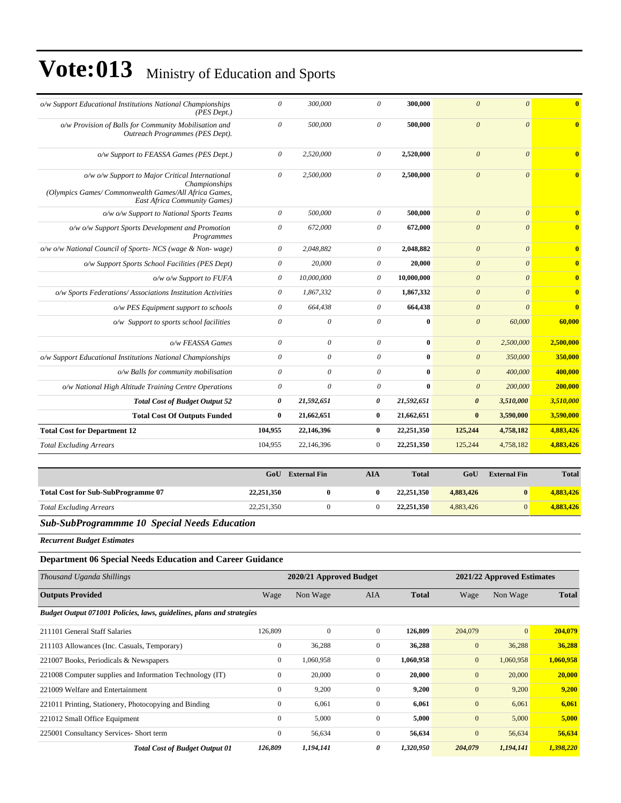| o/w Support Educational Institutions National Championships<br>$(PES\; Dept.)$                                                                                  | $\theta$              | 300,000    | $\theta$                  | 300,000    | $\theta$              | $\theta$              | $\mathbf{0}$ |
|-----------------------------------------------------------------------------------------------------------------------------------------------------------------|-----------------------|------------|---------------------------|------------|-----------------------|-----------------------|--------------|
| o/w Provision of Balls for Community Mobilisation and<br>Outreach Programmes (PES Dept).                                                                        | $\theta$              | 500,000    | $\theta$                  | 500,000    | $\theta$              | $\theta$              | $\mathbf{0}$ |
| o/w Support to FEASSA Games (PES Dept.)                                                                                                                         | $\theta$              | 2,520,000  | $\theta$                  | 2,520,000  | $\theta$              | $\theta$              | $\mathbf{0}$ |
| o/w o/w Support to Major Critical International<br>Championships<br>(Olympics Games/Commonwealth Games/All Africa Games,<br><b>East Africa Community Games)</b> | $\theta$              | 2,500,000  | $\theta$                  | 2,500,000  | $\boldsymbol{\theta}$ | $\theta$              |              |
| o/w o/w Support to National Sports Teams                                                                                                                        | $\theta$              | 500,000    | $\boldsymbol{\mathit{0}}$ | 500,000    | $\boldsymbol{\theta}$ | $\boldsymbol{\theta}$ |              |
| o/w o/w Support Sports Development and Promotion<br>Programmes                                                                                                  | $\theta$              | 672,000    | $\theta$                  | 672,000    | $\boldsymbol{\theta}$ | $\theta$              |              |
| o/w o/w National Council of Sports- NCS (wage & Non-wage)                                                                                                       | $\theta$              | 2,048,882  | $\theta$                  | 2,048,882  | $\boldsymbol{\theta}$ | $\mathcal{O}$         | $\mathbf{0}$ |
| o/w Support Sports School Facilities (PES Dept)                                                                                                                 | $\boldsymbol{\theta}$ | 20,000     | $\theta$                  | 20,000     | $\boldsymbol{\theta}$ | $\theta$              | $\mathbf{0}$ |
| o/w o/w Support to FUFA                                                                                                                                         | $\boldsymbol{\theta}$ | 10,000,000 | $\theta$                  | 10,000,000 | $\boldsymbol{\theta}$ | $\theta$              | $\mathbf{0}$ |
| o/w Sports Federations/Associations Institution Activities                                                                                                      | $\boldsymbol{\theta}$ | 1,867,332  | 0                         | 1,867,332  | $\theta$              | $\theta$              | $\bf{0}$     |
| o/w PES Equipment support to schools                                                                                                                            | $\boldsymbol{\theta}$ | 664,438    | $\theta$                  | 664,438    | $\boldsymbol{\theta}$ | $\theta$              | $\bf{0}$     |
| o/w Support to sports school facilities                                                                                                                         | $\theta$              | $\theta$   | $\theta$                  | $\bf{0}$   | $\boldsymbol{\theta}$ | 60,000                | 60,000       |
| o/w FEASSA Games                                                                                                                                                | $\theta$              | $\theta$   | $\theta$                  | $\bf{0}$   | $\theta$              | 2,500,000             | 2,500,000    |
| o/w Support Educational Institutions National Championships                                                                                                     | $\theta$              | $\theta$   | $\theta$                  | $\bf{0}$   | $\theta$              | 350,000               | 350,000      |
| o/w Balls for community mobilisation                                                                                                                            | $\theta$              | $\theta$   | $\theta$                  | $\bf{0}$   | $\theta$              | 400,000               | 400,000      |
| o/w National High Altitude Training Centre Operations                                                                                                           | $\theta$              | $\theta$   | $\theta$                  | $\bf{0}$   | $\boldsymbol{\theta}$ | 200,000               | 200,000      |
| <b>Total Cost of Budget Output 52</b>                                                                                                                           | 0                     | 21,592,651 | 0                         | 21,592,651 | $\boldsymbol{\theta}$ | 3,510,000             | 3,510,000    |
| <b>Total Cost Of Outputs Funded</b>                                                                                                                             | $\bf{0}$              | 21,662,651 | $\bf{0}$                  | 21,662,651 | $\bf{0}$              | 3,590,000             | 3,590,000    |
| <b>Total Cost for Department 12</b>                                                                                                                             | 104,955               | 22,146,396 | $\bf{0}$                  | 22,251,350 | 125,244               | 4,758,182             | 4,883,426    |
| <b>Total Excluding Arrears</b>                                                                                                                                  | 104,955               | 22,146,396 | $\mathbf{0}$              | 22,251,350 | 125,244               | 4,758,182             | 4,883,426    |
|                                                                                                                                                                 |                       |            |                           |            |                       |                       |              |

|                                           | GoU          | <b>External Fin</b> | AIA | <b>Total</b> | GoU       | <b>External Fin</b> | <b>Total</b> |
|-------------------------------------------|--------------|---------------------|-----|--------------|-----------|---------------------|--------------|
| <b>Total Cost for Sub-SubProgramme 07</b> | 22,251,350   |                     |     | 22, 251, 350 | 4,883,426 |                     | 4,883,426    |
| <b>Total Excluding Arrears</b>            | 22, 251, 350 |                     |     | 22, 251, 350 | 4,883,426 |                     | 4,883,426    |

### *Sub-SubProgrammme 10 Special Needs Education*

*Recurrent Budget Estimates*

### **Department 06 Special Needs Education and Career Guidance**

| Thousand Uganda Shillings                                             |                | 2020/21 Approved Budget |              | 2021/22 Approved Estimates |              |              |              |
|-----------------------------------------------------------------------|----------------|-------------------------|--------------|----------------------------|--------------|--------------|--------------|
| <b>Outputs Provided</b>                                               | Wage           | Non Wage                | AIA          | <b>Total</b>               | Wage         | Non Wage     | <b>Total</b> |
| Budget Output 071001 Policies, laws, guidelines, plans and strategies |                |                         |              |                            |              |              |              |
| 211101 General Staff Salaries                                         | 126,809        | $\mathbf{0}$            | $\mathbf{0}$ | 126,809                    | 204,079      | $\mathbf{0}$ | 204,079      |
| 211103 Allowances (Inc. Casuals, Temporary)                           | $\overline{0}$ | 36,288                  | $\mathbf{0}$ | 36,288                     | $\mathbf{0}$ | 36,288       | 36,288       |
| 221007 Books, Periodicals & Newspapers                                | $\overline{0}$ | 1,060,958               | $\mathbf{0}$ | 1,060,958                  | $\mathbf{0}$ | 1,060,958    | 1,060,958    |
| 221008 Computer supplies and Information Technology (IT)              | $\overline{0}$ | 20,000                  | $\mathbf{0}$ | 20,000                     | $\mathbf{0}$ | 20,000       | 20,000       |
| 221009 Welfare and Entertainment                                      | $\overline{0}$ | 9,200                   | $\Omega$     | 9,200                      | $\mathbf{0}$ | 9,200        | 9,200        |
| 221011 Printing, Stationery, Photocopying and Binding                 | $\overline{0}$ | 6,061                   | $\mathbf{0}$ | 6,061                      | $\mathbf{0}$ | 6,061        | 6,061        |
| 221012 Small Office Equipment                                         | $\overline{0}$ | 5,000                   | $\mathbf{0}$ | 5,000                      | $\mathbf{0}$ | 5,000        | 5,000        |
| 225001 Consultancy Services- Short term                               | $\overline{0}$ | 56,634                  | $\mathbf{0}$ | 56,634                     | $\mathbf{0}$ | 56,634       | 56,634       |
| <b>Total Cost of Budget Output 01</b>                                 | 126,809        | 1,194,141               | 0            | 1,320,950                  | 204,079      | 1,194,141    | 1,398,220    |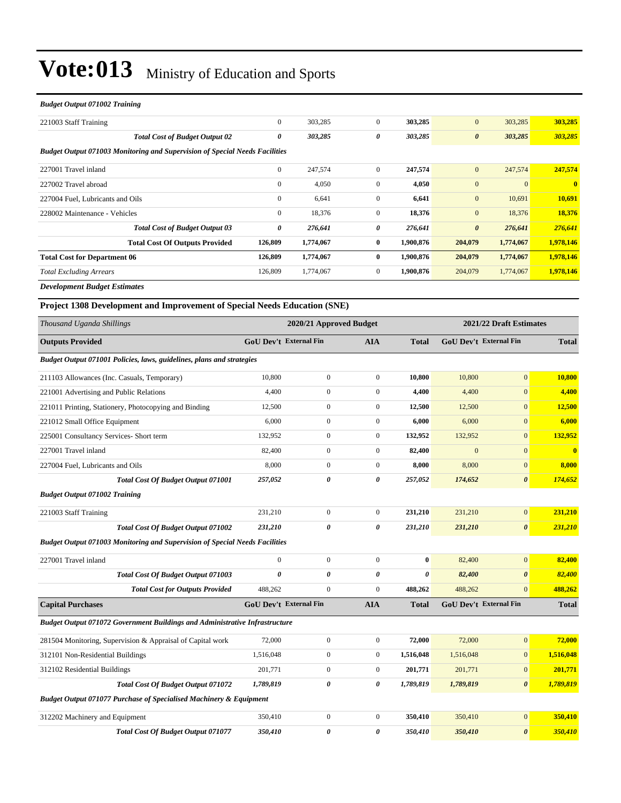#### *Budget Output 071002 Training*

| 221003 Staff Training                                                              | $\boldsymbol{0}$ | 303,285                 | $\mathbf{0}$          | 303,285        | $\mathbf{0}$                  | 303,285                       | 303,285                 |
|------------------------------------------------------------------------------------|------------------|-------------------------|-----------------------|----------------|-------------------------------|-------------------------------|-------------------------|
| <b>Total Cost of Budget Output 02</b>                                              | 0                | 303,285                 | $\boldsymbol{\theta}$ | 303,285        | $\boldsymbol{\theta}$         | 303,285                       | 303,285                 |
| <b>Budget Output 071003 Monitoring and Supervision of Special Needs Facilities</b> |                  |                         |                       |                |                               |                               |                         |
| 227001 Travel inland                                                               | $\boldsymbol{0}$ | 247,574                 | $\mathbf{0}$          | 247,574        | $\mathbf{0}$                  | 247,574                       | 247,574                 |
| 227002 Travel abroad                                                               | $\boldsymbol{0}$ | 4,050                   | $\boldsymbol{0}$      | 4,050          | $\boldsymbol{0}$              | $\boldsymbol{0}$              | $\overline{\mathbf{0}}$ |
| 227004 Fuel, Lubricants and Oils                                                   | $\boldsymbol{0}$ | 6,641                   | $\mathbf{0}$          | 6,641          | $\mathbf{0}$                  | 10,691                        | 10,691                  |
| 228002 Maintenance - Vehicles                                                      | $\boldsymbol{0}$ | 18,376                  | $\mathbf{0}$          | 18,376         | $\mathbf{0}$                  | 18,376                        | 18,376                  |
| <b>Total Cost of Budget Output 03</b>                                              | 0                | 276,641                 | 0                     | 276,641        | $\pmb{\theta}$                | 276,641                       | 276,641                 |
| <b>Total Cost Of Outputs Provided</b>                                              | 126,809          | 1,774,067               | $\bf{0}$              | 1,900,876      | 204,079                       | 1,774,067                     | 1,978,146               |
| <b>Total Cost for Department 06</b>                                                | 126,809          | 1,774,067               | $\bf{0}$              | 1,900,876      | 204,079                       | 1,774,067                     | 1,978,146               |
| <b>Total Excluding Arrears</b>                                                     | 126,809          | 1,774,067               | $\mathbf{0}$          | 1,900,876      | 204,079                       | 1,774,067                     | 1,978,146               |
| <b>Development Budget Estimates</b>                                                |                  |                         |                       |                |                               |                               |                         |
| Project 1308 Development and Improvement of Special Needs Education (SNE)          |                  |                         |                       |                |                               |                               |                         |
| Thousand Uganda Shillings                                                          |                  | 2020/21 Approved Budget |                       |                |                               | 2021/22 Draft Estimates       |                         |
| <b>Outputs Provided</b>                                                            |                  | GoU Dev't External Fin  | <b>AIA</b>            | <b>Total</b>   |                               | <b>GoU Dev't External Fin</b> | <b>Total</b>            |
| Budget Output 071001 Policies, laws, guidelines, plans and strategies              |                  |                         |                       |                |                               |                               |                         |
| 211103 Allowances (Inc. Casuals, Temporary)                                        | 10,800           | $\mathbf{0}$            | $\boldsymbol{0}$      | 10,800         | 10,800                        | $\boldsymbol{0}$              | 10,800                  |
| 221001 Advertising and Public Relations                                            | 4,400            | $\mathbf{0}$            | $\boldsymbol{0}$      | 4,400          | 4,400                         | $\mathbf{0}$                  | 4,400                   |
| 221011 Printing, Stationery, Photocopying and Binding                              | 12,500           | $\mathbf{0}$            | $\boldsymbol{0}$      | 12,500         | 12,500                        | $\mathbf{0}$                  | 12,500                  |
| 221012 Small Office Equipment                                                      | 6,000            | $\mathbf{0}$            | $\boldsymbol{0}$      | 6,000          | 6,000                         | $\boldsymbol{0}$              | 6,000                   |
| 225001 Consultancy Services- Short term                                            | 132,952          | $\boldsymbol{0}$        | $\boldsymbol{0}$      | 132,952        | 132,952                       | $\boldsymbol{0}$              | 132,952                 |
| 227001 Travel inland                                                               | 82,400           | $\mathbf{0}$            | $\boldsymbol{0}$      | 82,400         | $\boldsymbol{0}$              | $\mathbf{0}$                  | $\overline{\mathbf{0}}$ |
| 227004 Fuel, Lubricants and Oils                                                   | 8,000            | $\boldsymbol{0}$        | $\boldsymbol{0}$      | 8,000          | 8,000                         | $\boldsymbol{0}$              | 8,000                   |
| <b>Total Cost Of Budget Output 071001</b>                                          | 257,052          | 0                       | 0                     | 257,052        | 174,652                       | 0                             | 174,652                 |
| <b>Budget Output 071002 Training</b>                                               |                  |                         |                       |                |                               |                               |                         |
| 221003 Staff Training                                                              | 231,210          | $\boldsymbol{0}$        | $\boldsymbol{0}$      | 231,210        | 231,210                       | $\boldsymbol{0}$              | 231.210                 |
| <b>Total Cost Of Budget Output 071002</b>                                          | 231,210          | 0                       | 0                     | 231,210        | 231,210                       | 0                             | 231,210                 |
| <b>Budget Output 071003 Monitoring and Supervision of Special Needs Facilities</b> |                  |                         |                       |                |                               |                               |                         |
| 227001 Travel inland                                                               | 0                | $\mathbf{0}$            | $\mathbf{0}$          | 0              | 82,400                        | $\boldsymbol{0}$              | 82,400                  |
| Total Cost Of Budget Output 071003                                                 | 0                | $\pmb{\theta}$          | $\boldsymbol{\theta}$ | $\pmb{\theta}$ | 82,400                        | $\pmb{\theta}$                | 82,400                  |
| <b>Total Cost for Outputs Provided</b>                                             | 488,262          | $\boldsymbol{0}$        | $\boldsymbol{0}$      | 488,262        | 488,262                       | $\boldsymbol{0}$              | 488,262                 |
| <b>Capital Purchases</b>                                                           |                  | GoU Dev't External Fin  | <b>AIA</b>            | <b>Total</b>   | <b>GoU Dev't External Fin</b> |                               | <b>Total</b>            |
| <b>Budget Output 071072 Government Buildings and Administrative Infrastructure</b> |                  |                         |                       |                |                               |                               |                         |
| 281504 Monitoring, Supervision & Appraisal of Capital work                         | 72,000           | $\boldsymbol{0}$        | $\boldsymbol{0}$      | 72,000         | 72,000                        | $\boldsymbol{0}$              | 72,000                  |
| 312101 Non-Residential Buildings                                                   | 1,516,048        | $\boldsymbol{0}$        | $\boldsymbol{0}$      | 1,516,048      | 1,516,048                     | $\boldsymbol{0}$              | 1,516,048               |
| 312102 Residential Buildings                                                       | 201,771          | $\boldsymbol{0}$        | $\boldsymbol{0}$      | 201,771        | 201,771                       | $\boldsymbol{0}$              | 201,771                 |
| <b>Total Cost Of Budget Output 071072</b>                                          | 1,789,819        | 0                       | 0                     | 1,789,819      | 1,789,819                     | 0                             | 1,789,819               |

*Budget Output 071077 Purchase of Specialised Machinery & Equipment*

|                                | .                                         |         |  |         |         |                |
|--------------------------------|-------------------------------------------|---------|--|---------|---------|----------------|
| 312202 Machinery and Equipment |                                           | 350.410 |  | 350.410 | 350,410 | <b>350.410</b> |
|                                | <b>Total Cost Of Budget Output 071077</b> | 350.410 |  | 350.410 | 350.410 | <b>350.410</b> |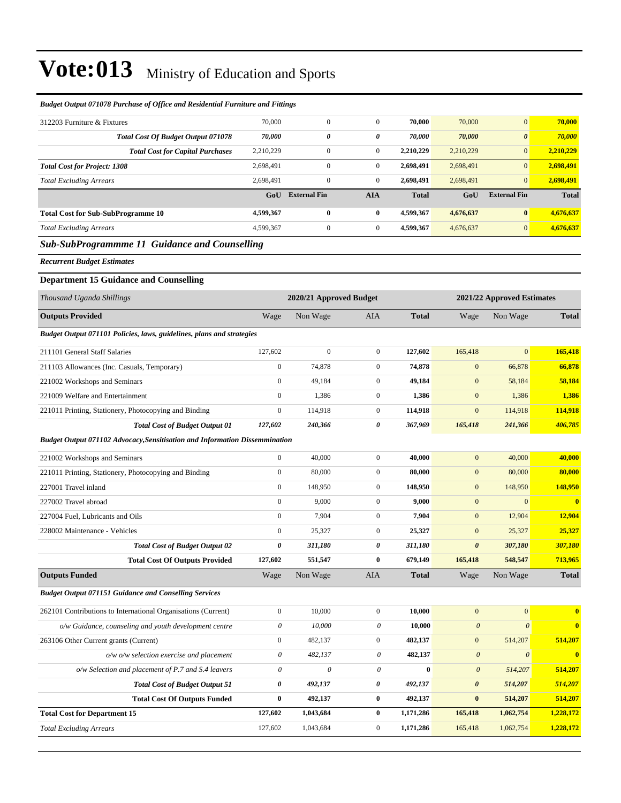| <b>Budget Output 071078 Purchase of Office and Residential Furniture and Fittings</b> |                           |                         |                           |              |                       |                            |              |  |
|---------------------------------------------------------------------------------------|---------------------------|-------------------------|---------------------------|--------------|-----------------------|----------------------------|--------------|--|
| 312203 Furniture & Fixtures                                                           | 70,000                    | $\boldsymbol{0}$        | $\boldsymbol{0}$          | 70,000       | 70,000                | $\mathbf{0}$               | 70,000       |  |
| <b>Total Cost Of Budget Output 071078</b>                                             | 70,000                    | 0                       | 0                         | 70,000       | 70,000                | $\boldsymbol{\theta}$      | 70,000       |  |
| <b>Total Cost for Capital Purchases</b>                                               | 2,210,229                 | 0                       | $\boldsymbol{0}$          | 2,210,229    | 2,210,229             | $\mathbf{0}$               | 2,210,229    |  |
| <b>Total Cost for Project: 1308</b>                                                   | 2,698,491                 | $\boldsymbol{0}$        | $\boldsymbol{0}$          | 2,698,491    | 2,698,491             | $\mathbf{0}$               | 2,698,491    |  |
| <b>Total Excluding Arrears</b>                                                        | 2,698,491                 | $\overline{0}$          | $\boldsymbol{0}$          | 2,698,491    | 2,698,491             | $\mathbf{0}$               | 2,698,491    |  |
|                                                                                       | GoU                       | <b>External Fin</b>     | <b>AIA</b>                | <b>Total</b> | GoU                   | <b>External Fin</b>        | <b>Total</b> |  |
| <b>Total Cost for Sub-SubProgramme 10</b>                                             | 4,599,367                 | $\bf{0}$                | $\bf{0}$                  | 4,599,367    | 4,676,637             | $\bf{0}$                   | 4,676,637    |  |
| <b>Total Excluding Arrears</b>                                                        | 4,599,367                 | $\boldsymbol{0}$        | $\boldsymbol{0}$          | 4,599,367    | 4,676,637             | $\mathbf{0}$               | 4,676,637    |  |
| <b>Sub-SubProgrammme 11 Guidance and Counselling</b>                                  |                           |                         |                           |              |                       |                            |              |  |
| <b>Recurrent Budget Estimates</b>                                                     |                           |                         |                           |              |                       |                            |              |  |
| <b>Department 15 Guidance and Counselling</b>                                         |                           |                         |                           |              |                       |                            |              |  |
| Thousand Uganda Shillings                                                             |                           | 2020/21 Approved Budget |                           |              |                       | 2021/22 Approved Estimates |              |  |
| <b>Outputs Provided</b>                                                               | Wage                      | Non Wage                | <b>AIA</b>                | <b>Total</b> | Wage                  | Non Wage                   | <b>Total</b> |  |
| Budget Output 071101 Policies, laws, guidelines, plans and strategies                 |                           |                         |                           |              |                       |                            |              |  |
| 211101 General Staff Salaries                                                         | 127,602                   | $\boldsymbol{0}$        | $\mathbf{0}$              | 127,602      | 165,418               | $\mathbf{0}$               | 165,418      |  |
| 211103 Allowances (Inc. Casuals, Temporary)                                           | $\boldsymbol{0}$          | 74,878                  | $\mathbf{0}$              | 74,878       | $\mathbf{0}$          | 66,878                     | 66,878       |  |
| 221002 Workshops and Seminars                                                         | $\boldsymbol{0}$          | 49,184                  | $\mathbf{0}$              | 49,184       | $\mathbf{0}$          | 58,184                     | 58,184       |  |
| 221009 Welfare and Entertainment                                                      | $\mathbf{0}$              | 1,386                   | $\boldsymbol{0}$          | 1,386        | $\mathbf{0}$          | 1,386                      | 1,386        |  |
| 221011 Printing, Stationery, Photocopying and Binding                                 | $\boldsymbol{0}$          | 114,918                 | $\mathbf{0}$              | 114,918      | $\mathbf{0}$          | 114,918                    | 114,918      |  |
| <b>Total Cost of Budget Output 01</b>                                                 | 127,602                   | 240,366                 | 0                         | 367,969      | 165,418               | 241,366                    | 406,785      |  |
| <b>Budget Output 071102 Advocacy, Sensitisation and Information Dissemmination</b>    |                           |                         |                           |              |                       |                            |              |  |
| 221002 Workshops and Seminars                                                         | $\boldsymbol{0}$          | 40,000                  | $\mathbf{0}$              | 40,000       | $\mathbf{0}$          | 40,000                     | 40,000       |  |
| 221011 Printing, Stationery, Photocopying and Binding                                 | $\boldsymbol{0}$          | 80,000                  | $\boldsymbol{0}$          | 80,000       | $\mathbf{0}$          | 80,000                     | 80,000       |  |
| 227001 Travel inland                                                                  | $\boldsymbol{0}$          | 148,950                 | $\boldsymbol{0}$          | 148,950      | $\mathbf{0}$          | 148,950                    | 148,950      |  |
| 227002 Travel abroad                                                                  | $\boldsymbol{0}$          | 9,000                   | $\mathbf{0}$              | 9,000        | $\mathbf{0}$          | $\mathbf{0}$               | $\bf{0}$     |  |
| 227004 Fuel, Lubricants and Oils                                                      | $\mathbf{0}$              | 7,904                   | $\boldsymbol{0}$          | 7,904        | $\mathbf{0}$          | 12,904                     | 12,904       |  |
| 228002 Maintenance - Vehicles                                                         | $\boldsymbol{0}$          | 25,327                  | $\mathbf{0}$              | 25,327       | $\mathbf{0}$          | 25,327                     | 25,327       |  |
| <b>Total Cost of Budget Output 02</b>                                                 | 0                         | 311,180                 | 0                         | 311,180      | $\boldsymbol{\theta}$ | 307,180                    | 307,180      |  |
| <b>Total Cost Of Outputs Provided</b>                                                 | 127,602                   | 551,547                 | $\pmb{0}$                 | 679,149      | 165,418               | 548,547                    | 713,965      |  |
| <b>Outputs Funded</b>                                                                 | Wage                      | Non Wage                | AIA                       | <b>Total</b> | Wage                  | Non Wage                   | <b>Total</b> |  |
| <b>Budget Output 071151 Guidance and Conselling Services</b>                          |                           |                         |                           |              |                       |                            |              |  |
| 262101 Contributions to International Organisations (Current)                         | $\boldsymbol{0}$          | 10,000                  | $\boldsymbol{0}$          | 10,000       | $\boldsymbol{0}$      | $\vert 0 \vert$            | $\bf{0}$     |  |
| o/w Guidance, counseling and youth development centre                                 | $\boldsymbol{\mathit{0}}$ | 10,000                  | $\boldsymbol{\mathit{0}}$ | 10,000       | $\boldsymbol{\theta}$ | $\boldsymbol{\theta}$      | $\mathbf{0}$ |  |
| 263106 Other Current grants (Current)                                                 | $\boldsymbol{0}$          | 482,137                 | $\boldsymbol{0}$          | 482,137      | $\boldsymbol{0}$      | 514,207                    | 514,207      |  |
| o/w o/w selection exercise and placement                                              | 0                         | 482,137                 | $\theta$                  | 482,137      | $\boldsymbol{\theta}$ | $\boldsymbol{\mathit{0}}$  | $\bf{0}$     |  |
| o/w Selection and placement of P.7 and S.4 leavers                                    | $\boldsymbol{\mathit{0}}$ | $\boldsymbol{\theta}$   | $\boldsymbol{\mathit{0}}$ | $\bf{0}$     | $\boldsymbol{\theta}$ | 514,207                    | 514,207      |  |
| <b>Total Cost of Budget Output 51</b>                                                 | 0                         | 492,137                 | 0                         | 492,137      | $\pmb{\theta}$        | 514,207                    | 514,207      |  |
| <b>Total Cost Of Outputs Funded</b>                                                   | $\bf{0}$                  | 492,137                 | 0                         | 492,137      | $\bf{0}$              | 514,207                    | 514,207      |  |
| <b>Total Cost for Department 15</b>                                                   | 127,602                   | 1,043,684               | $\bf{0}$                  | 1,171,286    | 165,418               | 1,062,754                  | 1,228,172    |  |
| <b>Total Excluding Arrears</b>                                                        | 127,602                   | 1,043,684               | $\overline{0}$            | 1,171,286    | 165,418               | 1,062,754                  | 1,228,172    |  |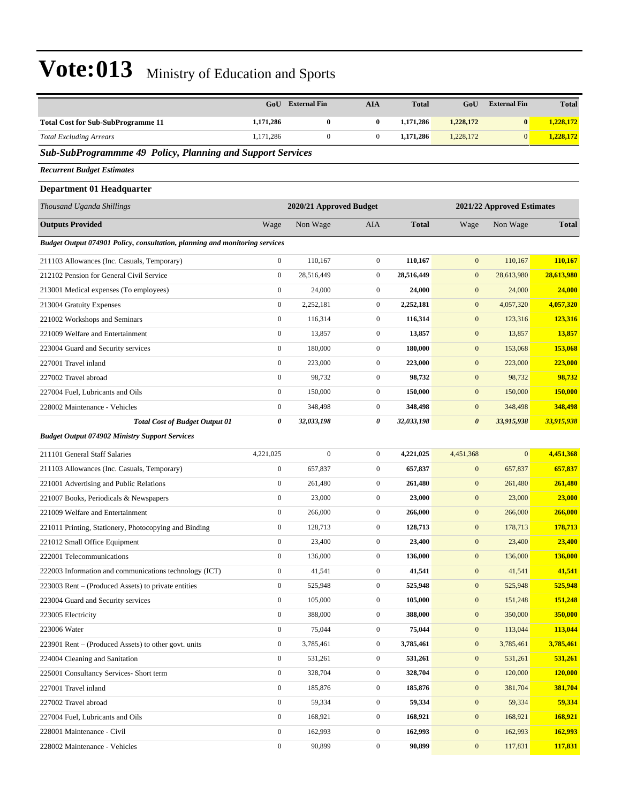| $\bf{0}$<br>$\bf{0}$<br>1,171,286<br><b>Total Cost for Sub-SubProgramme 11</b><br>1,171,286<br>1,228,172<br>$\pmb{0}$<br>1,228,172<br>$\boldsymbol{0}$<br>$\mathbf{0}$<br>1,171,286<br>$\boldsymbol{0}$<br>1,171,286<br>1,228,172<br>1,228,172<br><b>Total Excluding Arrears</b><br><b>Sub-SubProgrammme 49 Policy, Planning and Support Services</b><br><b>Recurrent Budget Estimates</b><br><b>Department 01 Headquarter</b><br>Thousand Uganda Shillings<br>2020/21 Approved Budget<br>2021/22 Approved Estimates<br><b>Outputs Provided</b><br>Wage<br>Non Wage<br><b>AIA</b><br><b>Total</b><br>Non Wage<br><b>Total</b><br>Wage<br><b>Budget Output 074901 Policy, consultation, planning and monitoring services</b><br>$\mathbf{0}$<br>110,167<br>110,167<br>$\boldsymbol{0}$<br>110,167<br>$\boldsymbol{0}$<br>110,167<br>211103 Allowances (Inc. Casuals, Temporary)<br>$\mathbf{0}$<br>28,516,449<br>$\boldsymbol{0}$<br>28,516,449<br>$\boldsymbol{0}$<br>28,613,980<br>28,613,980<br>212102 Pension for General Civil Service<br>$\boldsymbol{0}$<br>24,000<br>$\boldsymbol{0}$<br>24,000<br>$\mathbf{0}$<br>24,000<br>24,000<br>213001 Medical expenses (To employees)<br>$\boldsymbol{0}$<br>2,252,181<br>$\boldsymbol{0}$<br>2,252,181<br>$\boldsymbol{0}$<br>4,057,320<br>4,057,320<br>213004 Gratuity Expenses |
|----------------------------------------------------------------------------------------------------------------------------------------------------------------------------------------------------------------------------------------------------------------------------------------------------------------------------------------------------------------------------------------------------------------------------------------------------------------------------------------------------------------------------------------------------------------------------------------------------------------------------------------------------------------------------------------------------------------------------------------------------------------------------------------------------------------------------------------------------------------------------------------------------------------------------------------------------------------------------------------------------------------------------------------------------------------------------------------------------------------------------------------------------------------------------------------------------------------------------------------------------------------------------------------------------------------------------------|
|                                                                                                                                                                                                                                                                                                                                                                                                                                                                                                                                                                                                                                                                                                                                                                                                                                                                                                                                                                                                                                                                                                                                                                                                                                                                                                                                  |
|                                                                                                                                                                                                                                                                                                                                                                                                                                                                                                                                                                                                                                                                                                                                                                                                                                                                                                                                                                                                                                                                                                                                                                                                                                                                                                                                  |
|                                                                                                                                                                                                                                                                                                                                                                                                                                                                                                                                                                                                                                                                                                                                                                                                                                                                                                                                                                                                                                                                                                                                                                                                                                                                                                                                  |
|                                                                                                                                                                                                                                                                                                                                                                                                                                                                                                                                                                                                                                                                                                                                                                                                                                                                                                                                                                                                                                                                                                                                                                                                                                                                                                                                  |
|                                                                                                                                                                                                                                                                                                                                                                                                                                                                                                                                                                                                                                                                                                                                                                                                                                                                                                                                                                                                                                                                                                                                                                                                                                                                                                                                  |
|                                                                                                                                                                                                                                                                                                                                                                                                                                                                                                                                                                                                                                                                                                                                                                                                                                                                                                                                                                                                                                                                                                                                                                                                                                                                                                                                  |
|                                                                                                                                                                                                                                                                                                                                                                                                                                                                                                                                                                                                                                                                                                                                                                                                                                                                                                                                                                                                                                                                                                                                                                                                                                                                                                                                  |
|                                                                                                                                                                                                                                                                                                                                                                                                                                                                                                                                                                                                                                                                                                                                                                                                                                                                                                                                                                                                                                                                                                                                                                                                                                                                                                                                  |
|                                                                                                                                                                                                                                                                                                                                                                                                                                                                                                                                                                                                                                                                                                                                                                                                                                                                                                                                                                                                                                                                                                                                                                                                                                                                                                                                  |
|                                                                                                                                                                                                                                                                                                                                                                                                                                                                                                                                                                                                                                                                                                                                                                                                                                                                                                                                                                                                                                                                                                                                                                                                                                                                                                                                  |
|                                                                                                                                                                                                                                                                                                                                                                                                                                                                                                                                                                                                                                                                                                                                                                                                                                                                                                                                                                                                                                                                                                                                                                                                                                                                                                                                  |
|                                                                                                                                                                                                                                                                                                                                                                                                                                                                                                                                                                                                                                                                                                                                                                                                                                                                                                                                                                                                                                                                                                                                                                                                                                                                                                                                  |
| $\mathbf{0}$<br>221002 Workshops and Seminars<br>116,314<br>$\boldsymbol{0}$<br>116,314<br>$\mathbf{0}$<br>123,316<br>123,316                                                                                                                                                                                                                                                                                                                                                                                                                                                                                                                                                                                                                                                                                                                                                                                                                                                                                                                                                                                                                                                                                                                                                                                                    |
| $\boldsymbol{0}$<br>221009 Welfare and Entertainment<br>13,857<br>$\boldsymbol{0}$<br>13,857<br>$\boldsymbol{0}$<br>13,857<br>13,857                                                                                                                                                                                                                                                                                                                                                                                                                                                                                                                                                                                                                                                                                                                                                                                                                                                                                                                                                                                                                                                                                                                                                                                             |
| $\mathbf{0}$<br>180,000<br>$\boldsymbol{0}$<br>180,000<br>$\mathbf{0}$<br>153,068<br>153,068<br>223004 Guard and Security services                                                                                                                                                                                                                                                                                                                                                                                                                                                                                                                                                                                                                                                                                                                                                                                                                                                                                                                                                                                                                                                                                                                                                                                               |
| 227001 Travel inland<br>$\boldsymbol{0}$<br>223,000<br>$\boldsymbol{0}$<br>223,000<br>$\boldsymbol{0}$<br>223,000<br>223,000                                                                                                                                                                                                                                                                                                                                                                                                                                                                                                                                                                                                                                                                                                                                                                                                                                                                                                                                                                                                                                                                                                                                                                                                     |
| $\boldsymbol{0}$<br>$\boldsymbol{0}$<br>98,732<br>98,732<br>$\boldsymbol{0}$<br>98,732<br>227002 Travel abroad<br>98,732                                                                                                                                                                                                                                                                                                                                                                                                                                                                                                                                                                                                                                                                                                                                                                                                                                                                                                                                                                                                                                                                                                                                                                                                         |
| $\boldsymbol{0}$<br>150,000<br>150,000<br>150,000<br>$\boldsymbol{0}$<br>$\boldsymbol{0}$<br>150,000<br>227004 Fuel, Lubricants and Oils                                                                                                                                                                                                                                                                                                                                                                                                                                                                                                                                                                                                                                                                                                                                                                                                                                                                                                                                                                                                                                                                                                                                                                                         |
| $\boldsymbol{0}$<br>$\boldsymbol{0}$<br>348,498<br>348,498<br>348,498<br>$\boldsymbol{0}$<br>348,498<br>228002 Maintenance - Vehicles                                                                                                                                                                                                                                                                                                                                                                                                                                                                                                                                                                                                                                                                                                                                                                                                                                                                                                                                                                                                                                                                                                                                                                                            |
| 0<br>32,033,198<br>0<br>32,033,198<br>$\boldsymbol{\theta}$<br>33,915,938<br>33,915,938<br><b>Total Cost of Budget Output 01</b>                                                                                                                                                                                                                                                                                                                                                                                                                                                                                                                                                                                                                                                                                                                                                                                                                                                                                                                                                                                                                                                                                                                                                                                                 |
| <b>Budget Output 074902 Ministry Support Services</b>                                                                                                                                                                                                                                                                                                                                                                                                                                                                                                                                                                                                                                                                                                                                                                                                                                                                                                                                                                                                                                                                                                                                                                                                                                                                            |
| $\mathbf{0}$<br>4,451,368<br>211101 General Staff Salaries<br>4,221,025<br>$\boldsymbol{0}$<br>$\boldsymbol{0}$<br>4,221,025<br>4,451,368                                                                                                                                                                                                                                                                                                                                                                                                                                                                                                                                                                                                                                                                                                                                                                                                                                                                                                                                                                                                                                                                                                                                                                                        |
| $\boldsymbol{0}$<br>$\boldsymbol{0}$<br>657,837<br>657,837<br>$\boldsymbol{0}$<br>657,837<br>211103 Allowances (Inc. Casuals, Temporary)<br>657,837                                                                                                                                                                                                                                                                                                                                                                                                                                                                                                                                                                                                                                                                                                                                                                                                                                                                                                                                                                                                                                                                                                                                                                              |
| $\mathbf{0}$<br>221001 Advertising and Public Relations<br>261,480<br>$\boldsymbol{0}$<br>261,480<br>$\boldsymbol{0}$<br>261,480<br>261,480                                                                                                                                                                                                                                                                                                                                                                                                                                                                                                                                                                                                                                                                                                                                                                                                                                                                                                                                                                                                                                                                                                                                                                                      |
| $\boldsymbol{0}$<br>$\boldsymbol{0}$<br>23,000<br>23,000<br>$\boldsymbol{0}$<br>23,000<br>23,000<br>221007 Books, Periodicals & Newspapers                                                                                                                                                                                                                                                                                                                                                                                                                                                                                                                                                                                                                                                                                                                                                                                                                                                                                                                                                                                                                                                                                                                                                                                       |
| $\mathbf{0}$<br>266,000<br>$\boldsymbol{0}$<br>266,000<br>$\mathbf{0}$<br>266,000<br>266,000<br>221009 Welfare and Entertainment                                                                                                                                                                                                                                                                                                                                                                                                                                                                                                                                                                                                                                                                                                                                                                                                                                                                                                                                                                                                                                                                                                                                                                                                 |
| $\boldsymbol{0}$<br>128,713<br>$\boldsymbol{0}$<br>128,713<br>$\mathbf{0}$<br>178,713<br>178,713<br>221011 Printing, Stationery, Photocopying and Binding                                                                                                                                                                                                                                                                                                                                                                                                                                                                                                                                                                                                                                                                                                                                                                                                                                                                                                                                                                                                                                                                                                                                                                        |
| $\boldsymbol{0}$<br>$\boldsymbol{0}$<br>23,400<br>$\boldsymbol{0}$<br>23,400<br>23,400<br>221012 Small Office Equipment<br>23,400                                                                                                                                                                                                                                                                                                                                                                                                                                                                                                                                                                                                                                                                                                                                                                                                                                                                                                                                                                                                                                                                                                                                                                                                |
| $\boldsymbol{0}$<br>$\boldsymbol{0}$<br>136,000<br>136,000<br>136,000<br>222001 Telecommunications<br>136,000<br>$\boldsymbol{0}$                                                                                                                                                                                                                                                                                                                                                                                                                                                                                                                                                                                                                                                                                                                                                                                                                                                                                                                                                                                                                                                                                                                                                                                                |
| $\boldsymbol{0}$<br>$\boldsymbol{0}$<br>$\boldsymbol{0}$<br>222003 Information and communications technology (ICT)<br>41,541<br>41,541<br>41,541<br>41,541                                                                                                                                                                                                                                                                                                                                                                                                                                                                                                                                                                                                                                                                                                                                                                                                                                                                                                                                                                                                                                                                                                                                                                       |
| $\mathbf{0}$<br>525,948<br>$\boldsymbol{0}$<br>525,948<br>$\boldsymbol{0}$<br>525,948<br>525,948<br>223003 Rent – (Produced Assets) to private entities                                                                                                                                                                                                                                                                                                                                                                                                                                                                                                                                                                                                                                                                                                                                                                                                                                                                                                                                                                                                                                                                                                                                                                          |
| $\mathbf{0}$<br>105,000<br>$\boldsymbol{0}$<br>105,000<br>$\boldsymbol{0}$<br>151,248<br>151,248<br>223004 Guard and Security services                                                                                                                                                                                                                                                                                                                                                                                                                                                                                                                                                                                                                                                                                                                                                                                                                                                                                                                                                                                                                                                                                                                                                                                           |
| $\mathbf{0}$<br>$\boldsymbol{0}$<br>$\boldsymbol{0}$<br>388,000<br>388,000<br>350,000<br>223005 Electricity<br>350,000                                                                                                                                                                                                                                                                                                                                                                                                                                                                                                                                                                                                                                                                                                                                                                                                                                                                                                                                                                                                                                                                                                                                                                                                           |
| 75,044<br>113,044<br>223006 Water<br>$\boldsymbol{0}$<br>75,044<br>$\boldsymbol{0}$<br>$\boldsymbol{0}$<br>113,044                                                                                                                                                                                                                                                                                                                                                                                                                                                                                                                                                                                                                                                                                                                                                                                                                                                                                                                                                                                                                                                                                                                                                                                                               |
| 3,785,461<br>$\mathbf{0}$<br>$\boldsymbol{0}$<br>3,785,461<br>$\boldsymbol{0}$<br>3,785,461<br>223901 Rent – (Produced Assets) to other govt. units<br>3,785,461                                                                                                                                                                                                                                                                                                                                                                                                                                                                                                                                                                                                                                                                                                                                                                                                                                                                                                                                                                                                                                                                                                                                                                 |
| $\mathbf{0}$<br>531,261<br>$\boldsymbol{0}$<br>531,261<br>$\boldsymbol{0}$<br>531,261<br>531,261<br>224004 Cleaning and Sanitation                                                                                                                                                                                                                                                                                                                                                                                                                                                                                                                                                                                                                                                                                                                                                                                                                                                                                                                                                                                                                                                                                                                                                                                               |
| $\mathbf{0}$<br>328,704<br>$\boldsymbol{0}$<br>328,704<br>$\boldsymbol{0}$<br>120,000<br>120,000<br>225001 Consultancy Services- Short term                                                                                                                                                                                                                                                                                                                                                                                                                                                                                                                                                                                                                                                                                                                                                                                                                                                                                                                                                                                                                                                                                                                                                                                      |
| $\boldsymbol{0}$<br>$\boldsymbol{0}$<br>$\boldsymbol{0}$<br>227001 Travel inland<br>185,876<br>185,876<br>381,704<br>381,704                                                                                                                                                                                                                                                                                                                                                                                                                                                                                                                                                                                                                                                                                                                                                                                                                                                                                                                                                                                                                                                                                                                                                                                                     |
| 59,334<br>227002 Travel abroad<br>$\mathbf{0}$<br>59,334<br>$\boldsymbol{0}$<br>$\boldsymbol{0}$<br>59,334<br>59,334                                                                                                                                                                                                                                                                                                                                                                                                                                                                                                                                                                                                                                                                                                                                                                                                                                                                                                                                                                                                                                                                                                                                                                                                             |
| $\mathbf{0}$<br>$\boldsymbol{0}$<br>168,921<br>$\boldsymbol{0}$<br>168,921<br>168,921<br>227004 Fuel, Lubricants and Oils<br>168,921                                                                                                                                                                                                                                                                                                                                                                                                                                                                                                                                                                                                                                                                                                                                                                                                                                                                                                                                                                                                                                                                                                                                                                                             |
|                                                                                                                                                                                                                                                                                                                                                                                                                                                                                                                                                                                                                                                                                                                                                                                                                                                                                                                                                                                                                                                                                                                                                                                                                                                                                                                                  |
| $\mathbf{0}$<br>162,993<br>$\boldsymbol{0}$<br>162,993<br>$\boldsymbol{0}$<br>162,993<br>162,993<br>228001 Maintenance - Civil                                                                                                                                                                                                                                                                                                                                                                                                                                                                                                                                                                                                                                                                                                                                                                                                                                                                                                                                                                                                                                                                                                                                                                                                   |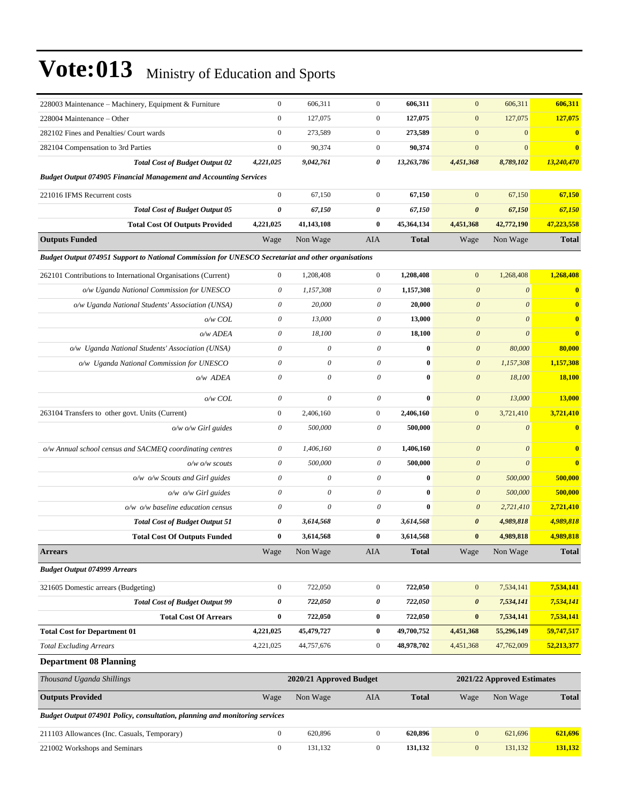| 228003 Maintenance – Machinery, Equipment & Furniture                                              | $\boldsymbol{0}$          | 606,311                   | $\boldsymbol{0}$          | 606,311      | $\boldsymbol{0}$          | 606,311                    | 606,311                 |
|----------------------------------------------------------------------------------------------------|---------------------------|---------------------------|---------------------------|--------------|---------------------------|----------------------------|-------------------------|
| 228004 Maintenance – Other                                                                         | $\mathbf{0}$              | 127,075                   | $\mathbf{0}$              | 127,075      | $\mathbf{0}$              | 127,075                    | 127,075                 |
| 282102 Fines and Penalties/ Court wards                                                            | $\boldsymbol{0}$          | 273,589                   | $\boldsymbol{0}$          | 273,589      | $\mathbf{0}$              | $\mathbf{0}$               | $\bf{0}$                |
| 282104 Compensation to 3rd Parties                                                                 | $\boldsymbol{0}$          | 90,374                    | $\mathbf{0}$              | 90,374       | $\boldsymbol{0}$          | $\mathbf{0}$               | $\overline{\mathbf{0}}$ |
| <b>Total Cost of Budget Output 02</b>                                                              | 4,221,025                 | 9,042,761                 | 0                         | 13,263,786   | 4,451,368                 | 8,789,102                  | 13,240,470              |
| <b>Budget Output 074905 Financial Management and Accounting Services</b>                           |                           |                           |                           |              |                           |                            |                         |
| 221016 IFMS Recurrent costs                                                                        | $\boldsymbol{0}$          | 67,150                    | $\boldsymbol{0}$          | 67,150       | $\mathbf{0}$              | 67,150                     | 67,150                  |
| <b>Total Cost of Budget Output 05</b>                                                              | 0                         | 67,150                    | 0                         | 67,150       | $\boldsymbol{\theta}$     | 67,150                     | 67,150                  |
| <b>Total Cost Of Outputs Provided</b>                                                              | 4,221,025                 | 41,143,108                | $\bf{0}$                  | 45,364,134   | 4,451,368                 | 42,772,190                 | 47,223,558              |
| <b>Outputs Funded</b>                                                                              | Wage                      | Non Wage                  | AIA                       | <b>Total</b> | Wage                      | Non Wage                   | <b>Total</b>            |
| Budget Output 074951 Support to National Commission for UNESCO Secretariat and other organisations |                           |                           |                           |              |                           |                            |                         |
| 262101 Contributions to International Organisations (Current)                                      | $\boldsymbol{0}$          | 1,208,408                 | $\boldsymbol{0}$          | 1,208,408    | $\mathbf{0}$              | 1,268,408                  | 1,268,408               |
| o/w Uganda National Commission for UNESCO                                                          | 0                         | 1,157,308                 | $\theta$                  | 1,157,308    | $\boldsymbol{\theta}$     | $\boldsymbol{\theta}$      | $\bf{0}$                |
| o/w Uganda National Students' Association (UNSA)                                                   | 0                         | 20,000                    | $\theta$                  | 20,000       | $\boldsymbol{\theta}$     | $\theta$                   | $\bf{0}$                |
| o/w COL                                                                                            | $\boldsymbol{\mathit{0}}$ | 13,000                    | $\theta$                  | 13,000       | $\boldsymbol{\theta}$     | $\theta$                   | $\overline{\mathbf{0}}$ |
| o/w ADEA                                                                                           | $\boldsymbol{\mathit{0}}$ | 18,100                    | $\theta$                  | 18,100       | $\boldsymbol{\theta}$     | $\mathcal{O}$              | $\mathbf{0}$            |
| o/w Uganda National Students' Association (UNSA)                                                   | $\boldsymbol{\mathit{0}}$ | 0                         | $\theta$                  | $\bf{0}$     | $\boldsymbol{\mathit{0}}$ | 80,000                     | 80,000                  |
| o/w Uganda National Commission for UNESCO                                                          | $\boldsymbol{\mathit{0}}$ | $\boldsymbol{\mathit{0}}$ | $\boldsymbol{\mathit{0}}$ | $\bf{0}$     | $\boldsymbol{\theta}$     | 1,157,308                  | 1,157,308               |
| o/w ADEA                                                                                           | $\theta$                  | $\theta$                  | $\theta$                  | $\bf{0}$     | $\boldsymbol{\theta}$     | 18,100                     | 18,100                  |
|                                                                                                    |                           |                           |                           |              |                           |                            |                         |
| $o/w$ COL                                                                                          | $\boldsymbol{\mathit{0}}$ | $\theta$                  | $\theta$                  | $\bf{0}$     | $\boldsymbol{\theta}$     | 13,000                     | 13,000                  |
| 263104 Transfers to other govt. Units (Current)                                                    | $\boldsymbol{0}$          | 2,406,160                 | $\boldsymbol{0}$          | 2,406,160    | $\boldsymbol{0}$          | 3,721,410                  | 3,721,410               |
| $o/w$ $o/w$ Girl guides                                                                            | 0                         | 500,000                   | $\theta$                  | 500,000      | $\boldsymbol{\theta}$     | $\boldsymbol{\theta}$      | $\bf{0}$                |
| o/w Annual school census and SACMEQ coordinating centres                                           | $\boldsymbol{\mathit{0}}$ | 1,406,160                 | $\boldsymbol{\theta}$     | 1,406,160    | $\boldsymbol{\theta}$     | $\boldsymbol{\theta}$      | $\bf{0}$                |
| $o/w$ o/w scouts                                                                                   | $\boldsymbol{\mathit{0}}$ | 500,000                   | $\theta$                  | 500,000      | $\boldsymbol{\theta}$     | $\boldsymbol{\theta}$      | $\overline{\mathbf{0}}$ |
| $o/w$ $o/w$ Scouts and Girl guides                                                                 | $\boldsymbol{\mathit{0}}$ | $\theta$                  | $\theta$                  | $\bf{0}$     | $\boldsymbol{\theta}$     | 500,000                    | 500,000                 |
| $o/w$ $o/w$ Girl guides                                                                            | $\boldsymbol{\mathit{0}}$ | $\theta$                  | $\theta$                  | $\bf{0}$     | $\boldsymbol{\theta}$     | 500,000                    | 500,000                 |
| o/w o/w baseline education census                                                                  | $\boldsymbol{\mathit{0}}$ | $\boldsymbol{\mathit{0}}$ | $\theta$                  | $\bf{0}$     | $\boldsymbol{\theta}$     | 2,721,410                  | 2,721,410               |
| <b>Total Cost of Budget Output 51</b>                                                              | 0                         | 3,614,568                 | 0                         | 3,614,568    | $\boldsymbol{\theta}$     | 4,989,818                  | 4,989,818               |
| <b>Total Cost Of Outputs Funded</b>                                                                | $\bf{0}$                  | 3,614,568                 | $\bf{0}$                  | 3,614,568    | $\bf{0}$                  | 4,989,818                  | 4,989,818               |
| <b>Arrears</b>                                                                                     | Wage                      | Non Wage                  | AIA                       | <b>Total</b> | Wage                      | Non Wage                   | <b>Total</b>            |
| <b>Budget Output 074999 Arrears</b>                                                                |                           |                           |                           |              |                           |                            |                         |
| 321605 Domestic arrears (Budgeting)                                                                | $\boldsymbol{0}$          | 722,050                   | $\boldsymbol{0}$          | 722,050      | $\mathbf{0}$              | 7,534,141                  | 7,534,141               |
| <b>Total Cost of Budget Output 99</b>                                                              | 0                         | 722,050                   | $\pmb{\theta}$            | 722,050      | $\pmb{\theta}$            | 7,534,141                  | 7,534,141               |
| <b>Total Cost Of Arrears</b>                                                                       | $\bf{0}$                  | 722,050                   | $\bf{0}$                  | 722,050      | $\bf{0}$                  | 7,534,141                  | 7,534,141               |
| <b>Total Cost for Department 01</b>                                                                | 4,221,025                 | 45,479,727                | $\boldsymbol{0}$          | 49,700,752   | 4,451,368                 | 55,296,149                 | 59,747,517              |
| <b>Total Excluding Arrears</b>                                                                     | 4,221,025                 | 44,757,676                | $\boldsymbol{0}$          | 48,978,702   | 4,451,368                 | 47,762,009                 | 52,213,377              |
| <b>Department 08 Planning</b>                                                                      |                           |                           |                           |              |                           |                            |                         |
| Thousand Uganda Shillings                                                                          |                           | 2020/21 Approved Budget   |                           |              |                           | 2021/22 Approved Estimates |                         |
| <b>Outputs Provided</b>                                                                            | Wage                      | Non Wage                  | AIA                       | <b>Total</b> | Wage                      | Non Wage                   | <b>Total</b>            |
| Budget Output 074901 Policy, consultation, planning and monitoring services                        |                           |                           |                           |              |                           |                            |                         |
| 211103 Allowances (Inc. Casuals, Temporary)                                                        | $\boldsymbol{0}$          | 620,896                   | $\boldsymbol{0}$          | 620,896      | $\boldsymbol{0}$          | 621,696                    | 621,696                 |

221002 Workshops and Seminars 0 131,132 0 **131,132** 0 131,132 **131,132**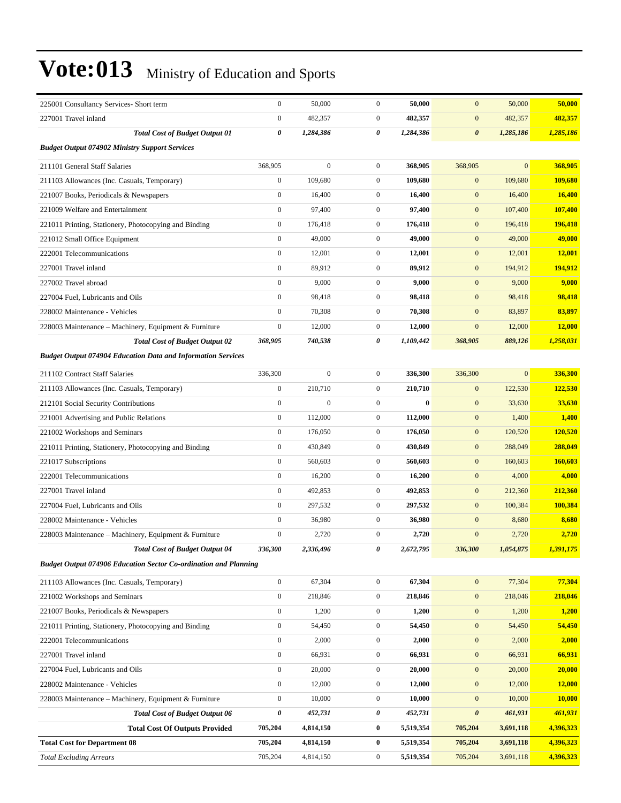| $\boldsymbol{0}$<br>482,357<br>482,357<br>$\mathbf{0}$<br>482,357<br>$\mathbf{0}$<br>482,357<br>227001 Travel inland<br><b>Total Cost of Budget Output 01</b><br>0<br>1,284,386<br>0<br>1,284,386<br>1,285,186<br>1,285,186<br>$\boldsymbol{\theta}$<br><b>Budget Output 074902 Ministry Support Services</b><br>$\boldsymbol{0}$<br>$\mathbf{0}$<br>368,905<br>$\mathbf{0}$<br>368,905<br>368,905<br>368,905<br>211101 General Staff Salaries<br>$\boldsymbol{0}$<br>$\mathbf{0}$<br>109,680<br>$\boldsymbol{0}$<br>109,680<br>109,680<br>211103 Allowances (Inc. Casuals, Temporary)<br>109,680<br>$\boldsymbol{0}$<br>16,400<br>$\mathbf{0}$<br>16,400<br>$\mathbf{0}$<br>16,400<br>16,400<br>221007 Books, Periodicals & Newspapers<br>$\boldsymbol{0}$<br>107,400<br>221009 Welfare and Entertainment<br>97,400<br>$\mathbf{0}$<br>97,400<br>$\mathbf{0}$<br>107,400<br>$\boldsymbol{0}$<br>176,418<br>$\mathbf{0}$<br>176,418<br>$\mathbf{0}$<br>196,418<br>196,418<br>221011 Printing, Stationery, Photocopying and Binding<br>$\boldsymbol{0}$<br>49,000<br>$\mathbf{0}$<br>49,000<br>$\mathbf{0}$<br>49,000<br>49,000<br>221012 Small Office Equipment<br>$\boldsymbol{0}$<br>$\mathbf{0}$<br>$\boldsymbol{0}$<br>222001 Telecommunications<br>12,001<br>12,001<br>12,001<br><b>12,001</b><br>$\boldsymbol{0}$<br>89,912<br>$\mathbf{0}$<br>89,912<br>$\mathbf{0}$<br>194,912<br>194,912<br>227001 Travel inland<br>$\boldsymbol{0}$<br>9,000<br>$\mathbf{0}$<br>9,000<br>$\mathbf{0}$<br>9,000<br>9,000<br>227002 Travel abroad<br>$\overline{0}$<br>98,418<br>$\mathbf{0}$<br>98,418<br>$\mathbf{0}$<br>98,418<br>98,418<br>227004 Fuel, Lubricants and Oils<br>$\mathbf{0}$<br>70,308<br>$\mathbf{0}$<br>70,308<br>$\mathbf{0}$<br>83,897<br>83,897<br>228002 Maintenance - Vehicles<br>$\boldsymbol{0}$<br>$\mathbf{0}$<br>12,000<br>12,000<br>$\mathbf{0}$<br>12,000<br>12,000<br>228003 Maintenance – Machinery, Equipment & Furniture<br>368,905<br>740,538<br>0<br>1,109,442<br>889,126<br>1,258,031<br><b>Total Cost of Budget Output 02</b><br>368,905<br><b>Budget Output 074904 Education Data and Information Services</b><br>$\mathbf{0}$<br>$\mathbf{0}$<br>336,300<br>211102 Contract Staff Salaries<br>336,300<br>$\mathbf{0}$<br>336,300<br>336,300<br>$\boldsymbol{0}$<br>210,710<br>$\mathbf{0}$<br>210,710<br>$\boldsymbol{0}$<br>122,530<br>122,530<br>211103 Allowances (Inc. Casuals, Temporary)<br>$\boldsymbol{0}$<br>$\boldsymbol{0}$<br>$\mathbf{0}$<br>$\bf{0}$<br>$\mathbf{0}$<br>33,630<br>33,630<br>212101 Social Security Contributions<br>$\boldsymbol{0}$<br>$\mathbf{0}$<br>112,000<br>112,000<br>$\boldsymbol{0}$<br>1,400<br>221001 Advertising and Public Relations<br>1,400<br>$\boldsymbol{0}$<br>176,050<br>$\mathbf{0}$<br>176,050<br>$\mathbf{0}$<br>120,520<br>120,520<br>221002 Workshops and Seminars<br>$\boldsymbol{0}$<br>288,049<br>430,849<br>$\mathbf{0}$<br>430,849<br>$\mathbf{0}$<br>288,049<br>221011 Printing, Stationery, Photocopying and Binding<br>$\boldsymbol{0}$<br>560,603<br>$\mathbf{0}$<br>560,603<br>$\boldsymbol{0}$<br>160,603<br>221017 Subscriptions<br>160,603<br>$\boldsymbol{0}$<br>$\mathbf{0}$<br>$\mathbf{0}$<br>4,000<br>4,000<br>16,200<br>16,200<br>222001 Telecommunications<br>$\boldsymbol{0}$<br>$\mathbf{0}$<br>492,853<br>492,853<br>$\boldsymbol{0}$<br>227001 Travel inland<br>212,360<br>212,360<br>$\boldsymbol{0}$<br>297,532<br>$\mathbf{0}$<br>297,532<br>$\mathbf{0}$<br>100,384<br>100,384<br>227004 Fuel, Lubricants and Oils<br>$\overline{0}$<br>36,980<br>$\mathbf{0}$<br>36,980<br>8,680<br>228002 Maintenance - Vehicles<br>$\boldsymbol{0}$<br>8,680<br>$\mathbf{0}$<br>$\overline{0}$<br>$\boldsymbol{0}$<br>2,720<br>2,720<br>228003 Maintenance – Machinery, Equipment & Furniture<br>2,720<br>2,720<br>2,672,795<br>336,300<br>2,336,496<br>0<br>336,300<br>1,054,875<br>1,391,175<br><b>Total Cost of Budget Output 04</b><br><b>Budget Output 074906 Education Sector Co-ordination and Planning</b><br>$\boldsymbol{0}$<br>$\boldsymbol{0}$<br>67,304<br>67,304<br>$\boldsymbol{0}$<br>77,304<br>77,304<br>211103 Allowances (Inc. Casuals, Temporary)<br>$\boldsymbol{0}$<br>221002 Workshops and Seminars<br>218,846<br>$\boldsymbol{0}$<br>218,846<br>$\mathbf{0}$<br>218,046<br>218,046<br>$\boldsymbol{0}$<br>1,200<br>1,200<br>$\boldsymbol{0}$<br>1,200<br>1,200<br>221007 Books, Periodicals & Newspapers<br>$\mathbf{0}$<br>$\boldsymbol{0}$<br>54,450<br>$\boldsymbol{0}$<br>54,450<br>54,450<br>54,450<br>221011 Printing, Stationery, Photocopying and Binding<br>$\mathbf{0}$<br>$\boldsymbol{0}$<br>2,000<br>$\boldsymbol{0}$<br>$\mathbf{0}$<br>2,000<br>2,000<br>222001 Telecommunications<br>2,000<br>$\boldsymbol{0}$<br>$\boldsymbol{0}$<br>227001 Travel inland<br>66,931<br>66,931<br>$\boldsymbol{0}$<br>66,931<br>66,931<br>20,000<br>$\boldsymbol{0}$<br>20,000<br>$\boldsymbol{0}$<br>20,000<br>$\mathbf{0}$<br>20,000<br>227004 Fuel, Lubricants and Oils<br>$\boldsymbol{0}$<br>12,000<br>228002 Maintenance - Vehicles<br>12,000<br>$\boldsymbol{0}$<br>12,000<br>$\mathbf{0}$<br>12,000<br>228003 Maintenance - Machinery, Equipment & Furniture<br>$\boldsymbol{0}$<br>10,000<br>$\boldsymbol{0}$<br>10,000<br>$\boldsymbol{0}$<br>10,000<br>10,000<br>0<br>452,731<br>452,731<br>$\boldsymbol{\theta}$<br>461,931<br>461,931<br><b>Total Cost of Budget Output 06</b><br>0<br><b>Total Cost Of Outputs Provided</b><br>705,204<br>4,814,150<br>$\bf{0}$<br>5,519,354<br>3,691,118<br>4,396,323<br>705,204<br><b>Total Cost for Department 08</b><br>705,204<br>4,814,150<br>$\bf{0}$<br>5,519,354<br>705,204<br>3,691,118<br>4,396,323<br>4,396,323<br><b>Total Excluding Arrears</b><br>705,204<br>$\boldsymbol{0}$<br>5,519,354<br>705,204<br>3,691,118<br>4,814,150 | 225001 Consultancy Services- Short term | $\boldsymbol{0}$ | 50,000 | $\boldsymbol{0}$ | 50,000 | $\mathbf{0}$ | 50,000 | 50,000 |
|--------------------------------------------------------------------------------------------------------------------------------------------------------------------------------------------------------------------------------------------------------------------------------------------------------------------------------------------------------------------------------------------------------------------------------------------------------------------------------------------------------------------------------------------------------------------------------------------------------------------------------------------------------------------------------------------------------------------------------------------------------------------------------------------------------------------------------------------------------------------------------------------------------------------------------------------------------------------------------------------------------------------------------------------------------------------------------------------------------------------------------------------------------------------------------------------------------------------------------------------------------------------------------------------------------------------------------------------------------------------------------------------------------------------------------------------------------------------------------------------------------------------------------------------------------------------------------------------------------------------------------------------------------------------------------------------------------------------------------------------------------------------------------------------------------------------------------------------------------------------------------------------------------------------------------------------------------------------------------------------------------------------------------------------------------------------------------------------------------------------------------------------------------------------------------------------------------------------------------------------------------------------------------------------------------------------------------------------------------------------------------------------------------------------------------------------------------------------------------------------------------------------------------------------------------------------------------------------------------------------------------------------------------------------------------------------------------------------------------------------------------------------------------------------------------------------------------------------------------------------------------------------------------------------------------------------------------------------------------------------------------------------------------------------------------------------------------------------------------------------------------------------------------------------------------------------------------------------------------------------------------------------------------------------------------------------------------------------------------------------------------------------------------------------------------------------------------------------------------------------------------------------------------------------------------------------------------------------------------------------------------------------------------------------------------------------------------------------------------------------------------------------------------------------------------------------------------------------------------------------------------------------------------------------------------------------------------------------------------------------------------------------------------------------------------------------------------------------------------------------------------------------------------------------------------------------------------------------------------------------------------------------------------------------------------------------------------------------------------------------------------------------------------------------------------------------------------------------------------------------------------------------------------------------------------------------------------------------------------------------------------------------------------------------------------------------------------------------------------------------------------------------------------------------------------------------------------------------------------------------------------------------------------------------------------------------------------------------------------------------------------------------------------------------------------------------------------------------------------------------------------------------------------------------------------------------------------------------------------------------------------------------------------------------------------------------------------------------------------------------------------------------------------------------------------------------------------------------------------------------------------------------------------------------------------------------------------------------------------------------------------------------------------------------------------------------------------------------------------------------------------------------------------------------------------------------------------|-----------------------------------------|------------------|--------|------------------|--------|--------------|--------|--------|
|                                                                                                                                                                                                                                                                                                                                                                                                                                                                                                                                                                                                                                                                                                                                                                                                                                                                                                                                                                                                                                                                                                                                                                                                                                                                                                                                                                                                                                                                                                                                                                                                                                                                                                                                                                                                                                                                                                                                                                                                                                                                                                                                                                                                                                                                                                                                                                                                                                                                                                                                                                                                                                                                                                                                                                                                                                                                                                                                                                                                                                                                                                                                                                                                                                                                                                                                                                                                                                                                                                                                                                                                                                                                                                                                                                                                                                                                                                                                                                                                                                                                                                                                                                                                                                                                                                                                                                                                                                                                                                                                                                                                                                                                                                                                                                                                                                                                                                                                                                                                                                                                                                                                                                                                                                                                                                                                                                                                                                                                                                                                                                                                                                                                                                                                                                                                                                |                                         |                  |        |                  |        |              |        |        |
|                                                                                                                                                                                                                                                                                                                                                                                                                                                                                                                                                                                                                                                                                                                                                                                                                                                                                                                                                                                                                                                                                                                                                                                                                                                                                                                                                                                                                                                                                                                                                                                                                                                                                                                                                                                                                                                                                                                                                                                                                                                                                                                                                                                                                                                                                                                                                                                                                                                                                                                                                                                                                                                                                                                                                                                                                                                                                                                                                                                                                                                                                                                                                                                                                                                                                                                                                                                                                                                                                                                                                                                                                                                                                                                                                                                                                                                                                                                                                                                                                                                                                                                                                                                                                                                                                                                                                                                                                                                                                                                                                                                                                                                                                                                                                                                                                                                                                                                                                                                                                                                                                                                                                                                                                                                                                                                                                                                                                                                                                                                                                                                                                                                                                                                                                                                                                                |                                         |                  |        |                  |        |              |        |        |
|                                                                                                                                                                                                                                                                                                                                                                                                                                                                                                                                                                                                                                                                                                                                                                                                                                                                                                                                                                                                                                                                                                                                                                                                                                                                                                                                                                                                                                                                                                                                                                                                                                                                                                                                                                                                                                                                                                                                                                                                                                                                                                                                                                                                                                                                                                                                                                                                                                                                                                                                                                                                                                                                                                                                                                                                                                                                                                                                                                                                                                                                                                                                                                                                                                                                                                                                                                                                                                                                                                                                                                                                                                                                                                                                                                                                                                                                                                                                                                                                                                                                                                                                                                                                                                                                                                                                                                                                                                                                                                                                                                                                                                                                                                                                                                                                                                                                                                                                                                                                                                                                                                                                                                                                                                                                                                                                                                                                                                                                                                                                                                                                                                                                                                                                                                                                                                |                                         |                  |        |                  |        |              |        |        |
|                                                                                                                                                                                                                                                                                                                                                                                                                                                                                                                                                                                                                                                                                                                                                                                                                                                                                                                                                                                                                                                                                                                                                                                                                                                                                                                                                                                                                                                                                                                                                                                                                                                                                                                                                                                                                                                                                                                                                                                                                                                                                                                                                                                                                                                                                                                                                                                                                                                                                                                                                                                                                                                                                                                                                                                                                                                                                                                                                                                                                                                                                                                                                                                                                                                                                                                                                                                                                                                                                                                                                                                                                                                                                                                                                                                                                                                                                                                                                                                                                                                                                                                                                                                                                                                                                                                                                                                                                                                                                                                                                                                                                                                                                                                                                                                                                                                                                                                                                                                                                                                                                                                                                                                                                                                                                                                                                                                                                                                                                                                                                                                                                                                                                                                                                                                                                                |                                         |                  |        |                  |        |              |        |        |
|                                                                                                                                                                                                                                                                                                                                                                                                                                                                                                                                                                                                                                                                                                                                                                                                                                                                                                                                                                                                                                                                                                                                                                                                                                                                                                                                                                                                                                                                                                                                                                                                                                                                                                                                                                                                                                                                                                                                                                                                                                                                                                                                                                                                                                                                                                                                                                                                                                                                                                                                                                                                                                                                                                                                                                                                                                                                                                                                                                                                                                                                                                                                                                                                                                                                                                                                                                                                                                                                                                                                                                                                                                                                                                                                                                                                                                                                                                                                                                                                                                                                                                                                                                                                                                                                                                                                                                                                                                                                                                                                                                                                                                                                                                                                                                                                                                                                                                                                                                                                                                                                                                                                                                                                                                                                                                                                                                                                                                                                                                                                                                                                                                                                                                                                                                                                                                |                                         |                  |        |                  |        |              |        |        |
|                                                                                                                                                                                                                                                                                                                                                                                                                                                                                                                                                                                                                                                                                                                                                                                                                                                                                                                                                                                                                                                                                                                                                                                                                                                                                                                                                                                                                                                                                                                                                                                                                                                                                                                                                                                                                                                                                                                                                                                                                                                                                                                                                                                                                                                                                                                                                                                                                                                                                                                                                                                                                                                                                                                                                                                                                                                                                                                                                                                                                                                                                                                                                                                                                                                                                                                                                                                                                                                                                                                                                                                                                                                                                                                                                                                                                                                                                                                                                                                                                                                                                                                                                                                                                                                                                                                                                                                                                                                                                                                                                                                                                                                                                                                                                                                                                                                                                                                                                                                                                                                                                                                                                                                                                                                                                                                                                                                                                                                                                                                                                                                                                                                                                                                                                                                                                                |                                         |                  |        |                  |        |              |        |        |
|                                                                                                                                                                                                                                                                                                                                                                                                                                                                                                                                                                                                                                                                                                                                                                                                                                                                                                                                                                                                                                                                                                                                                                                                                                                                                                                                                                                                                                                                                                                                                                                                                                                                                                                                                                                                                                                                                                                                                                                                                                                                                                                                                                                                                                                                                                                                                                                                                                                                                                                                                                                                                                                                                                                                                                                                                                                                                                                                                                                                                                                                                                                                                                                                                                                                                                                                                                                                                                                                                                                                                                                                                                                                                                                                                                                                                                                                                                                                                                                                                                                                                                                                                                                                                                                                                                                                                                                                                                                                                                                                                                                                                                                                                                                                                                                                                                                                                                                                                                                                                                                                                                                                                                                                                                                                                                                                                                                                                                                                                                                                                                                                                                                                                                                                                                                                                                |                                         |                  |        |                  |        |              |        |        |
|                                                                                                                                                                                                                                                                                                                                                                                                                                                                                                                                                                                                                                                                                                                                                                                                                                                                                                                                                                                                                                                                                                                                                                                                                                                                                                                                                                                                                                                                                                                                                                                                                                                                                                                                                                                                                                                                                                                                                                                                                                                                                                                                                                                                                                                                                                                                                                                                                                                                                                                                                                                                                                                                                                                                                                                                                                                                                                                                                                                                                                                                                                                                                                                                                                                                                                                                                                                                                                                                                                                                                                                                                                                                                                                                                                                                                                                                                                                                                                                                                                                                                                                                                                                                                                                                                                                                                                                                                                                                                                                                                                                                                                                                                                                                                                                                                                                                                                                                                                                                                                                                                                                                                                                                                                                                                                                                                                                                                                                                                                                                                                                                                                                                                                                                                                                                                                |                                         |                  |        |                  |        |              |        |        |
|                                                                                                                                                                                                                                                                                                                                                                                                                                                                                                                                                                                                                                                                                                                                                                                                                                                                                                                                                                                                                                                                                                                                                                                                                                                                                                                                                                                                                                                                                                                                                                                                                                                                                                                                                                                                                                                                                                                                                                                                                                                                                                                                                                                                                                                                                                                                                                                                                                                                                                                                                                                                                                                                                                                                                                                                                                                                                                                                                                                                                                                                                                                                                                                                                                                                                                                                                                                                                                                                                                                                                                                                                                                                                                                                                                                                                                                                                                                                                                                                                                                                                                                                                                                                                                                                                                                                                                                                                                                                                                                                                                                                                                                                                                                                                                                                                                                                                                                                                                                                                                                                                                                                                                                                                                                                                                                                                                                                                                                                                                                                                                                                                                                                                                                                                                                                                                |                                         |                  |        |                  |        |              |        |        |
|                                                                                                                                                                                                                                                                                                                                                                                                                                                                                                                                                                                                                                                                                                                                                                                                                                                                                                                                                                                                                                                                                                                                                                                                                                                                                                                                                                                                                                                                                                                                                                                                                                                                                                                                                                                                                                                                                                                                                                                                                                                                                                                                                                                                                                                                                                                                                                                                                                                                                                                                                                                                                                                                                                                                                                                                                                                                                                                                                                                                                                                                                                                                                                                                                                                                                                                                                                                                                                                                                                                                                                                                                                                                                                                                                                                                                                                                                                                                                                                                                                                                                                                                                                                                                                                                                                                                                                                                                                                                                                                                                                                                                                                                                                                                                                                                                                                                                                                                                                                                                                                                                                                                                                                                                                                                                                                                                                                                                                                                                                                                                                                                                                                                                                                                                                                                                                |                                         |                  |        |                  |        |              |        |        |
|                                                                                                                                                                                                                                                                                                                                                                                                                                                                                                                                                                                                                                                                                                                                                                                                                                                                                                                                                                                                                                                                                                                                                                                                                                                                                                                                                                                                                                                                                                                                                                                                                                                                                                                                                                                                                                                                                                                                                                                                                                                                                                                                                                                                                                                                                                                                                                                                                                                                                                                                                                                                                                                                                                                                                                                                                                                                                                                                                                                                                                                                                                                                                                                                                                                                                                                                                                                                                                                                                                                                                                                                                                                                                                                                                                                                                                                                                                                                                                                                                                                                                                                                                                                                                                                                                                                                                                                                                                                                                                                                                                                                                                                                                                                                                                                                                                                                                                                                                                                                                                                                                                                                                                                                                                                                                                                                                                                                                                                                                                                                                                                                                                                                                                                                                                                                                                |                                         |                  |        |                  |        |              |        |        |
|                                                                                                                                                                                                                                                                                                                                                                                                                                                                                                                                                                                                                                                                                                                                                                                                                                                                                                                                                                                                                                                                                                                                                                                                                                                                                                                                                                                                                                                                                                                                                                                                                                                                                                                                                                                                                                                                                                                                                                                                                                                                                                                                                                                                                                                                                                                                                                                                                                                                                                                                                                                                                                                                                                                                                                                                                                                                                                                                                                                                                                                                                                                                                                                                                                                                                                                                                                                                                                                                                                                                                                                                                                                                                                                                                                                                                                                                                                                                                                                                                                                                                                                                                                                                                                                                                                                                                                                                                                                                                                                                                                                                                                                                                                                                                                                                                                                                                                                                                                                                                                                                                                                                                                                                                                                                                                                                                                                                                                                                                                                                                                                                                                                                                                                                                                                                                                |                                         |                  |        |                  |        |              |        |        |
|                                                                                                                                                                                                                                                                                                                                                                                                                                                                                                                                                                                                                                                                                                                                                                                                                                                                                                                                                                                                                                                                                                                                                                                                                                                                                                                                                                                                                                                                                                                                                                                                                                                                                                                                                                                                                                                                                                                                                                                                                                                                                                                                                                                                                                                                                                                                                                                                                                                                                                                                                                                                                                                                                                                                                                                                                                                                                                                                                                                                                                                                                                                                                                                                                                                                                                                                                                                                                                                                                                                                                                                                                                                                                                                                                                                                                                                                                                                                                                                                                                                                                                                                                                                                                                                                                                                                                                                                                                                                                                                                                                                                                                                                                                                                                                                                                                                                                                                                                                                                                                                                                                                                                                                                                                                                                                                                                                                                                                                                                                                                                                                                                                                                                                                                                                                                                                |                                         |                  |        |                  |        |              |        |        |
|                                                                                                                                                                                                                                                                                                                                                                                                                                                                                                                                                                                                                                                                                                                                                                                                                                                                                                                                                                                                                                                                                                                                                                                                                                                                                                                                                                                                                                                                                                                                                                                                                                                                                                                                                                                                                                                                                                                                                                                                                                                                                                                                                                                                                                                                                                                                                                                                                                                                                                                                                                                                                                                                                                                                                                                                                                                                                                                                                                                                                                                                                                                                                                                                                                                                                                                                                                                                                                                                                                                                                                                                                                                                                                                                                                                                                                                                                                                                                                                                                                                                                                                                                                                                                                                                                                                                                                                                                                                                                                                                                                                                                                                                                                                                                                                                                                                                                                                                                                                                                                                                                                                                                                                                                                                                                                                                                                                                                                                                                                                                                                                                                                                                                                                                                                                                                                |                                         |                  |        |                  |        |              |        |        |
|                                                                                                                                                                                                                                                                                                                                                                                                                                                                                                                                                                                                                                                                                                                                                                                                                                                                                                                                                                                                                                                                                                                                                                                                                                                                                                                                                                                                                                                                                                                                                                                                                                                                                                                                                                                                                                                                                                                                                                                                                                                                                                                                                                                                                                                                                                                                                                                                                                                                                                                                                                                                                                                                                                                                                                                                                                                                                                                                                                                                                                                                                                                                                                                                                                                                                                                                                                                                                                                                                                                                                                                                                                                                                                                                                                                                                                                                                                                                                                                                                                                                                                                                                                                                                                                                                                                                                                                                                                                                                                                                                                                                                                                                                                                                                                                                                                                                                                                                                                                                                                                                                                                                                                                                                                                                                                                                                                                                                                                                                                                                                                                                                                                                                                                                                                                                                                |                                         |                  |        |                  |        |              |        |        |
|                                                                                                                                                                                                                                                                                                                                                                                                                                                                                                                                                                                                                                                                                                                                                                                                                                                                                                                                                                                                                                                                                                                                                                                                                                                                                                                                                                                                                                                                                                                                                                                                                                                                                                                                                                                                                                                                                                                                                                                                                                                                                                                                                                                                                                                                                                                                                                                                                                                                                                                                                                                                                                                                                                                                                                                                                                                                                                                                                                                                                                                                                                                                                                                                                                                                                                                                                                                                                                                                                                                                                                                                                                                                                                                                                                                                                                                                                                                                                                                                                                                                                                                                                                                                                                                                                                                                                                                                                                                                                                                                                                                                                                                                                                                                                                                                                                                                                                                                                                                                                                                                                                                                                                                                                                                                                                                                                                                                                                                                                                                                                                                                                                                                                                                                                                                                                                |                                         |                  |        |                  |        |              |        |        |
|                                                                                                                                                                                                                                                                                                                                                                                                                                                                                                                                                                                                                                                                                                                                                                                                                                                                                                                                                                                                                                                                                                                                                                                                                                                                                                                                                                                                                                                                                                                                                                                                                                                                                                                                                                                                                                                                                                                                                                                                                                                                                                                                                                                                                                                                                                                                                                                                                                                                                                                                                                                                                                                                                                                                                                                                                                                                                                                                                                                                                                                                                                                                                                                                                                                                                                                                                                                                                                                                                                                                                                                                                                                                                                                                                                                                                                                                                                                                                                                                                                                                                                                                                                                                                                                                                                                                                                                                                                                                                                                                                                                                                                                                                                                                                                                                                                                                                                                                                                                                                                                                                                                                                                                                                                                                                                                                                                                                                                                                                                                                                                                                                                                                                                                                                                                                                                |                                         |                  |        |                  |        |              |        |        |
|                                                                                                                                                                                                                                                                                                                                                                                                                                                                                                                                                                                                                                                                                                                                                                                                                                                                                                                                                                                                                                                                                                                                                                                                                                                                                                                                                                                                                                                                                                                                                                                                                                                                                                                                                                                                                                                                                                                                                                                                                                                                                                                                                                                                                                                                                                                                                                                                                                                                                                                                                                                                                                                                                                                                                                                                                                                                                                                                                                                                                                                                                                                                                                                                                                                                                                                                                                                                                                                                                                                                                                                                                                                                                                                                                                                                                                                                                                                                                                                                                                                                                                                                                                                                                                                                                                                                                                                                                                                                                                                                                                                                                                                                                                                                                                                                                                                                                                                                                                                                                                                                                                                                                                                                                                                                                                                                                                                                                                                                                                                                                                                                                                                                                                                                                                                                                                |                                         |                  |        |                  |        |              |        |        |
|                                                                                                                                                                                                                                                                                                                                                                                                                                                                                                                                                                                                                                                                                                                                                                                                                                                                                                                                                                                                                                                                                                                                                                                                                                                                                                                                                                                                                                                                                                                                                                                                                                                                                                                                                                                                                                                                                                                                                                                                                                                                                                                                                                                                                                                                                                                                                                                                                                                                                                                                                                                                                                                                                                                                                                                                                                                                                                                                                                                                                                                                                                                                                                                                                                                                                                                                                                                                                                                                                                                                                                                                                                                                                                                                                                                                                                                                                                                                                                                                                                                                                                                                                                                                                                                                                                                                                                                                                                                                                                                                                                                                                                                                                                                                                                                                                                                                                                                                                                                                                                                                                                                                                                                                                                                                                                                                                                                                                                                                                                                                                                                                                                                                                                                                                                                                                                |                                         |                  |        |                  |        |              |        |        |
|                                                                                                                                                                                                                                                                                                                                                                                                                                                                                                                                                                                                                                                                                                                                                                                                                                                                                                                                                                                                                                                                                                                                                                                                                                                                                                                                                                                                                                                                                                                                                                                                                                                                                                                                                                                                                                                                                                                                                                                                                                                                                                                                                                                                                                                                                                                                                                                                                                                                                                                                                                                                                                                                                                                                                                                                                                                                                                                                                                                                                                                                                                                                                                                                                                                                                                                                                                                                                                                                                                                                                                                                                                                                                                                                                                                                                                                                                                                                                                                                                                                                                                                                                                                                                                                                                                                                                                                                                                                                                                                                                                                                                                                                                                                                                                                                                                                                                                                                                                                                                                                                                                                                                                                                                                                                                                                                                                                                                                                                                                                                                                                                                                                                                                                                                                                                                                |                                         |                  |        |                  |        |              |        |        |
|                                                                                                                                                                                                                                                                                                                                                                                                                                                                                                                                                                                                                                                                                                                                                                                                                                                                                                                                                                                                                                                                                                                                                                                                                                                                                                                                                                                                                                                                                                                                                                                                                                                                                                                                                                                                                                                                                                                                                                                                                                                                                                                                                                                                                                                                                                                                                                                                                                                                                                                                                                                                                                                                                                                                                                                                                                                                                                                                                                                                                                                                                                                                                                                                                                                                                                                                                                                                                                                                                                                                                                                                                                                                                                                                                                                                                                                                                                                                                                                                                                                                                                                                                                                                                                                                                                                                                                                                                                                                                                                                                                                                                                                                                                                                                                                                                                                                                                                                                                                                                                                                                                                                                                                                                                                                                                                                                                                                                                                                                                                                                                                                                                                                                                                                                                                                                                |                                         |                  |        |                  |        |              |        |        |
|                                                                                                                                                                                                                                                                                                                                                                                                                                                                                                                                                                                                                                                                                                                                                                                                                                                                                                                                                                                                                                                                                                                                                                                                                                                                                                                                                                                                                                                                                                                                                                                                                                                                                                                                                                                                                                                                                                                                                                                                                                                                                                                                                                                                                                                                                                                                                                                                                                                                                                                                                                                                                                                                                                                                                                                                                                                                                                                                                                                                                                                                                                                                                                                                                                                                                                                                                                                                                                                                                                                                                                                                                                                                                                                                                                                                                                                                                                                                                                                                                                                                                                                                                                                                                                                                                                                                                                                                                                                                                                                                                                                                                                                                                                                                                                                                                                                                                                                                                                                                                                                                                                                                                                                                                                                                                                                                                                                                                                                                                                                                                                                                                                                                                                                                                                                                                                |                                         |                  |        |                  |        |              |        |        |
|                                                                                                                                                                                                                                                                                                                                                                                                                                                                                                                                                                                                                                                                                                                                                                                                                                                                                                                                                                                                                                                                                                                                                                                                                                                                                                                                                                                                                                                                                                                                                                                                                                                                                                                                                                                                                                                                                                                                                                                                                                                                                                                                                                                                                                                                                                                                                                                                                                                                                                                                                                                                                                                                                                                                                                                                                                                                                                                                                                                                                                                                                                                                                                                                                                                                                                                                                                                                                                                                                                                                                                                                                                                                                                                                                                                                                                                                                                                                                                                                                                                                                                                                                                                                                                                                                                                                                                                                                                                                                                                                                                                                                                                                                                                                                                                                                                                                                                                                                                                                                                                                                                                                                                                                                                                                                                                                                                                                                                                                                                                                                                                                                                                                                                                                                                                                                                |                                         |                  |        |                  |        |              |        |        |
|                                                                                                                                                                                                                                                                                                                                                                                                                                                                                                                                                                                                                                                                                                                                                                                                                                                                                                                                                                                                                                                                                                                                                                                                                                                                                                                                                                                                                                                                                                                                                                                                                                                                                                                                                                                                                                                                                                                                                                                                                                                                                                                                                                                                                                                                                                                                                                                                                                                                                                                                                                                                                                                                                                                                                                                                                                                                                                                                                                                                                                                                                                                                                                                                                                                                                                                                                                                                                                                                                                                                                                                                                                                                                                                                                                                                                                                                                                                                                                                                                                                                                                                                                                                                                                                                                                                                                                                                                                                                                                                                                                                                                                                                                                                                                                                                                                                                                                                                                                                                                                                                                                                                                                                                                                                                                                                                                                                                                                                                                                                                                                                                                                                                                                                                                                                                                                |                                         |                  |        |                  |        |              |        |        |
|                                                                                                                                                                                                                                                                                                                                                                                                                                                                                                                                                                                                                                                                                                                                                                                                                                                                                                                                                                                                                                                                                                                                                                                                                                                                                                                                                                                                                                                                                                                                                                                                                                                                                                                                                                                                                                                                                                                                                                                                                                                                                                                                                                                                                                                                                                                                                                                                                                                                                                                                                                                                                                                                                                                                                                                                                                                                                                                                                                                                                                                                                                                                                                                                                                                                                                                                                                                                                                                                                                                                                                                                                                                                                                                                                                                                                                                                                                                                                                                                                                                                                                                                                                                                                                                                                                                                                                                                                                                                                                                                                                                                                                                                                                                                                                                                                                                                                                                                                                                                                                                                                                                                                                                                                                                                                                                                                                                                                                                                                                                                                                                                                                                                                                                                                                                                                                |                                         |                  |        |                  |        |              |        |        |
|                                                                                                                                                                                                                                                                                                                                                                                                                                                                                                                                                                                                                                                                                                                                                                                                                                                                                                                                                                                                                                                                                                                                                                                                                                                                                                                                                                                                                                                                                                                                                                                                                                                                                                                                                                                                                                                                                                                                                                                                                                                                                                                                                                                                                                                                                                                                                                                                                                                                                                                                                                                                                                                                                                                                                                                                                                                                                                                                                                                                                                                                                                                                                                                                                                                                                                                                                                                                                                                                                                                                                                                                                                                                                                                                                                                                                                                                                                                                                                                                                                                                                                                                                                                                                                                                                                                                                                                                                                                                                                                                                                                                                                                                                                                                                                                                                                                                                                                                                                                                                                                                                                                                                                                                                                                                                                                                                                                                                                                                                                                                                                                                                                                                                                                                                                                                                                |                                         |                  |        |                  |        |              |        |        |
|                                                                                                                                                                                                                                                                                                                                                                                                                                                                                                                                                                                                                                                                                                                                                                                                                                                                                                                                                                                                                                                                                                                                                                                                                                                                                                                                                                                                                                                                                                                                                                                                                                                                                                                                                                                                                                                                                                                                                                                                                                                                                                                                                                                                                                                                                                                                                                                                                                                                                                                                                                                                                                                                                                                                                                                                                                                                                                                                                                                                                                                                                                                                                                                                                                                                                                                                                                                                                                                                                                                                                                                                                                                                                                                                                                                                                                                                                                                                                                                                                                                                                                                                                                                                                                                                                                                                                                                                                                                                                                                                                                                                                                                                                                                                                                                                                                                                                                                                                                                                                                                                                                                                                                                                                                                                                                                                                                                                                                                                                                                                                                                                                                                                                                                                                                                                                                |                                         |                  |        |                  |        |              |        |        |
|                                                                                                                                                                                                                                                                                                                                                                                                                                                                                                                                                                                                                                                                                                                                                                                                                                                                                                                                                                                                                                                                                                                                                                                                                                                                                                                                                                                                                                                                                                                                                                                                                                                                                                                                                                                                                                                                                                                                                                                                                                                                                                                                                                                                                                                                                                                                                                                                                                                                                                                                                                                                                                                                                                                                                                                                                                                                                                                                                                                                                                                                                                                                                                                                                                                                                                                                                                                                                                                                                                                                                                                                                                                                                                                                                                                                                                                                                                                                                                                                                                                                                                                                                                                                                                                                                                                                                                                                                                                                                                                                                                                                                                                                                                                                                                                                                                                                                                                                                                                                                                                                                                                                                                                                                                                                                                                                                                                                                                                                                                                                                                                                                                                                                                                                                                                                                                |                                         |                  |        |                  |        |              |        |        |
|                                                                                                                                                                                                                                                                                                                                                                                                                                                                                                                                                                                                                                                                                                                                                                                                                                                                                                                                                                                                                                                                                                                                                                                                                                                                                                                                                                                                                                                                                                                                                                                                                                                                                                                                                                                                                                                                                                                                                                                                                                                                                                                                                                                                                                                                                                                                                                                                                                                                                                                                                                                                                                                                                                                                                                                                                                                                                                                                                                                                                                                                                                                                                                                                                                                                                                                                                                                                                                                                                                                                                                                                                                                                                                                                                                                                                                                                                                                                                                                                                                                                                                                                                                                                                                                                                                                                                                                                                                                                                                                                                                                                                                                                                                                                                                                                                                                                                                                                                                                                                                                                                                                                                                                                                                                                                                                                                                                                                                                                                                                                                                                                                                                                                                                                                                                                                                |                                         |                  |        |                  |        |              |        |        |
|                                                                                                                                                                                                                                                                                                                                                                                                                                                                                                                                                                                                                                                                                                                                                                                                                                                                                                                                                                                                                                                                                                                                                                                                                                                                                                                                                                                                                                                                                                                                                                                                                                                                                                                                                                                                                                                                                                                                                                                                                                                                                                                                                                                                                                                                                                                                                                                                                                                                                                                                                                                                                                                                                                                                                                                                                                                                                                                                                                                                                                                                                                                                                                                                                                                                                                                                                                                                                                                                                                                                                                                                                                                                                                                                                                                                                                                                                                                                                                                                                                                                                                                                                                                                                                                                                                                                                                                                                                                                                                                                                                                                                                                                                                                                                                                                                                                                                                                                                                                                                                                                                                                                                                                                                                                                                                                                                                                                                                                                                                                                                                                                                                                                                                                                                                                                                                |                                         |                  |        |                  |        |              |        |        |
|                                                                                                                                                                                                                                                                                                                                                                                                                                                                                                                                                                                                                                                                                                                                                                                                                                                                                                                                                                                                                                                                                                                                                                                                                                                                                                                                                                                                                                                                                                                                                                                                                                                                                                                                                                                                                                                                                                                                                                                                                                                                                                                                                                                                                                                                                                                                                                                                                                                                                                                                                                                                                                                                                                                                                                                                                                                                                                                                                                                                                                                                                                                                                                                                                                                                                                                                                                                                                                                                                                                                                                                                                                                                                                                                                                                                                                                                                                                                                                                                                                                                                                                                                                                                                                                                                                                                                                                                                                                                                                                                                                                                                                                                                                                                                                                                                                                                                                                                                                                                                                                                                                                                                                                                                                                                                                                                                                                                                                                                                                                                                                                                                                                                                                                                                                                                                                |                                         |                  |        |                  |        |              |        |        |
|                                                                                                                                                                                                                                                                                                                                                                                                                                                                                                                                                                                                                                                                                                                                                                                                                                                                                                                                                                                                                                                                                                                                                                                                                                                                                                                                                                                                                                                                                                                                                                                                                                                                                                                                                                                                                                                                                                                                                                                                                                                                                                                                                                                                                                                                                                                                                                                                                                                                                                                                                                                                                                                                                                                                                                                                                                                                                                                                                                                                                                                                                                                                                                                                                                                                                                                                                                                                                                                                                                                                                                                                                                                                                                                                                                                                                                                                                                                                                                                                                                                                                                                                                                                                                                                                                                                                                                                                                                                                                                                                                                                                                                                                                                                                                                                                                                                                                                                                                                                                                                                                                                                                                                                                                                                                                                                                                                                                                                                                                                                                                                                                                                                                                                                                                                                                                                |                                         |                  |        |                  |        |              |        |        |
|                                                                                                                                                                                                                                                                                                                                                                                                                                                                                                                                                                                                                                                                                                                                                                                                                                                                                                                                                                                                                                                                                                                                                                                                                                                                                                                                                                                                                                                                                                                                                                                                                                                                                                                                                                                                                                                                                                                                                                                                                                                                                                                                                                                                                                                                                                                                                                                                                                                                                                                                                                                                                                                                                                                                                                                                                                                                                                                                                                                                                                                                                                                                                                                                                                                                                                                                                                                                                                                                                                                                                                                                                                                                                                                                                                                                                                                                                                                                                                                                                                                                                                                                                                                                                                                                                                                                                                                                                                                                                                                                                                                                                                                                                                                                                                                                                                                                                                                                                                                                                                                                                                                                                                                                                                                                                                                                                                                                                                                                                                                                                                                                                                                                                                                                                                                                                                |                                         |                  |        |                  |        |              |        |        |
|                                                                                                                                                                                                                                                                                                                                                                                                                                                                                                                                                                                                                                                                                                                                                                                                                                                                                                                                                                                                                                                                                                                                                                                                                                                                                                                                                                                                                                                                                                                                                                                                                                                                                                                                                                                                                                                                                                                                                                                                                                                                                                                                                                                                                                                                                                                                                                                                                                                                                                                                                                                                                                                                                                                                                                                                                                                                                                                                                                                                                                                                                                                                                                                                                                                                                                                                                                                                                                                                                                                                                                                                                                                                                                                                                                                                                                                                                                                                                                                                                                                                                                                                                                                                                                                                                                                                                                                                                                                                                                                                                                                                                                                                                                                                                                                                                                                                                                                                                                                                                                                                                                                                                                                                                                                                                                                                                                                                                                                                                                                                                                                                                                                                                                                                                                                                                                |                                         |                  |        |                  |        |              |        |        |
|                                                                                                                                                                                                                                                                                                                                                                                                                                                                                                                                                                                                                                                                                                                                                                                                                                                                                                                                                                                                                                                                                                                                                                                                                                                                                                                                                                                                                                                                                                                                                                                                                                                                                                                                                                                                                                                                                                                                                                                                                                                                                                                                                                                                                                                                                                                                                                                                                                                                                                                                                                                                                                                                                                                                                                                                                                                                                                                                                                                                                                                                                                                                                                                                                                                                                                                                                                                                                                                                                                                                                                                                                                                                                                                                                                                                                                                                                                                                                                                                                                                                                                                                                                                                                                                                                                                                                                                                                                                                                                                                                                                                                                                                                                                                                                                                                                                                                                                                                                                                                                                                                                                                                                                                                                                                                                                                                                                                                                                                                                                                                                                                                                                                                                                                                                                                                                |                                         |                  |        |                  |        |              |        |        |
|                                                                                                                                                                                                                                                                                                                                                                                                                                                                                                                                                                                                                                                                                                                                                                                                                                                                                                                                                                                                                                                                                                                                                                                                                                                                                                                                                                                                                                                                                                                                                                                                                                                                                                                                                                                                                                                                                                                                                                                                                                                                                                                                                                                                                                                                                                                                                                                                                                                                                                                                                                                                                                                                                                                                                                                                                                                                                                                                                                                                                                                                                                                                                                                                                                                                                                                                                                                                                                                                                                                                                                                                                                                                                                                                                                                                                                                                                                                                                                                                                                                                                                                                                                                                                                                                                                                                                                                                                                                                                                                                                                                                                                                                                                                                                                                                                                                                                                                                                                                                                                                                                                                                                                                                                                                                                                                                                                                                                                                                                                                                                                                                                                                                                                                                                                                                                                |                                         |                  |        |                  |        |              |        |        |
|                                                                                                                                                                                                                                                                                                                                                                                                                                                                                                                                                                                                                                                                                                                                                                                                                                                                                                                                                                                                                                                                                                                                                                                                                                                                                                                                                                                                                                                                                                                                                                                                                                                                                                                                                                                                                                                                                                                                                                                                                                                                                                                                                                                                                                                                                                                                                                                                                                                                                                                                                                                                                                                                                                                                                                                                                                                                                                                                                                                                                                                                                                                                                                                                                                                                                                                                                                                                                                                                                                                                                                                                                                                                                                                                                                                                                                                                                                                                                                                                                                                                                                                                                                                                                                                                                                                                                                                                                                                                                                                                                                                                                                                                                                                                                                                                                                                                                                                                                                                                                                                                                                                                                                                                                                                                                                                                                                                                                                                                                                                                                                                                                                                                                                                                                                                                                                |                                         |                  |        |                  |        |              |        |        |
|                                                                                                                                                                                                                                                                                                                                                                                                                                                                                                                                                                                                                                                                                                                                                                                                                                                                                                                                                                                                                                                                                                                                                                                                                                                                                                                                                                                                                                                                                                                                                                                                                                                                                                                                                                                                                                                                                                                                                                                                                                                                                                                                                                                                                                                                                                                                                                                                                                                                                                                                                                                                                                                                                                                                                                                                                                                                                                                                                                                                                                                                                                                                                                                                                                                                                                                                                                                                                                                                                                                                                                                                                                                                                                                                                                                                                                                                                                                                                                                                                                                                                                                                                                                                                                                                                                                                                                                                                                                                                                                                                                                                                                                                                                                                                                                                                                                                                                                                                                                                                                                                                                                                                                                                                                                                                                                                                                                                                                                                                                                                                                                                                                                                                                                                                                                                                                |                                         |                  |        |                  |        |              |        |        |
|                                                                                                                                                                                                                                                                                                                                                                                                                                                                                                                                                                                                                                                                                                                                                                                                                                                                                                                                                                                                                                                                                                                                                                                                                                                                                                                                                                                                                                                                                                                                                                                                                                                                                                                                                                                                                                                                                                                                                                                                                                                                                                                                                                                                                                                                                                                                                                                                                                                                                                                                                                                                                                                                                                                                                                                                                                                                                                                                                                                                                                                                                                                                                                                                                                                                                                                                                                                                                                                                                                                                                                                                                                                                                                                                                                                                                                                                                                                                                                                                                                                                                                                                                                                                                                                                                                                                                                                                                                                                                                                                                                                                                                                                                                                                                                                                                                                                                                                                                                                                                                                                                                                                                                                                                                                                                                                                                                                                                                                                                                                                                                                                                                                                                                                                                                                                                                |                                         |                  |        |                  |        |              |        |        |
|                                                                                                                                                                                                                                                                                                                                                                                                                                                                                                                                                                                                                                                                                                                                                                                                                                                                                                                                                                                                                                                                                                                                                                                                                                                                                                                                                                                                                                                                                                                                                                                                                                                                                                                                                                                                                                                                                                                                                                                                                                                                                                                                                                                                                                                                                                                                                                                                                                                                                                                                                                                                                                                                                                                                                                                                                                                                                                                                                                                                                                                                                                                                                                                                                                                                                                                                                                                                                                                                                                                                                                                                                                                                                                                                                                                                                                                                                                                                                                                                                                                                                                                                                                                                                                                                                                                                                                                                                                                                                                                                                                                                                                                                                                                                                                                                                                                                                                                                                                                                                                                                                                                                                                                                                                                                                                                                                                                                                                                                                                                                                                                                                                                                                                                                                                                                                                |                                         |                  |        |                  |        |              |        |        |
|                                                                                                                                                                                                                                                                                                                                                                                                                                                                                                                                                                                                                                                                                                                                                                                                                                                                                                                                                                                                                                                                                                                                                                                                                                                                                                                                                                                                                                                                                                                                                                                                                                                                                                                                                                                                                                                                                                                                                                                                                                                                                                                                                                                                                                                                                                                                                                                                                                                                                                                                                                                                                                                                                                                                                                                                                                                                                                                                                                                                                                                                                                                                                                                                                                                                                                                                                                                                                                                                                                                                                                                                                                                                                                                                                                                                                                                                                                                                                                                                                                                                                                                                                                                                                                                                                                                                                                                                                                                                                                                                                                                                                                                                                                                                                                                                                                                                                                                                                                                                                                                                                                                                                                                                                                                                                                                                                                                                                                                                                                                                                                                                                                                                                                                                                                                                                                |                                         |                  |        |                  |        |              |        |        |
|                                                                                                                                                                                                                                                                                                                                                                                                                                                                                                                                                                                                                                                                                                                                                                                                                                                                                                                                                                                                                                                                                                                                                                                                                                                                                                                                                                                                                                                                                                                                                                                                                                                                                                                                                                                                                                                                                                                                                                                                                                                                                                                                                                                                                                                                                                                                                                                                                                                                                                                                                                                                                                                                                                                                                                                                                                                                                                                                                                                                                                                                                                                                                                                                                                                                                                                                                                                                                                                                                                                                                                                                                                                                                                                                                                                                                                                                                                                                                                                                                                                                                                                                                                                                                                                                                                                                                                                                                                                                                                                                                                                                                                                                                                                                                                                                                                                                                                                                                                                                                                                                                                                                                                                                                                                                                                                                                                                                                                                                                                                                                                                                                                                                                                                                                                                                                                |                                         |                  |        |                  |        |              |        |        |
|                                                                                                                                                                                                                                                                                                                                                                                                                                                                                                                                                                                                                                                                                                                                                                                                                                                                                                                                                                                                                                                                                                                                                                                                                                                                                                                                                                                                                                                                                                                                                                                                                                                                                                                                                                                                                                                                                                                                                                                                                                                                                                                                                                                                                                                                                                                                                                                                                                                                                                                                                                                                                                                                                                                                                                                                                                                                                                                                                                                                                                                                                                                                                                                                                                                                                                                                                                                                                                                                                                                                                                                                                                                                                                                                                                                                                                                                                                                                                                                                                                                                                                                                                                                                                                                                                                                                                                                                                                                                                                                                                                                                                                                                                                                                                                                                                                                                                                                                                                                                                                                                                                                                                                                                                                                                                                                                                                                                                                                                                                                                                                                                                                                                                                                                                                                                                                |                                         |                  |        |                  |        |              |        |        |
|                                                                                                                                                                                                                                                                                                                                                                                                                                                                                                                                                                                                                                                                                                                                                                                                                                                                                                                                                                                                                                                                                                                                                                                                                                                                                                                                                                                                                                                                                                                                                                                                                                                                                                                                                                                                                                                                                                                                                                                                                                                                                                                                                                                                                                                                                                                                                                                                                                                                                                                                                                                                                                                                                                                                                                                                                                                                                                                                                                                                                                                                                                                                                                                                                                                                                                                                                                                                                                                                                                                                                                                                                                                                                                                                                                                                                                                                                                                                                                                                                                                                                                                                                                                                                                                                                                                                                                                                                                                                                                                                                                                                                                                                                                                                                                                                                                                                                                                                                                                                                                                                                                                                                                                                                                                                                                                                                                                                                                                                                                                                                                                                                                                                                                                                                                                                                                |                                         |                  |        |                  |        |              |        |        |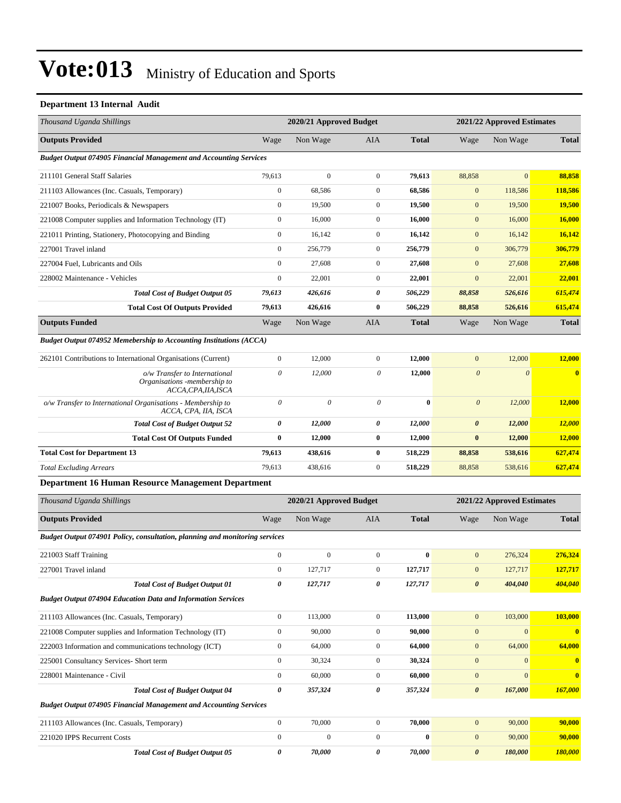### **Department 13 Internal Audit**

| Thousand Uganda Shillings                                                             | 2020/21 Approved Budget   |                           |                       |              | 2021/22 Approved Estimates |                            |               |  |
|---------------------------------------------------------------------------------------|---------------------------|---------------------------|-----------------------|--------------|----------------------------|----------------------------|---------------|--|
| <b>Outputs Provided</b>                                                               | Wage                      | Non Wage                  | AIA                   | <b>Total</b> | Wage                       | Non Wage                   | <b>Total</b>  |  |
| <b>Budget Output 074905 Financial Management and Accounting Services</b>              |                           |                           |                       |              |                            |                            |               |  |
| 211101 General Staff Salaries                                                         | 79,613                    | $\mathbf{0}$              | $\boldsymbol{0}$      | 79,613       | 88,858                     | $\overline{0}$             | 88,858        |  |
| 211103 Allowances (Inc. Casuals, Temporary)                                           | $\boldsymbol{0}$          | 68,586                    | $\boldsymbol{0}$      | 68,586       | $\mathbf{0}$               | 118,586                    | 118,586       |  |
| 221007 Books, Periodicals & Newspapers                                                | $\boldsymbol{0}$          | 19,500                    | $\mathbf{0}$          | 19,500       | $\mathbf{0}$               | 19,500                     | 19,500        |  |
| 221008 Computer supplies and Information Technology (IT)                              | $\boldsymbol{0}$          | 16,000                    | $\mathbf{0}$          | 16,000       | $\mathbf{0}$               | 16,000                     | <b>16,000</b> |  |
| 221011 Printing, Stationery, Photocopying and Binding                                 | $\boldsymbol{0}$          | 16,142                    | $\mathbf{0}$          | 16,142       | $\mathbf{0}$               | 16,142                     | 16,142        |  |
| 227001 Travel inland                                                                  | $\boldsymbol{0}$          | 256,779                   | $\boldsymbol{0}$      | 256,779      | $\mathbf{0}$               | 306,779                    | 306,779       |  |
| 227004 Fuel, Lubricants and Oils                                                      | $\boldsymbol{0}$          | 27,608                    | $\boldsymbol{0}$      | 27,608       | $\mathbf{0}$               | 27,608                     | 27,608        |  |
| 228002 Maintenance - Vehicles                                                         | $\boldsymbol{0}$          | 22,001                    | $\mathbf{0}$          | 22,001       | $\mathbf{0}$               | 22,001                     | 22,001        |  |
| <b>Total Cost of Budget Output 05</b>                                                 | 79,613                    | 426,616                   | 0                     | 506,229      | 88,858                     | 526,616                    | 615,474       |  |
| <b>Total Cost Of Outputs Provided</b>                                                 | 79,613                    | 426,616                   | $\bf{0}$              | 506,229      | 88,858                     | 526,616                    | 615,474       |  |
| <b>Outputs Funded</b>                                                                 | Wage                      | Non Wage                  | AIA                   | <b>Total</b> | Wage                       | Non Wage                   | <b>Total</b>  |  |
| <b>Budget Output 074952 Memebership to Accounting Institutions (ACCA)</b>             |                           |                           |                       |              |                            |                            |               |  |
| 262101 Contributions to International Organisations (Current)                         | $\boldsymbol{0}$          | 12,000                    | $\boldsymbol{0}$      | 12,000       | $\mathbf{0}$               | 12,000                     | 12,000        |  |
| o/w Transfer to International<br>Organisations -membership to<br>ACCA, CPA, IIA, ISCA | $\theta$                  | 12,000                    | $\boldsymbol{\theta}$ | 12,000       | $\boldsymbol{\theta}$      | $\theta$                   | $\mathbf{0}$  |  |
| o/w Transfer to International Organisations - Membership to<br>ACCA, CPA, IIA, ISCA   | $\boldsymbol{\mathit{0}}$ | $\boldsymbol{\mathit{0}}$ | $\theta$              | $\bf{0}$     | $\boldsymbol{\theta}$      | 12,000                     | 12,000        |  |
| <b>Total Cost of Budget Output 52</b>                                                 | 0                         | 12,000                    | 0                     | 12,000       | $\boldsymbol{\theta}$      | 12,000                     | 12,000        |  |
| <b>Total Cost Of Outputs Funded</b>                                                   | $\bf{0}$                  | 12,000                    | $\bf{0}$              | 12,000       | $\bf{0}$                   | 12,000                     | <b>12,000</b> |  |
| <b>Total Cost for Department 13</b>                                                   | 79,613                    | 438,616                   | $\bf{0}$              | 518,229      | 88,858                     | 538,616                    | 627,474       |  |
| <b>Total Excluding Arrears</b>                                                        | 79,613                    | 438,616                   | $\boldsymbol{0}$      | 518,229      | 88,858                     | 538,616                    | 627,474       |  |
| <b>Department 16 Human Resource Management Department</b>                             |                           |                           |                       |              |                            |                            |               |  |
| Thousand Uganda Shillings                                                             |                           | 2020/21 Approved Budget   |                       |              |                            | 2021/22 Approved Estimates |               |  |
| <b>Outputs Provided</b>                                                               | Wage                      | Non Wage                  | AIA                   | <b>Total</b> | Wage                       | Non Wage                   | <b>Total</b>  |  |
| Budget Output 074901 Policy, consultation, planning and monitoring services           |                           |                           |                       |              |                            |                            |               |  |
| 221003 Staff Training                                                                 | $\boldsymbol{0}$          | $\boldsymbol{0}$          | $\boldsymbol{0}$      | $\bf{0}$     | $\mathbf{0}$               | 276,324                    | 276,324       |  |
| 227001 Travel inland                                                                  | $\boldsymbol{0}$          | 127,717                   | $\boldsymbol{0}$      | 127,717      | $\boldsymbol{0}$           | 127,717                    | 127,717       |  |
| <b>Total Cost of Budget Output 01</b>                                                 | $\pmb{\theta}$            | 127,717                   | 0                     | 127,717      | $\boldsymbol{\theta}$      | 404,040                    | 404,040       |  |
| <b>Budget Output 074904 Education Data and Information Services</b>                   |                           |                           |                       |              |                            |                            |               |  |
| 211103 Allowances (Inc. Casuals, Temporary)                                           | $\boldsymbol{0}$          | 113,000                   | $\boldsymbol{0}$      | 113,000      | $\mathbf{0}$               | 103,000                    | 103,000       |  |
| 221008 Computer supplies and Information Technology (IT)                              | $\boldsymbol{0}$          | 90,000                    | $\boldsymbol{0}$      | 90,000       | $\boldsymbol{0}$           | $\boldsymbol{0}$           | $\bf{0}$      |  |
| 222003 Information and communications technology (ICT)                                | $\boldsymbol{0}$          | 64,000                    | $\boldsymbol{0}$      | 64,000       | $\mathbf{0}$               | 64,000                     | 64,000        |  |
| 225001 Consultancy Services- Short term                                               | $\boldsymbol{0}$          | 30,324                    | $\boldsymbol{0}$      | 30,324       | $\mathbf{0}$               | $\mathbf{0}$               | $\bf{0}$      |  |
| 228001 Maintenance - Civil                                                            | $\boldsymbol{0}$          | 60,000                    | $\boldsymbol{0}$      | 60,000       | $\boldsymbol{0}$           | $\mathbf{0}$               | $\bf{0}$      |  |
| <b>Total Cost of Budget Output 04</b>                                                 | 0                         | 357,324                   | 0                     | 357,324      | $\boldsymbol{\theta}$      | 167,000                    | 167,000       |  |
| <b>Budget Output 074905 Financial Management and Accounting Services</b>              |                           |                           |                       |              |                            |                            |               |  |
| 211103 Allowances (Inc. Casuals, Temporary)                                           | $\boldsymbol{0}$          | 70,000                    | $\boldsymbol{0}$      | 70,000       | $\boldsymbol{0}$           | 90,000                     | 90,000        |  |
| 221020 IPPS Recurrent Costs                                                           | $\boldsymbol{0}$          | $\boldsymbol{0}$          | $\boldsymbol{0}$      | $\bf{0}$     | $\mathbf{0}$               | 90,000                     | 90,000        |  |
| <b>Total Cost of Budget Output 05</b>                                                 | 0                         | 70,000                    | 0                     | 70,000       | $\boldsymbol{\theta}$      | 180,000                    | 180,000       |  |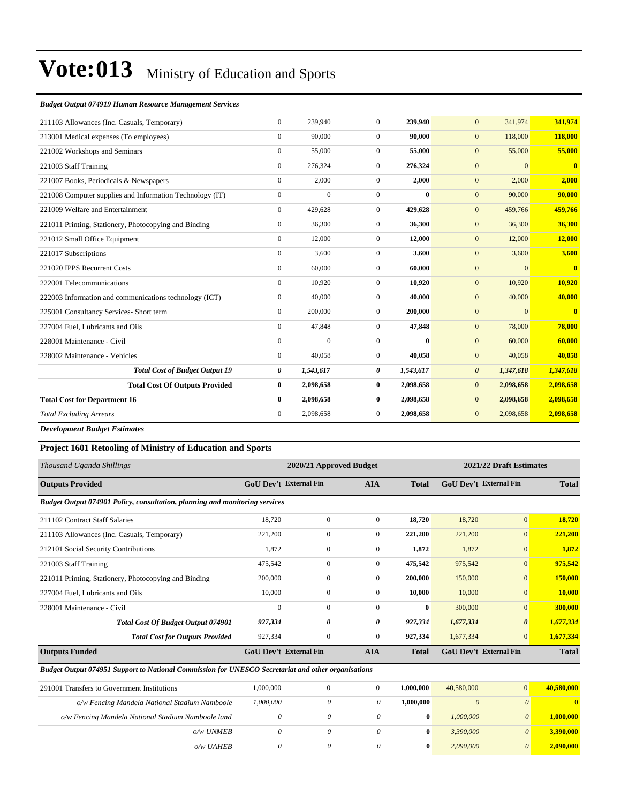#### *Budget Output 074919 Human Resource Management Services*

| 211103 Allowances (Inc. Casuals, Temporary)              | $\mathbf{0}$     | 239,940      | $\Omega$       | 239,940   | $\mathbf{0}$<br>341,974            | 341,974                 |
|----------------------------------------------------------|------------------|--------------|----------------|-----------|------------------------------------|-------------------------|
| 213001 Medical expenses (To employees)                   | $\mathbf{0}$     | 90,000       | $\overline{0}$ | 90,000    | 118,000<br>$\mathbf{0}$            | 118,000                 |
| 221002 Workshops and Seminars                            | $\mathbf{0}$     | 55,000       | $\Omega$       | 55,000    | 55,000<br>$\mathbf{0}$             | 55,000                  |
| 221003 Staff Training                                    | $\mathbf{0}$     | 276,324      | $\overline{0}$ | 276,324   | $\mathbf{0}$<br>$\mathbf{0}$       | $\overline{\mathbf{0}}$ |
| 221007 Books, Periodicals & Newspapers                   | $\mathbf{0}$     | 2,000        | $\overline{0}$ | 2,000     | 2,000<br>$\mathbf{0}$              | 2,000                   |
| 221008 Computer supplies and Information Technology (IT) | $\mathbf{0}$     | $\mathbf{0}$ | $\overline{0}$ | $\bf{0}$  | 90,000<br>$\mathbf{0}$             | 90,000                  |
| 221009 Welfare and Entertainment                         | $\Omega$         | 429,628      | $\Omega$       | 429,628   | $\mathbf{0}$<br>459,766            | 459,766                 |
| 221011 Printing, Stationery, Photocopying and Binding    | $\mathbf{0}$     | 36,300       | $\overline{0}$ | 36,300    | 36,300<br>$\mathbf{0}$             | 36,300                  |
| 221012 Small Office Equipment                            | $\mathbf{0}$     | 12,000       | $\overline{0}$ | 12,000    | 12,000<br>$\mathbf{0}$             | 12,000                  |
| 221017 Subscriptions                                     | $\mathbf{0}$     | 3,600        | $\overline{0}$ | 3,600     | 3,600<br>$\mathbf{0}$              | 3,600                   |
| 221020 IPPS Recurrent Costs                              | $\mathbf{0}$     | 60,000       | $\overline{0}$ | 60,000    | $\mathbf{0}$<br>$\mathbf{0}$       | $\overline{\mathbf{0}}$ |
| 222001 Telecommunications                                | $\mathbf{0}$     | 10,920       | $\overline{0}$ | 10,920    | 10,920<br>$\mathbf{0}$             | 10,920                  |
| 222003 Information and communications technology (ICT)   | $\boldsymbol{0}$ | 40,000       | $\overline{0}$ | 40,000    | 40,000<br>$\mathbf{0}$             | 40,000                  |
| 225001 Consultancy Services- Short term                  | $\mathbf{0}$     | 200,000      | $\overline{0}$ | 200,000   | $\mathbf{0}$<br>$\mathbf{0}$       | $\bf{0}$                |
| 227004 Fuel, Lubricants and Oils                         | $\mathbf{0}$     | 47,848       | $\overline{0}$ | 47,848    | $\mathbf{0}$<br>78,000             | 78,000                  |
| 228001 Maintenance - Civil                               | $\mathbf{0}$     | $\mathbf{0}$ | $\mathbf{0}$   | $\bf{0}$  | 60,000<br>$\mathbf{0}$             | 60,000                  |
| 228002 Maintenance - Vehicles                            | $\mathbf{0}$     | 40,058       | $\overline{0}$ | 40,058    | $\mathbf{0}$<br>40,058             | 40,058                  |
| <b>Total Cost of Budget Output 19</b>                    | 0                | 1,543,617    | 0              | 1,543,617 | 1,347,618<br>$\boldsymbol{\theta}$ | 1,347,618               |
| <b>Total Cost Of Outputs Provided</b>                    | $\bf{0}$         | 2,098,658    | $\bf{0}$       | 2,098,658 | $\bf{0}$<br>2,098,658              | 2,098,658               |
| <b>Total Cost for Department 16</b>                      | $\bf{0}$         | 2,098,658    | $\bf{0}$       | 2,098,658 | 2,098,658<br>$\bf{0}$              | 2,098,658               |
| <b>Total Excluding Arrears</b>                           | $\mathbf{0}$     | 2,098,658    | $\mathbf{0}$   | 2,098,658 | 2,098,658<br>$\mathbf{0}$          | 2,098,658               |
| $   -$                                                   |                  |              |                |           |                                    |                         |

*Development Budget Estimates*

### **Project 1601 Retooling of Ministry of Education and Sports**

| Thousand Uganda Shillings                                                          | 2020/21 Approved Budget       |                |                |              | 2021/22 Draft Estimates       |                       |              |
|------------------------------------------------------------------------------------|-------------------------------|----------------|----------------|--------------|-------------------------------|-----------------------|--------------|
| <b>Outputs Provided</b>                                                            | <b>GoU Dev't External Fin</b> |                | <b>AIA</b>     | <b>Total</b> | <b>GoU</b> Dev't External Fin |                       | <b>Total</b> |
| <b>Budget Output 074901 Policy, consultation, planning and monitoring services</b> |                               |                |                |              |                               |                       |              |
| 211102 Contract Staff Salaries                                                     | 18,720                        | $\mathbf{0}$   | $\overline{0}$ | 18,720       | 18,720                        | $\overline{0}$        | 18,720       |
| 211103 Allowances (Inc. Casuals, Temporary)                                        | 221,200                       | $\overline{0}$ | $\overline{0}$ | 221,200      | 221,200                       | $\mathbf{0}$          | 221,200      |
| 212101 Social Security Contributions                                               | 1,872                         | $\overline{0}$ | $\overline{0}$ | 1,872        | 1,872                         | $\mathbf{0}$          | 1,872        |
| 221003 Staff Training                                                              | 475,542                       | $\Omega$       | $\theta$       | 475,542      | 975,542                       | $\overline{0}$        | 975,542      |
| 221011 Printing, Stationery, Photocopying and Binding                              | 200,000                       | $\overline{0}$ | $\overline{0}$ | 200,000      | 150,000                       | $\mathbf{0}$          | 150,000      |
| 227004 Fuel, Lubricants and Oils                                                   | 10,000                        | $\overline{0}$ | $\overline{0}$ | 10,000       | 10,000                        | $\overline{0}$        | 10,000       |
| 228001 Maintenance - Civil                                                         | $\mathbf{0}$                  | $\Omega$       | $\theta$       | $\bf{0}$     | 300,000                       | $\overline{0}$        | 300,000      |
| <b>Total Cost Of Budget Output 074901</b>                                          | 927,334                       | 0              | 0              | 927,334      | 1,677,334                     | $\boldsymbol{\theta}$ | 1,677,334    |
| <b>Total Cost for Outputs Provided</b>                                             | 927,334                       | $\mathbf{0}$   | $\overline{0}$ | 927,334      | 1,677,334                     | $\overline{0}$        | 1,677,334    |
| <b>Outputs Funded</b>                                                              | <b>GoU Dev't External Fin</b> |                | <b>AIA</b>     | <b>Total</b> | <b>GoU Dev't External Fin</b> |                       | <b>Total</b> |

*Budget Output 074951 Support to National Commission for UNESCO Secretariat and other organisations*

| 291001 Transfers to Government Institutions        | 1,000,000 |  | 1.000.000 | 40,580,000 |          | 40,580,000 |
|----------------------------------------------------|-----------|--|-----------|------------|----------|------------|
| o/w Fencing Mandela National Stadium Namboole      | 1,000,000 |  | 1.000.000 |            | $\theta$ | $\bf{0}$   |
| o/w Fencing Mandela National Stadium Namboole land |           |  | 0         | 1,000,000  | $\theta$ | 1,000,000  |
| o/w UNMEB                                          |           |  | 0         | 3.390,000  |          | 3,390,000  |
| o/w UAHEB                                          |           |  | 0         | 2.090,000  | 0        | 2,090,000  |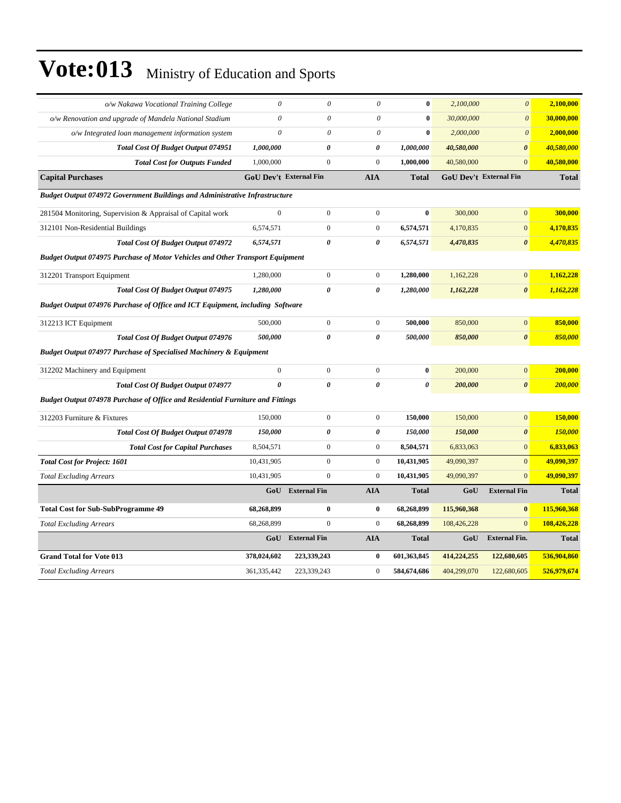| o/w Nakawa Vocational Training College                                               | $\theta$                  | $\theta$              | $\theta$                  | $\bf{0}$              | 2,100,000   | $\theta$                      | 2,100,000    |
|--------------------------------------------------------------------------------------|---------------------------|-----------------------|---------------------------|-----------------------|-------------|-------------------------------|--------------|
| o/w Renovation and upgrade of Mandela National Stadium                               | $\boldsymbol{\mathit{0}}$ | $\boldsymbol{\theta}$ | $\boldsymbol{\mathit{0}}$ | $\bf{0}$              | 30,000,000  | $\boldsymbol{\theta}$         | 30,000,000   |
| o/w Integrated loan management information system                                    | $\theta$                  | $\boldsymbol{\theta}$ | $\boldsymbol{\mathit{0}}$ | $\bf{0}$              | 2,000,000   | $\theta$                      | 2,000,000    |
| Total Cost Of Budget Output 074951                                                   | 1,000,000                 | 0                     | 0                         | 1,000,000             | 40,580,000  | $\boldsymbol{\theta}$         | 40,580,000   |
| <b>Total Cost for Outputs Funded</b>                                                 | 1,000,000                 | $\overline{0}$        | $\boldsymbol{0}$          | 1,000,000             | 40,580,000  | $\overline{0}$                | 40,580,000   |
| <b>Capital Purchases</b>                                                             | GoU Dev't External Fin    |                       | <b>AIA</b>                | <b>Total</b>          |             | <b>GoU Dev't External Fin</b> | <b>Total</b> |
| Budget Output 074972 Government Buildings and Administrative Infrastructure          |                           |                       |                           |                       |             |                               |              |
| 281504 Monitoring, Supervision & Appraisal of Capital work                           | $\overline{0}$            | $\boldsymbol{0}$      | $\boldsymbol{0}$          | $\bf{0}$              | 300,000     | $\overline{0}$                | 300,000      |
| 312101 Non-Residential Buildings                                                     | 6,574,571                 | $\overline{0}$        | $\overline{0}$            | 6,574,571             | 4,170,835   | $\overline{0}$                | 4,170,835    |
| <b>Total Cost Of Budget Output 074972</b>                                            | 6,574,571                 | $\boldsymbol{\theta}$ | 0                         | 6,574,571             | 4,470,835   | $\boldsymbol{\theta}$         | 4,470,835    |
| <b>Budget Output 074975 Purchase of Motor Vehicles and Other Transport Equipment</b> |                           |                       |                           |                       |             |                               |              |
| 312201 Transport Equipment                                                           | 1,280,000                 | $\boldsymbol{0}$      | $\boldsymbol{0}$          | 1,280,000             | 1,162,228   | $\mathbf{0}$                  | 1,162,228    |
| Total Cost Of Budget Output 074975                                                   | 1,280,000                 | 0                     | 0                         | 1,280,000             | 1,162,228   | $\boldsymbol{\theta}$         | 1,162,228    |
| Budget Output 074976 Purchase of Office and ICT Equipment, including Software        |                           |                       |                           |                       |             |                               |              |
| 312213 ICT Equipment                                                                 | 500,000                   | $\boldsymbol{0}$      | $\boldsymbol{0}$          | 500,000               | 850,000     | $\boldsymbol{0}$              | 850,000      |
| Total Cost Of Budget Output 074976                                                   | 500,000                   | $\boldsymbol{\theta}$ | $\boldsymbol{\theta}$     | 500,000               | 850,000     | $\boldsymbol{\theta}$         | 850,000      |
| <b>Budget Output 074977 Purchase of Specialised Machinery &amp; Equipment</b>        |                           |                       |                           |                       |             |                               |              |
| 312202 Machinery and Equipment                                                       | $\boldsymbol{0}$          | $\boldsymbol{0}$      | $\boldsymbol{0}$          | $\bf{0}$              | 200,000     | $\overline{0}$                | 200,000      |
| <b>Total Cost Of Budget Output 074977</b>                                            | $\theta$                  | $\theta$              | 0                         | $\boldsymbol{\theta}$ | 200,000     | $\boldsymbol{\theta}$         | 200,000      |
| Budget Output 074978 Purchase of Office and Residential Furniture and Fittings       |                           |                       |                           |                       |             |                               |              |
| 312203 Furniture & Fixtures                                                          | 150,000                   | $\boldsymbol{0}$      | $\boldsymbol{0}$          | 150,000               | 150,000     | $\mathbf{0}$                  | 150,000      |
| <b>Total Cost Of Budget Output 074978</b>                                            | 150,000                   | 0                     | 0                         | 150,000               | 150,000     | 0                             | 150,000      |
| <b>Total Cost for Capital Purchases</b>                                              | 8,504,571                 | $\overline{0}$        | $\boldsymbol{0}$          | 8,504,571             | 6,833,063   | $\mathbf{0}$                  | 6,833,063    |
| <b>Total Cost for Project: 1601</b>                                                  | 10,431,905                | $\mathbf{0}$          | $\boldsymbol{0}$          | 10,431,905            | 49,090,397  | $\mathbf{0}$                  | 49,090,397   |
| <b>Total Excluding Arrears</b>                                                       | 10,431,905                | $\overline{0}$        | $\mathbf{0}$              | 10,431,905            | 49,090,397  | $\overline{0}$                | 49,090,397   |
|                                                                                      | GoU                       | <b>External Fin</b>   | <b>AIA</b>                | <b>Total</b>          | GoU         | <b>External Fin</b>           | <b>Total</b> |
| <b>Total Cost for Sub-SubProgramme 49</b>                                            | 68,268,899                | $\bf{0}$              | $\bf{0}$                  | 68,268,899            | 115,960,368 | $\bf{0}$                      | 115,960,368  |
| <b>Total Excluding Arrears</b>                                                       | 68,268,899                | $\mathbf{0}$          | $\mathbf{0}$              | 68,268,899            | 108,426,228 | $\overline{0}$                | 108,426,228  |
|                                                                                      | GoU                       | <b>External Fin</b>   | <b>AIA</b>                | <b>Total</b>          | GoU         | <b>External Fin.</b>          | <b>Total</b> |
| <b>Grand Total for Vote 013</b>                                                      | 378,024,602               | 223,339,243           | $\bf{0}$                  | 601,363,845           | 414,224,255 | 122,680,605                   | 536,904,860  |
| <b>Total Excluding Arrears</b>                                                       | 361, 335, 442             | 223,339,243           | $\boldsymbol{0}$          | 584,674,686           | 404,299,070 | 122,680,605                   | 526,979,674  |